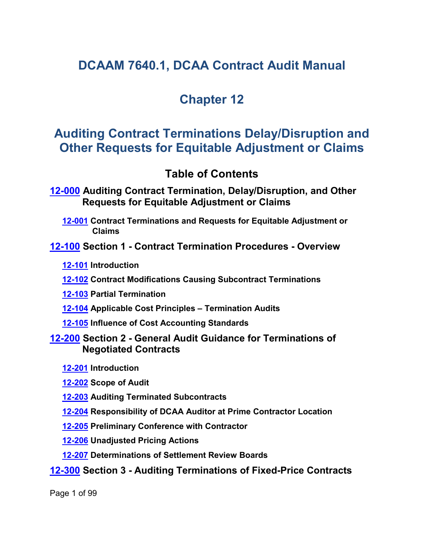# **DCAAM 7640.1, DCAA Contract Audit Manual**

# **Chapter 12**

# **Auditing Contract Terminations Delay/Disruption and Other Requests for Equitable Adjustment or Claims**

## <span id="page-0-6"></span><span id="page-0-5"></span><span id="page-0-3"></span><span id="page-0-2"></span><span id="page-0-1"></span><span id="page-0-0"></span>**Table of Contents**

**[12-000](#page-4-0) Auditing Contract Termination, Delay/Disruption, and Other Requests for Equitable Adjustment or Claims**

**[12-001](#page-4-1) Contract Terminations and Requests for Equitable Adjustment or Claims**

**[12-100](#page-4-2) Section 1 - Contract Termination Procedures - Overview**

**[12-101](#page-4-3) Introduction**

**[12-102](#page-6-0) Contract Modifications Causing Subcontract Terminations**

<span id="page-0-4"></span>**[12-103](#page-7-0) Partial Termination**

**[12-104](#page-7-1) Applicable Cost Principles – Termination Audits**

**[12-105](#page-7-1) Influence of Cost Accounting Standards**

## **[12-200](#page-8-0) Section 2 - General Audit Guidance for Terminations of Negotiated Contracts**

<span id="page-0-8"></span><span id="page-0-7"></span>**[12-201](#page-8-1) Introduction**

<span id="page-0-10"></span><span id="page-0-9"></span>**[12-202](#page-8-2) Scope of Audit**

- **[12-203](#page-10-0) Auditing Terminated Subcontracts**
- <span id="page-0-11"></span>**[12-204](#page-10-1) Responsibility of DCAA Auditor at Prime Contractor Location**
- <span id="page-0-12"></span>**[12-205](#page-10-2) Preliminary Conference with Contractor**
- <span id="page-0-13"></span>**[12-206](#page-11-0) Unadjusted Pricing Actions**
- <span id="page-0-15"></span><span id="page-0-14"></span>**[12-207](#page-11-1) Determinations of Settlement Review Boards**

## **[12-300](#page-12-0) Section 3 - Auditing Terminations of Fixed-Price Contracts**

Page 1 of 99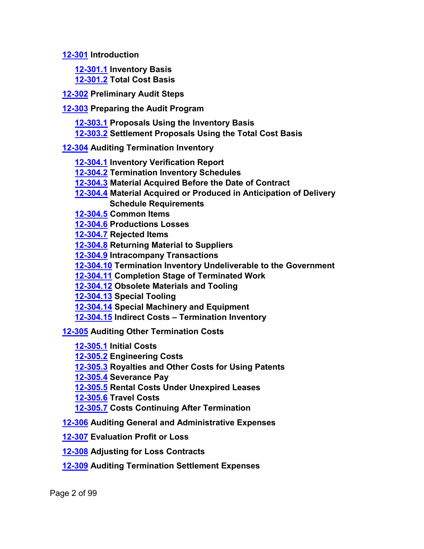**[12-301](#page-12-1) Introduction**

<span id="page-1-3"></span><span id="page-1-2"></span><span id="page-1-1"></span><span id="page-1-0"></span>**[12-301.1](#page-12-2) Inventory Basis [12-301.2](#page-12-3) Total Cost Basis**

**[12-302](#page-13-0) Preliminary Audit Steps**

**[12-303](#page-15-0) Preparing the Audit Program**

- <span id="page-1-4"></span>**[12-303.1](#page-15-1) Proposals Using the Inventory Basis**
- <span id="page-1-7"></span><span id="page-1-6"></span><span id="page-1-5"></span>**[12-303.2](#page-16-0) Settlement Proposals Using the Total Cost Basis**

## **[12-304](#page-17-0) Auditing Termination Inventory**

- <span id="page-1-8"></span>**[12-304.1](#page-18-0) Inventory Verification Report**
- **[12-304.2](#page-18-1) Termination Inventory Schedules**
- <span id="page-1-9"></span>**[12-304.3](#page-19-0) Material Acquired Before the Date of Contract**
- **[12-304.4](#page-19-1) Material Acquired or Produced in Anticipation of Delivery Schedule Requirements**
- <span id="page-1-11"></span><span id="page-1-10"></span>**[12-304.5](#page-20-0) Common Items**

<span id="page-1-12"></span>**[12-304.6](#page-21-0) Productions Losses**

- <span id="page-1-13"></span>**[12-304.7](#page-22-0) Rejected Items**
- <span id="page-1-14"></span>**[12-304.8](#page-22-1) Returning Material to Suppliers**
- <span id="page-1-15"></span>**[12-304.9](#page-22-2) Intracompany Transactions**
- <span id="page-1-16"></span>**[12-304.10](#page-22-3) Termination Inventory Undeliverable to the Government**
- <span id="page-1-17"></span>**[12-304.11](#page-23-0) Completion Stage of Terminated Work**
- <span id="page-1-18"></span>**[12-304.12](#page-23-1) Obsolete Materials and Tooling**
- <span id="page-1-19"></span>**[12-304.13](#page-24-0) Special Tooling**
- <span id="page-1-20"></span>**[12-304.14](#page-25-0) Special Machinery and Equipment**
- <span id="page-1-22"></span><span id="page-1-21"></span>**[12-304.15](#page-25-1) Indirect Costs – Termination Inventory**

**[12-305](#page-26-0) Auditing Other Termination Costs**

- <span id="page-1-23"></span>**[12-305.1](#page-27-0) Initial Costs**
- <span id="page-1-24"></span>**[12-305.2](#page-28-0) Engineering Costs**
- <span id="page-1-25"></span>**[12-305.3](#page-30-0) Royalties and Other Costs for Using Patents**
- <span id="page-1-26"></span>**[12-305.4](#page-31-0) Severance Pay**
- <span id="page-1-27"></span>**[12-305.5](#page-32-0) Rental Costs Under Unexpired Leases**
- <span id="page-1-29"></span><span id="page-1-28"></span>**[12-305.6](#page-33-0) Travel Costs**
- <span id="page-1-31"></span><span id="page-1-30"></span>**[12-305.7](#page-33-1) Costs Continuing After Termination**
- **[12-306](#page-34-0) Auditing General and Administrative Expenses**
- **[12-307](#page-35-0) Evaluation Profit or Loss**
- **[12-308](#page-37-0) Adjusting for Loss Contracts**
- **[12-309](#page-40-0) Auditing Termination Settlement Expenses**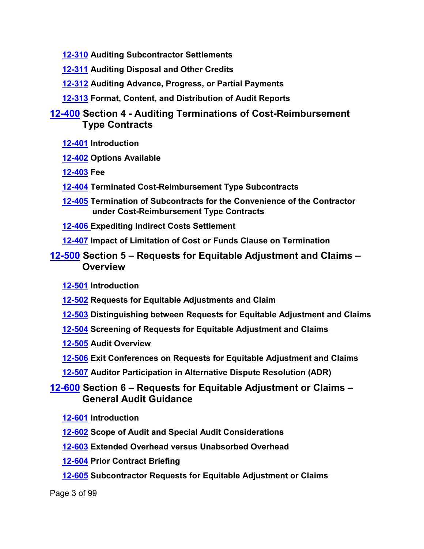- **[12-310](#page-43-0) Auditing Subcontractor Settlements**
- **[12-311](#page-44-0) Auditing Disposal and Other Credits**
- **[12-312](#page-44-1) Auditing Advance, Progress, or Partial Payments**
- **[12-313](#page-45-0) Format, Content, and Distribution of Audit Reports**

## **[12-400](#page-45-1) Section 4 - Auditing Terminations of Cost-Reimbursement Type Contracts**

- **[12-401](#page-45-2) Introduction**
- **[12-402](#page-45-3) Options Available**
- **[12-403](#page-46-0) Fee**
- **[12-404](#page-47-0) Terminated Cost-Reimbursement Type Subcontracts**
- **[12-405](#page-47-1) Termination of Subcontracts for the Convenience of the Contractor under Cost-Reimbursement Type Contracts**
- **[12-406](#page-47-2) Expediting Indirect Costs Settlement**
- **[12-407](#page-48-0) Impact of Limitation of Cost or Funds Clause on Termination**

## **[12-500](#page-49-0) Section 5 – Requests for Equitable Adjustment and Claims – Overview**

- **[12-501](#page-49-0) Introduction**
- **[12-502](#page-49-0) Requests for Equitable Adjustments and Claim**
- **[12-503](#page-49-0) Distinguishing between Requests for Equitable Adjustment and Claims**
- **[12-504](#page-49-0) Screening of Requests for Equitable Adjustment and Claims**
- **[12-505](#page-49-0) Audit Overview**
- **[12-506](#page-49-0) Exit Conferences on Requests for Equitable Adjustment and Claims**
- **[12-507](#page-49-0) Auditor Participation in Alternative Dispute Resolution (ADR)**

## **[12-600](#page-54-0) Section 6 – Requests for Equitable Adjustment or Claims – General Audit Guidance**

- **[12-601](#page-54-1) Introduction**
- **[12-602](#page-54-2) Scope of Audit and Special Audit Considerations**
- **[12-603](#page-55-0) Extended Overhead versus Unabsorbed Overhead**
- **[12-604](#page-55-1) Prior Contract Briefing**
- **[12-605](#page-56-0) Subcontractor Requests for Equitable Adjustment or Claims**

Page 3 of 99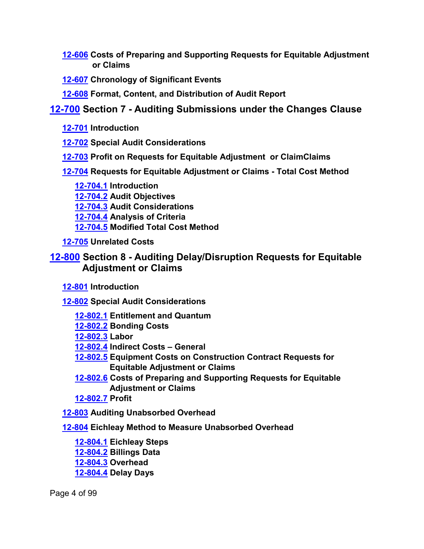- **[12-606](#page-56-1) Costs of Preparing and Supporting Requests for Equitable Adjustment or Claims**
- **[12-607](#page-57-0) Chronology of Significant Events**
- **[12-608](#page-58-0) Format, Content, and Distribution of Audit Report**

## **[12-700](#page-58-1) Section 7 - Auditing Submissions under the Changes Clause**

- **[12-701](#page-58-2) Introduction**
- **[12-702](#page-58-3) Special Audit Considerations**
- **[12-703](#page-58-4) Profit on Requests for Equitable Adjustment or ClaimClaims**
- **[12-704](#page-59-0) Requests for Equitable Adjustment or Claims - Total Cost Method**
	- **[12-704.1](#page-60-0) Introduction [12-704.2](#page-61-0) Audit Objectives [12-704.3](#page-61-1) Audit Considerations [12-704.4](#page-62-0) Analysis of Criteria [12-704.5](#page-66-0) Modified Total Cost Method**
- **[12-705](#page-67-0) Unrelated Costs**

## **[12-800](#page-68-0) Section 8 - Auditing Delay/Disruption Requests for Equitable Adjustment or Claims**

- **[12-801](#page-68-1) Introduction**
- **[12-802](#page-68-2) Special Audit Considerations**
	- **[12-802.1](#page-69-0) Entitlement and Quantum**
	- **[12-802.2](#page-69-1) Bonding Costs**
	- **[12-802.3](#page-70-0) Labor**
	- **[12-802.4](#page-70-1) Indirect Costs – General**
	- **[12-802.5](#page-71-0) Equipment Costs on Construction Contract Requests for Equitable Adjustment or Claims**
	- **[12-802.6](#page-72-0) Costs of Preparing and Supporting Requests for Equitable Adjustment or Claims**
	- **[12-802.7](#page-72-1) Profit**
- **[12-803](#page-72-2) Auditing Unabsorbed Overhead**
- **[12-804](#page-74-0) Eichleay Method to Measure Unabsorbed Overhead**
	- **[12-804.1](#page-76-0) Eichleay Steps [12-804.2](#page-77-0) Billings Data [12-804.3](#page-78-0) Overhead [12-804.4](#page-79-0) Delay Days**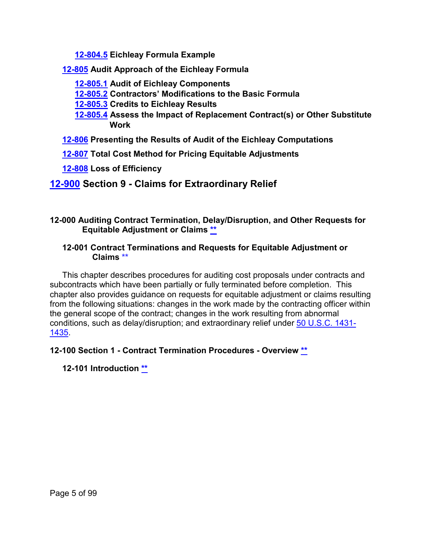**[12-804.5](#page-80-0) Eichleay Formula Example**

**[12-805](#page-81-0) Audit Approach of the Eichleay Formula**

- **[12-805.1](#page-82-0) Audit of Eichleay Components**
- **[12-805.2](#page-85-0) Contractors' Modifications to the Basic Formula**
- **[12-805.3](#page-85-1) Credits to Eichleay Results**
- **[12-805.4](#page-86-0) Assess the Impact of Replacement Contract(s) or Other Substitute Work**
- **[12-806](#page-93-0) Presenting the Results of Audit of the Eichleay Computations**
- **[12-807](#page-94-0) Total Cost Method for Pricing Equitable Adjustments**
- **[12-808](#page-95-0) Loss of Efficiency**

## **[12-900](#page-96-0) Section 9 - Claims for Extraordinary Relief**

## <span id="page-4-0"></span>**12-000 Auditing Contract Termination, Delay/Disruption, and Other Requests for Equitable Adjustment or Claims [\\*\\*](#page-0-0)**

#### <span id="page-4-1"></span>**12-001 Contract Terminations and Requests for Equitable Adjustment or Claims [\\*\\*](#page-0-1)**

This chapter describes procedures for auditing cost proposals under contracts and subcontracts which have been partially or fully terminated before completion. This chapter also provides guidance on requests for equitable adjustment or claims resulting from the following situations: changes in the work made by the contracting officer within the general scope of the contract; changes in the work resulting from abnormal conditions, such as delay/disruption; and extraordinary relief under [50 U.S.C. 1431-](http://uscode.house.gov/view.xhtml?hl=false&edition=2015&req=granuleid%3AUSC-2015-title16-section1431&num=0&saved=%7CKHRpdGxlOjE2IHNlY3Rpb246MTQzMSBlZGl0aW9uOnByZWxpbSk%3D%7C%7C%7C0%7Cfalse%7Cprelim) [1435.](http://uscode.house.gov/view.xhtml?hl=false&edition=2015&req=granuleid%3AUSC-2015-title16-section1431&num=0&saved=%7CKHRpdGxlOjE2IHNlY3Rpb246MTQzMSBlZGl0aW9uOnByZWxpbSk%3D%7C%7C%7C0%7Cfalse%7Cprelim)

<span id="page-4-2"></span>**12-100 Section 1 - Contract Termination Procedures - Overview [\\*\\*](#page-0-2)**

<span id="page-4-3"></span>**12-101 Introduction \*\***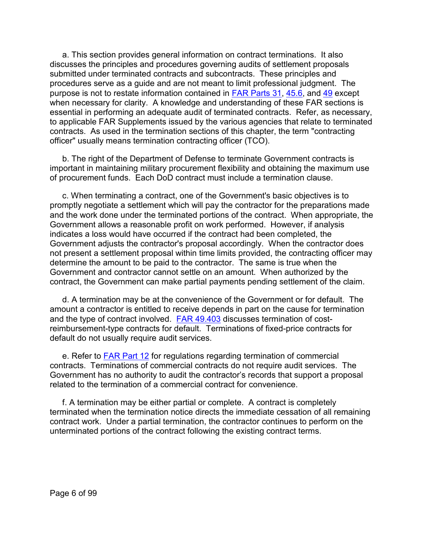a. This section provides general information on contract terminations. It also discusses the principles and procedures governing audits of settlement proposals submitted under terminated contracts and subcontracts. These principles and procedures serve as a guide and are not meant to limit professional judgment. The purpose is not to restate information contained in [FAR Parts 31,](http://www.ecfr.gov/cgi-bin/text-idx?SID=256b7739f4048d483e1eefc9cd9a3402&mc=true&node=pt48.1.31&rgn=div5) [45.6,](http://www.ecfr.gov/cgi-bin/text-idx?SID=215fad701bf901688b8d82157ac773cd&mc=true&node=sp48.1.45.45_16&rgn=div6) and [49](http://www.ecfr.gov/cgi-bin/text-idx?SID=256b7739f4048d483e1eefc9cd9a3402&mc=true&node=pt48.1.49&rgn=div5) except when necessary for clarity. A knowledge and understanding of these FAR sections is essential in performing an adequate audit of terminated contracts. Refer, as necessary, to applicable FAR Supplements issued by the various agencies that relate to terminated contracts. As used in the termination sections of this chapter, the term "contracting officer" usually means termination contracting officer (TCO).

b. The right of the Department of Defense to terminate Government contracts is important in maintaining military procurement flexibility and obtaining the maximum use of procurement funds. Each DoD contract must include a termination clause.

c. When terminating a contract, one of the Government's basic objectives is to promptly negotiate a settlement which will pay the contractor for the preparations made and the work done under the terminated portions of the contract. When appropriate, the Government allows a reasonable profit on work performed. However, if analysis indicates a loss would have occurred if the contract had been completed, the Government adjusts the contractor's proposal accordingly. When the contractor does not present a settlement proposal within time limits provided, the contracting officer may determine the amount to be paid to the contractor. The same is true when the Government and contractor cannot settle on an amount. When authorized by the contract, the Government can make partial payments pending settlement of the claim.

d. A termination may be at the convenience of the Government or for default. The amount a contractor is entitled to receive depends in part on the cause for termination and the type of contract involved. [FAR 49.403](http://www.ecfr.gov/cgi-bin/text-idx?SID=215fad701bf901688b8d82157ac773cd&mc=true&node=se48.1.49_1403&rgn=div8) discusses termination of costreimbursement-type contracts for default. Terminations of fixed-price contracts for default do not usually require audit services.

e. Refer to [FAR Part 12](http://www.ecfr.gov/cgi-bin/text-idx?SID=256b7739f4048d483e1eefc9cd9a3402&mc=true&node=pt48.1.12&rgn=div5) for regulations regarding termination of commercial contracts. Terminations of commercial contracts do not require audit services. The Government has no authority to audit the contractor's records that support a proposal related to the termination of a commercial contract for convenience.

f. A termination may be either partial or complete. A contract is completely terminated when the termination notice directs the immediate cessation of all remaining contract work. Under a partial termination, the contractor continues to perform on the unterminated portions of the contract following the existing contract terms.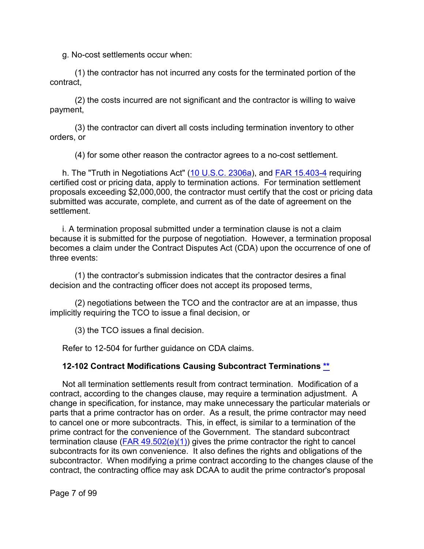g. No-cost settlements occur when:

(1) the contractor has not incurred any costs for the terminated portion of the contract,

(2) the costs incurred are not significant and the contractor is willing to waive payment,

(3) the contractor can divert all costs including termination inventory to other orders, or

(4) for some other reason the contractor agrees to a no-cost settlement.

h. The "Truth in Negotiations Act" [\(10 U.S.C. 2306a\)](http://uscode.house.gov/view.xhtml?req=(title:10%20section:2306a%20edition:prelim)%20OR%20(granuleid:USC-prelim-title10-section2306a)&f=treesort&edition=prelim&num=0&jumpTo=true), and [FAR 15.403-4](http://www.ecfr.gov/cgi-bin/text-idx?SID=1f12dc1e8588015ed5337f18d4e14c3b&mc=true&node=se48.1.15_1403_64&rgn=div8) requiring certified cost or pricing data, apply to termination actions. For termination settlement proposals exceeding \$2,000,000, the contractor must certify that the cost or pricing data submitted was accurate, complete, and current as of the date of agreement on the settlement.

i. A termination proposal submitted under a termination clause is not a claim because it is submitted for the purpose of negotiation. However, a termination proposal becomes a claim under the Contract Disputes Act (CDA) upon the occurrence of one of three events:

(1) the contractor's submission indicates that the contractor desires a final decision and the contracting officer does not accept its proposed terms,

(2) negotiations between the TCO and the contractor are at an impasse, thus implicitly requiring the TCO to issue a final decision, or

(3) the TCO issues a final decision.

Refer to 12-504 for further guidance on CDA claims.

#### <span id="page-6-0"></span>**12-102 Contract Modifications Causing Subcontract Terminations [\\*\\*](#page-0-3)**

Not all termination settlements result from contract termination. Modification of a contract, according to the changes clause, may require a termination adjustment. A change in specification, for instance, may make unnecessary the particular materials or parts that a prime contractor has on order. As a result, the prime contractor may need to cancel one or more subcontracts. This, in effect, is similar to a termination of the prime contract for the convenience of the Government. The standard subcontract termination clause  $(FAR 49.502(e)(1))$  gives the prime contractor the right to cancel subcontracts for its own convenience. It also defines the rights and obligations of the subcontractor. When modifying a prime contract according to the changes clause of the contract, the contracting office may ask DCAA to audit the prime contractor's proposal

Page 7 of 99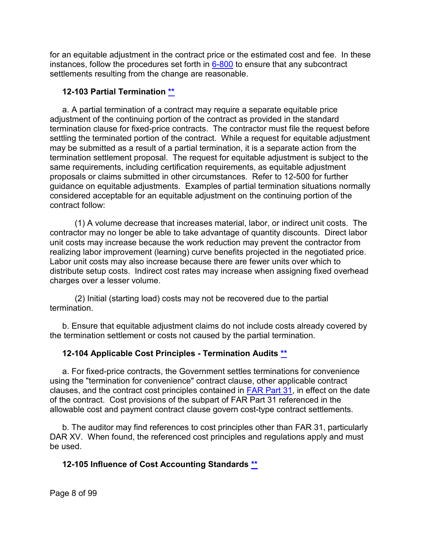for an equitable adjustment in the contract price or the estimated cost and fee. In these instances, follow the procedures set forth in  $6-800$  to ensure that any subcontract settlements resulting from the change are reasonable.

#### <span id="page-7-0"></span>**12-103 Partial Termination [\\*\\*](#page-0-4)**

a. A partial termination of a contract may require a separate equitable price adjustment of the continuing portion of the contract as provided in the standard termination clause for fixed-price contracts. The contractor must file the request before settling the terminated portion of the contract. While a request for equitable adjustment may be submitted as a result of a partial termination, it is a separate action from the termination settlement proposal. The request for equitable adjustment is subject to the same requirements, including certification requirements, as equitable adjustment proposals or claims submitted in other circumstances. Refer to 12-500 for further guidance on equitable adjustments. Examples of partial termination situations normally considered acceptable for an equitable adjustment on the continuing portion of the contract follow:

(1) A volume decrease that increases material, labor, or indirect unit costs. The contractor may no longer be able to take advantage of quantity discounts. Direct labor unit costs may increase because the work reduction may prevent the contractor from realizing labor improvement (learning) curve benefits projected in the negotiated price. Labor unit costs may also increase because there are fewer units over which to distribute setup costs. Indirect cost rates may increase when assigning fixed overhead charges over a lesser volume.

(2) Initial (starting load) costs may not be recovered due to the partial termination.

b. Ensure that equitable adjustment claims do not include costs already covered by the termination settlement or costs not caused by the partial termination.

## <span id="page-7-1"></span>**12-104 Applicable Cost Principles - Termination Audits [\\*\\*](#page-0-5)**

a. For fixed-price contracts, the Government settles terminations for convenience using the "termination for convenience" contract clause, other applicable contract clauses, and the contract cost principles contained in [FAR Part 31,](http://www.ecfr.gov/cgi-bin/text-idx?SID=256b7739f4048d483e1eefc9cd9a3402&mc=true&node=pt48.1.31&rgn=div5) in effect on the date of the contract. Cost provisions of the subpart of FAR Part 31 referenced in the allowable cost and payment contract clause govern cost-type contract settlements.

b. The auditor may find references to cost principles other than FAR 31, particularly DAR XV. When found, the referenced cost principles and regulations apply and must be used.

## **12-105 Influence of Cost Accounting Standards [\\*\\*](#page-0-6)**

Page 8 of 99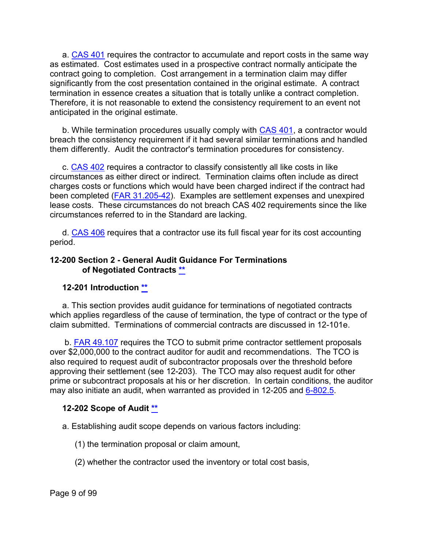a. [CAS 401](http://www.ecfr.gov/cgi-bin/text-idx?SID=56685f74ce3d39b970605f3f02dff36c&mc=true&tpl=/ecfrbrowse/Title48/48cfr9904_main_02.tpl) requires the contractor to accumulate and report costs in the same way as estimated. Cost estimates used in a prospective contract normally anticipate the contract going to completion. Cost arrangement in a termination claim may differ significantly from the cost presentation contained in the original estimate. A contract termination in essence creates a situation that is totally unlike a contract completion. Therefore, it is not reasonable to extend the consistency requirement to an event not anticipated in the original estimate.

b. While termination procedures usually comply with [CAS 401,](http://www.ecfr.gov/cgi-bin/text-idx?SID=1d42630fa3402f2058c534dee394d40b&mc=true&tpl=/ecfrbrowse/Title48/48cfr9904_main_02.tpl) a contractor would breach the consistency requirement if it had several similar terminations and handled them differently. Audit the contractor's termination procedures for consistency.

c. [CAS 402](http://www.ecfr.gov/cgi-bin/text-idx?SID=1d42630fa3402f2058c534dee394d40b&mc=true&tpl=/ecfrbrowse/Title48/48cfr9904_main_02.tpl) requires a contractor to classify consistently all like costs in like circumstances as either direct or indirect. Termination claims often include as direct charges costs or functions which would have been charged indirect if the contract had been completed [\(FAR 31.205-42\)](http://www.ecfr.gov/cgi-bin/text-idx?SID=256b7739f4048d483e1eefc9cd9a3402&mc=true&node=se48.1.31_1205_642&rgn=div8). Examples are settlement expenses and unexpired lease costs. These circumstances do not breach CAS 402 requirements since the like circumstances referred to in the Standard are lacking.

d. [CAS 406](http://www.ecfr.gov/cgi-bin/text-idx?SID=1d42630fa3402f2058c534dee394d40b&mc=true&tpl=/ecfrbrowse/Title48/48cfr9904_main_02.tpl) requires that a contractor use its full fiscal year for its cost accounting period.

#### <span id="page-8-0"></span>**12-200 Section 2 - General Audit Guidance For Terminations of Negotiated Contracts [\\*\\*](#page-0-7)**

#### <span id="page-8-1"></span>**12-201 Introduction [\\*\\*](#page-0-8)**

a. This section provides audit guidance for terminations of negotiated contracts which applies regardless of the cause of termination, the type of contract or the type of claim submitted. Terminations of commercial contracts are discussed in 12-101e.

b. [FAR 49.107](http://www.ecfr.gov/cgi-bin/text-idx?SID=256b7739f4048d483e1eefc9cd9a3402&mc=true&node=se48.1.49_1107&rgn=div8) requires the TCO to submit prime contractor settlement proposals over \$2,000,000 to the contract auditor for audit and recommendations. The TCO is also required to request audit of subcontractor proposals over the threshold before approving their settlement (see 12-203). The TCO may also request audit for other prime or subcontract proposals at his or her discretion. In certain conditions, the auditor may also initiate an audit, when warranted as provided in 12-205 and  $6-802.5$ .

#### <span id="page-8-2"></span>**12-202 Scope of Audit [\\*\\*](#page-0-9)**

a. Establishing audit scope depends on various factors including:

- (1) the termination proposal or claim amount,
- (2) whether the contractor used the inventory or total cost basis,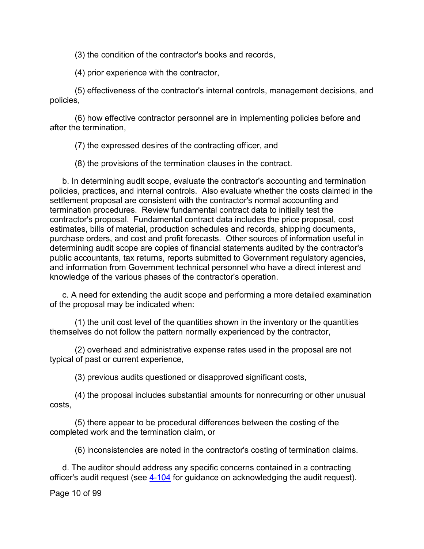(3) the condition of the contractor's books and records,

(4) prior experience with the contractor,

(5) effectiveness of the contractor's internal controls, management decisions, and policies,

(6) how effective contractor personnel are in implementing policies before and after the termination,

(7) the expressed desires of the contracting officer, and

(8) the provisions of the termination clauses in the contract.

b. In determining audit scope, evaluate the contractor's accounting and termination policies, practices, and internal controls. Also evaluate whether the costs claimed in the settlement proposal are consistent with the contractor's normal accounting and termination procedures. Review fundamental contract data to initially test the contractor's proposal. Fundamental contract data includes the price proposal, cost estimates, bills of material, production schedules and records, shipping documents, purchase orders, and cost and profit forecasts. Other sources of information useful in determining audit scope are copies of financial statements audited by the contractor's public accountants, tax returns, reports submitted to Government regulatory agencies, and information from Government technical personnel who have a direct interest and knowledge of the various phases of the contractor's operation.

c. A need for extending the audit scope and performing a more detailed examination of the proposal may be indicated when:

(1) the unit cost level of the quantities shown in the inventory or the quantities themselves do not follow the pattern normally experienced by the contractor,

(2) overhead and administrative expense rates used in the proposal are not typical of past or current experience,

(3) previous audits questioned or disapproved significant costs,

(4) the proposal includes substantial amounts for nonrecurring or other unusual costs,

(5) there appear to be procedural differences between the costing of the completed work and the termination claim, or

(6) inconsistencies are noted in the contractor's costing of termination claims.

d. The auditor should address any specific concerns contained in a contracting officer's audit request (see [4-104](https://viper.dcaa.mil/guidance/cam/3130/general-audit-requirements#Sec4104) for guidance on acknowledging the audit request).

Page 10 of 99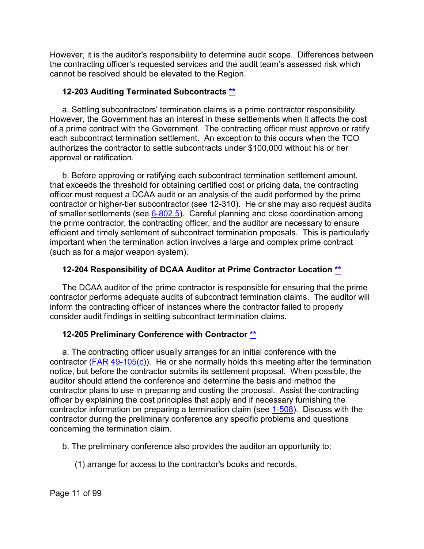However, it is the auditor's responsibility to determine audit scope. Differences between the contracting officer's requested services and the audit team's assessed risk which cannot be resolved should be elevated to the Region.

## <span id="page-10-0"></span>**12-203 Auditing Terminated Subcontracts [\\*\\*](#page-0-10)**

a. Settling subcontractors' termination claims is a prime contractor responsibility. However, the Government has an interest in these settlements when it affects the cost of a prime contract with the Government. The contracting officer must approve or ratify each subcontract termination settlement. An exception to this occurs when the TCO authorizes the contractor to settle subcontracts under \$100,000 without his or her approval or ratification.

b. Before approving or ratifying each subcontract termination settlement amount, that exceeds the threshold for obtaining certified cost or pricing data, the contracting officer must request a DCAA audit or an analysis of the audit performed by the prime contractor or higher-tier subcontractor (see 12-310). He or she may also request audits of smaller settlements (see [6-802.5\)](https://viper.dcaa.mil/guidance/cam/3136/incurred-cost-audit-procedures#Sec68025). Careful planning and close coordination among the prime contractor, the contracting officer, and the auditor are necessary to ensure efficient and timely settlement of subcontract termination proposals. This is particularly important when the termination action involves a large and complex prime contract (such as for a major weapon system).

## <span id="page-10-1"></span>**12-204 Responsibility of DCAA Auditor at Prime Contractor Location [\\*\\*](#page-0-11)**

The DCAA auditor of the prime contractor is responsible for ensuring that the prime contractor performs adequate audits of subcontract termination claims. The auditor will inform the contracting officer of instances where the contractor failed to properly consider audit findings in settling subcontract termination claims.

## <span id="page-10-2"></span>**12-205 Preliminary Conference with Contractor [\\*\\*](#page-0-12)**

a. The contracting officer usually arranges for an initial conference with the contractor (FAR 49-105 $(c)$ ). He or she normally holds this meeting after the termination notice, but before the contractor submits its settlement proposal. When possible, the auditor should attend the conference and determine the basis and method the contractor plans to use in preparing and costing the proposal. Assist the contracting officer by explaining the cost principles that apply and if necessary furnishing the contractor information on preparing a termination claim (see [1-508\)](https://viper.dcaa.mil/guidance/cam/3127/introduction-to-contract-audit#Sec1508). Discuss with the contractor during the preliminary conference any specific problems and questions concerning the termination claim.

- b. The preliminary conference also provides the auditor an opportunity to:
	- (1) arrange for access to the contractor's books and records,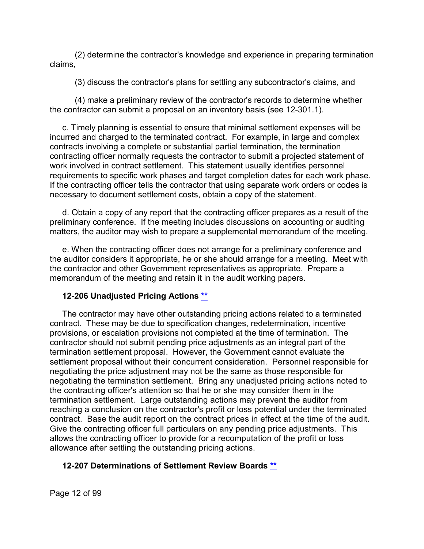(2) determine the contractor's knowledge and experience in preparing termination claims,

(3) discuss the contractor's plans for settling any subcontractor's claims, and

(4) make a preliminary review of the contractor's records to determine whether the contractor can submit a proposal on an inventory basis (see 12-301.1).

c. Timely planning is essential to ensure that minimal settlement expenses will be incurred and charged to the terminated contract. For example, in large and complex contracts involving a complete or substantial partial termination, the termination contracting officer normally requests the contractor to submit a projected statement of work involved in contract settlement. This statement usually identifies personnel requirements to specific work phases and target completion dates for each work phase. If the contracting officer tells the contractor that using separate work orders or codes is necessary to document settlement costs, obtain a copy of the statement.

d. Obtain a copy of any report that the contracting officer prepares as a result of the preliminary conference. If the meeting includes discussions on accounting or auditing matters, the auditor may wish to prepare a supplemental memorandum of the meeting.

e. When the contracting officer does not arrange for a preliminary conference and the auditor considers it appropriate, he or she should arrange for a meeting. Meet with the contractor and other Government representatives as appropriate. Prepare a memorandum of the meeting and retain it in the audit working papers.

## <span id="page-11-0"></span>**12-206 Unadjusted Pricing Actions [\\*\\*](#page-0-13)**

The contractor may have other outstanding pricing actions related to a terminated contract. These may be due to specification changes, redetermination, incentive provisions, or escalation provisions not completed at the time of termination. The contractor should not submit pending price adjustments as an integral part of the termination settlement proposal. However, the Government cannot evaluate the settlement proposal without their concurrent consideration. Personnel responsible for negotiating the price adjustment may not be the same as those responsible for negotiating the termination settlement. Bring any unadjusted pricing actions noted to the contracting officer's attention so that he or she may consider them in the termination settlement. Large outstanding actions may prevent the auditor from reaching a conclusion on the contractor's profit or loss potential under the terminated contract. Base the audit report on the contract prices in effect at the time of the audit. Give the contracting officer full particulars on any pending price adjustments. This allows the contracting officer to provide for a recomputation of the profit or loss allowance after settling the outstanding pricing actions.

## <span id="page-11-1"></span>**12-207 Determinations of Settlement Review Boards [\\*\\*](#page-0-14)**

Page 12 of 99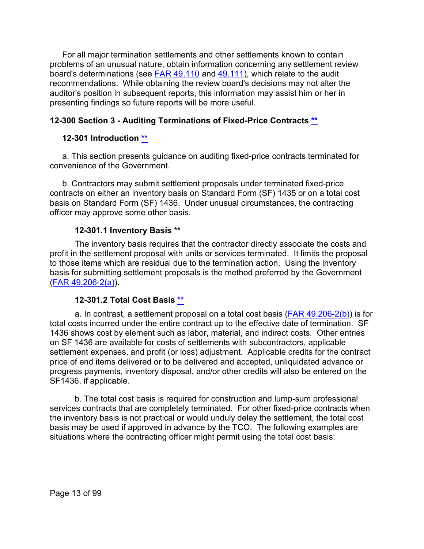For all major termination settlements and other settlements known to contain problems of an unusual nature, obtain information concerning any settlement review board's determinations (see [FAR 49.110](http://www.ecfr.gov/cgi-bin/text-idx?SID=256b7739f4048d483e1eefc9cd9a3402&mc=true&node=se48.1.49_1110&rgn=div8) and [49.111\)](http://www.ecfr.gov/cgi-bin/retrieveECFR?gp=&SID=256b7739f4048d483e1eefc9cd9a3402&mc=true&r=SECTION&n=se48.1.49_1111), which relate to the audit recommendations. While obtaining the review board's decisions may not alter the auditor's position in subsequent reports, this information may assist him or her in presenting findings so future reports will be more useful.

## <span id="page-12-0"></span>**12-300 Section 3 - Auditing Terminations of Fixed-Price Contracts [\\*\\*](#page-0-15)**

## <span id="page-12-1"></span>**12-301 Introduction [\\*\\*](#page-1-0)**

a. This section presents guidance on auditing fixed-price contracts terminated for convenience of the Government.

b. Contractors may submit settlement proposals under terminated fixed-price contracts on either an inventory basis on Standard Form (SF) 1435 or on a total cost basis on Standard Form (SF) 1436. Under unusual circumstances, the contracting officer may approve some other basis.

#### **12-301.1 Inventory Basis [\\*\\*](#page-1-1)**

<span id="page-12-2"></span>The inventory basis requires that the contractor directly associate the costs and profit in the settlement proposal with units or services terminated. It limits the proposal to those items which are residual due to the termination action. Using the inventory basis for submitting settlement proposals is the method preferred by the Government [\(FAR 49.206-2\(a\)\)](http://www.ecfr.gov/cgi-bin/text-idx?SID=256b7739f4048d483e1eefc9cd9a3402&mc=true&node=se48.1.49_1206_62&rgn=div8).

#### **12-301.2 Total Cost Basis [\\*\\*](#page-1-2)**

<span id="page-12-3"></span>a. In contrast, a settlement proposal on a total cost basis [\(FAR 49.206-2\(b\)\)](http://www.ecfr.gov/cgi-bin/text-idx?SID=256b7739f4048d483e1eefc9cd9a3402&mc=true&node=se48.1.49_1206_62&rgn=div8) is for total costs incurred under the entire contract up to the effective date of termination. SF 1436 shows cost by element such as labor, material, and indirect costs. Other entries on SF 1436 are available for costs of settlements with subcontractors, applicable settlement expenses, and profit (or loss) adjustment. Applicable credits for the contract price of end items delivered or to be delivered and accepted, unliquidated advance or progress payments, inventory disposal, and/or other credits will also be entered on the SF1436, if applicable.

b. The total cost basis is required for construction and lump-sum professional services contracts that are completely terminated. For other fixed-price contracts when the inventory basis is not practical or would unduly delay the settlement, the total cost basis may be used if approved in advance by the TCO. The following examples are situations where the contracting officer might permit using the total cost basis: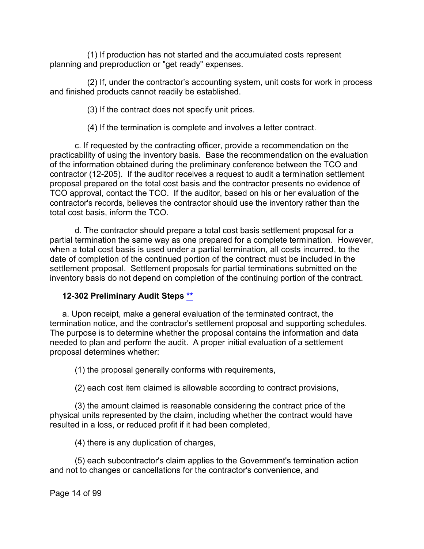(1) If production has not started and the accumulated costs represent planning and preproduction or "get ready" expenses.

(2) If, under the contractor's accounting system, unit costs for work in process and finished products cannot readily be established.

(3) If the contract does not specify unit prices.

(4) If the termination is complete and involves a letter contract.

c. If requested by the contracting officer, provide a recommendation on the practicability of using the inventory basis. Base the recommendation on the evaluation of the information obtained during the preliminary conference between the TCO and contractor (12-205). If the auditor receives a request to audit a termination settlement proposal prepared on the total cost basis and the contractor presents no evidence of TCO approval, contact the TCO. If the auditor, based on his or her evaluation of the contractor's records, believes the contractor should use the inventory rather than the total cost basis, inform the TCO.

d. The contractor should prepare a total cost basis settlement proposal for a partial termination the same way as one prepared for a complete termination. However, when a total cost basis is used under a partial termination, all costs incurred, to the date of completion of the continued portion of the contract must be included in the settlement proposal. Settlement proposals for partial terminations submitted on the inventory basis do not depend on completion of the continuing portion of the contract.

## <span id="page-13-0"></span>**12-302 Preliminary Audit Steps [\\*\\*](#page-1-3)**

a. Upon receipt, make a general evaluation of the terminated contract, the termination notice, and the contractor's settlement proposal and supporting schedules. The purpose is to determine whether the proposal contains the information and data needed to plan and perform the audit. A proper initial evaluation of a settlement proposal determines whether:

(1) the proposal generally conforms with requirements,

(2) each cost item claimed is allowable according to contract provisions,

(3) the amount claimed is reasonable considering the contract price of the physical units represented by the claim, including whether the contract would have resulted in a loss, or reduced profit if it had been completed,

(4) there is any duplication of charges,

(5) each subcontractor's claim applies to the Government's termination action and not to changes or cancellations for the contractor's convenience, and

Page 14 of 99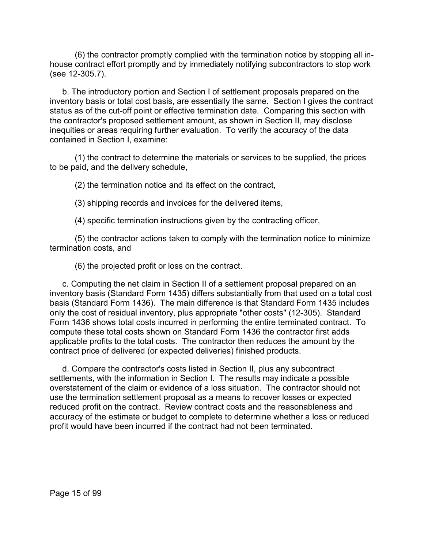(6) the contractor promptly complied with the termination notice by stopping all inhouse contract effort promptly and by immediately notifying subcontractors to stop work (see 12-305.7).

b. The introductory portion and Section I of settlement proposals prepared on the inventory basis or total cost basis, are essentially the same. Section I gives the contract status as of the cut-off point or effective termination date. Comparing this section with the contractor's proposed settlement amount, as shown in Section II, may disclose inequities or areas requiring further evaluation. To verify the accuracy of the data contained in Section I, examine:

(1) the contract to determine the materials or services to be supplied, the prices to be paid, and the delivery schedule,

(2) the termination notice and its effect on the contract,

(3) shipping records and invoices for the delivered items,

(4) specific termination instructions given by the contracting officer,

(5) the contractor actions taken to comply with the termination notice to minimize termination costs, and

(6) the projected profit or loss on the contract.

c. Computing the net claim in Section II of a settlement proposal prepared on an inventory basis (Standard Form 1435) differs substantially from that used on a total cost basis (Standard Form 1436). The main difference is that Standard Form 1435 includes only the cost of residual inventory, plus appropriate "other costs" (12-305). Standard Form 1436 shows total costs incurred in performing the entire terminated contract. To compute these total costs shown on Standard Form 1436 the contractor first adds applicable profits to the total costs. The contractor then reduces the amount by the contract price of delivered (or expected deliveries) finished products.

d. Compare the contractor's costs listed in Section II, plus any subcontract settlements, with the information in Section I. The results may indicate a possible overstatement of the claim or evidence of a loss situation. The contractor should not use the termination settlement proposal as a means to recover losses or expected reduced profit on the contract. Review contract costs and the reasonableness and accuracy of the estimate or budget to complete to determine whether a loss or reduced profit would have been incurred if the contract had not been terminated.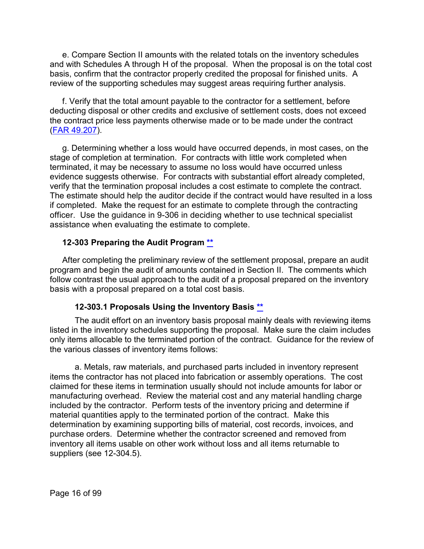e. Compare Section II amounts with the related totals on the inventory schedules and with Schedules A through H of the proposal. When the proposal is on the total cost basis, confirm that the contractor properly credited the proposal for finished units. A review of the supporting schedules may suggest areas requiring further analysis.

f. Verify that the total amount payable to the contractor for a settlement, before deducting disposal or other credits and exclusive of settlement costs, does not exceed the contract price less payments otherwise made or to be made under the contract [\(FAR 49.207\)](http://www.ecfr.gov/cgi-bin/retrieveECFR?gp=&SID=256b7739f4048d483e1eefc9cd9a3402&mc=true&r=SECTION&n=se48.1.49_1207).

g. Determining whether a loss would have occurred depends, in most cases, on the stage of completion at termination. For contracts with little work completed when terminated, it may be necessary to assume no loss would have occurred unless evidence suggests otherwise. For contracts with substantial effort already completed, verify that the termination proposal includes a cost estimate to complete the contract. The estimate should help the auditor decide if the contract would have resulted in a loss if completed. Make the request for an estimate to complete through the contracting officer. Use the guidance in 9-306 in deciding whether to use technical specialist assistance when evaluating the estimate to complete.

#### <span id="page-15-0"></span>**12-303 Preparing the Audit Program [\\*\\*](#page-1-4)**

After completing the preliminary review of the settlement proposal, prepare an audit program and begin the audit of amounts contained in Section II. The comments which follow contrast the usual approach to the audit of a proposal prepared on the inventory basis with a proposal prepared on a total cost basis.

#### **12-303.1 Proposals Using the Inventory Basis [\\*\\*](#page-1-5)**

<span id="page-15-1"></span>The audit effort on an inventory basis proposal mainly deals with reviewing items listed in the inventory schedules supporting the proposal. Make sure the claim includes only items allocable to the terminated portion of the contract. Guidance for the review of the various classes of inventory items follows:

a. Metals, raw materials, and purchased parts included in inventory represent items the contractor has not placed into fabrication or assembly operations. The cost claimed for these items in termination usually should not include amounts for labor or manufacturing overhead. Review the material cost and any material handling charge included by the contractor. Perform tests of the inventory pricing and determine if material quantities apply to the terminated portion of the contract. Make this determination by examining supporting bills of material, cost records, invoices, and purchase orders. Determine whether the contractor screened and removed from inventory all items usable on other work without loss and all items returnable to suppliers (see 12-304.5).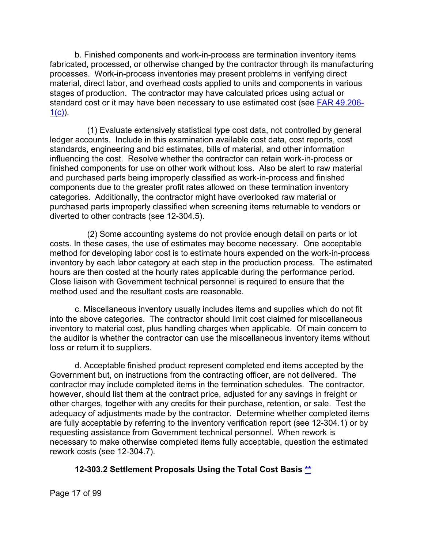b. Finished components and work-in-process are termination inventory items fabricated, processed, or otherwise changed by the contractor through its manufacturing processes. Work-in-process inventories may present problems in verifying direct material, direct labor, and overhead costs applied to units and components in various stages of production. The contractor may have calculated prices using actual or standard cost or it may have been necessary to use estimated cost (see **FAR 49.206-** $1(c)$ ).

(1) Evaluate extensively statistical type cost data, not controlled by general ledger accounts. Include in this examination available cost data, cost reports, cost standards, engineering and bid estimates, bills of material, and other information influencing the cost. Resolve whether the contractor can retain work-in-process or finished components for use on other work without loss. Also be alert to raw material and purchased parts being improperly classified as work-in-process and finished components due to the greater profit rates allowed on these termination inventory categories. Additionally, the contractor might have overlooked raw material or purchased parts improperly classified when screening items returnable to vendors or diverted to other contracts (see 12-304.5).

(2) Some accounting systems do not provide enough detail on parts or lot costs. In these cases, the use of estimates may become necessary. One acceptable method for developing labor cost is to estimate hours expended on the work-in-process inventory by each labor category at each step in the production process. The estimated hours are then costed at the hourly rates applicable during the performance period. Close liaison with Government technical personnel is required to ensure that the method used and the resultant costs are reasonable.

c. Miscellaneous inventory usually includes items and supplies which do not fit into the above categories. The contractor should limit cost claimed for miscellaneous inventory to material cost, plus handling charges when applicable. Of main concern to the auditor is whether the contractor can use the miscellaneous inventory items without loss or return it to suppliers.

d. Acceptable finished product represent completed end items accepted by the Government but, on instructions from the contracting officer, are not delivered. The contractor may include completed items in the termination schedules. The contractor, however, should list them at the contract price, adjusted for any savings in freight or other charges, together with any credits for their purchase, retention, or sale. Test the adequacy of adjustments made by the contractor. Determine whether completed items are fully acceptable by referring to the inventory verification report (see 12-304.1) or by requesting assistance from Government technical personnel. When rework is necessary to make otherwise completed items fully acceptable, question the estimated rework costs (see 12-304.7).

## **12-303.2 Settlement Proposals Using the Total Cost Basis [\\*\\*](#page-1-6)**

<span id="page-16-0"></span>Page 17 of 99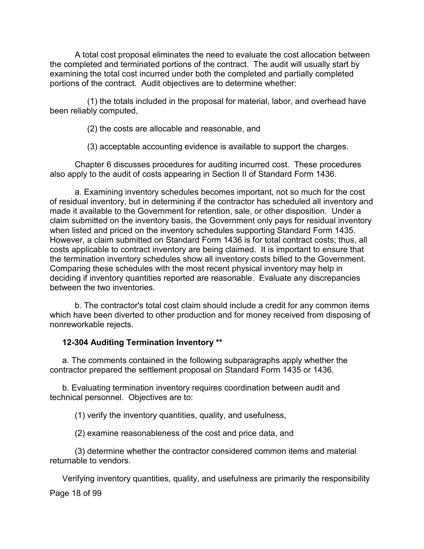A total cost proposal eliminates the need to evaluate the cost allocation between the completed and terminated portions of the contract. The audit will usually start by examining the total cost incurred under both the completed and partially completed portions of the contract. Audit objectives are to determine whether:

(1) the totals included in the proposal for material, labor, and overhead have been reliably computed,

(2) the costs are allocable and reasonable, and

(3) acceptable accounting evidence is available to support the charges.

Chapter 6 discusses procedures for auditing incurred cost. These procedures also apply to the audit of costs appearing in Section II of Standard Form 1436.

a. Examining inventory schedules becomes important, not so much for the cost of residual inventory, but in determining if the contractor has scheduled all inventory and made it available to the Government for retention, sale, or other disposition. Under a claim submitted on the inventory basis, the Government only pays for residual inventory when listed and priced on the inventory schedules supporting Standard Form 1435. However, a claim submitted on Standard Form 1436 is for total contract costs; thus, all costs applicable to contract inventory are being claimed. It is important to ensure that the termination inventory schedules show all inventory costs billed to the Government. Comparing these schedules with the most recent physical inventory may help in deciding if inventory quantities reported are reasonable. Evaluate any discrepancies between the two inventories.

b. The contractor's total cost claim should include a credit for any common items which have been diverted to other production and for money received from disposing of nonreworkable rejects.

## <span id="page-17-0"></span>**12-304 Auditing Termination Inventory [\\*\\*](#page-1-7)**

a. The comments contained in the following subparagraphs apply whether the contractor prepared the settlement proposal on Standard Form 1435 or 1436.

b. Evaluating termination inventory requires coordination between audit and technical personnel. Objectives are to:

(1) verify the inventory quantities, quality, and usefulness,

(2) examine reasonableness of the cost and price data, and

(3) determine whether the contractor considered common items and material returnable to vendors.

Page 18 of 99 Verifying inventory quantities, quality, and usefulness are primarily the responsibility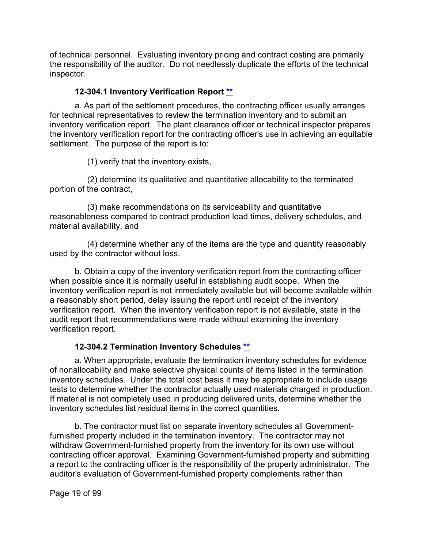of technical personnel. Evaluating inventory pricing and contract costing are primarily the responsibility of the auditor. Do not needlessly duplicate the efforts of the technical inspector.

## **12-304.1 Inventory Verification Report [\\*\\*](#page-1-8)**

<span id="page-18-0"></span>a. As part of the settlement procedures, the contracting officer usually arranges for technical representatives to review the termination inventory and to submit an inventory verification report. The plant clearance officer or technical inspector prepares the inventory verification report for the contracting officer's use in achieving an equitable settlement. The purpose of the report is to:

(1) verify that the inventory exists,

(2) determine its qualitative and quantitative allocability to the terminated portion of the contract,

(3) make recommendations on its serviceability and quantitative reasonableness compared to contract production lead times, delivery schedules, and material availability, and

(4) determine whether any of the items are the type and quantity reasonably used by the contractor without loss.

b. Obtain a copy of the inventory verification report from the contracting officer when possible since it is normally useful in establishing audit scope. When the inventory verification report is not immediately available but will become available within a reasonably short period, delay issuing the report until receipt of the inventory verification report. When the inventory verification report is not available, state in the audit report that recommendations were made without examining the inventory verification report.

## **12-304.2 Termination Inventory Schedules \*\***

<span id="page-18-1"></span>a. When appropriate, evaluate the termination inventory schedules for evidence of nonallocability and make selective physical counts of items listed in the termination inventory schedules. Under the total cost basis it may be appropriate to include usage tests to determine whether the contractor actually used materials charged in production. If material is not completely used in producing delivered units, determine whether the inventory schedules list residual items in the correct quantities.

b. The contractor must list on separate inventory schedules all Governmentfurnished property included in the termination inventory. The contractor may not withdraw Government-furnished property from the inventory for its own use without contracting officer approval. Examining Government-furnished property and submitting a report to the contracting officer is the responsibility of the property administrator. The auditor's evaluation of Government-furnished property complements rather than

Page 19 of 99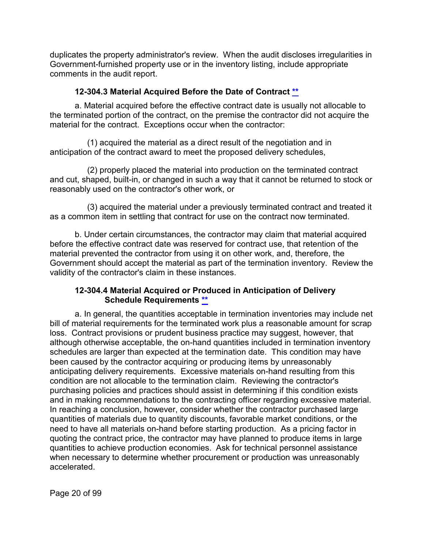duplicates the property administrator's review. When the audit discloses irregularities in Government-furnished property use or in the inventory listing, include appropriate comments in the audit report.

## **12-304.3 Material Acquired Before the Date of Contract [\\*\\*](#page-1-9)**

<span id="page-19-0"></span>a. Material acquired before the effective contract date is usually not allocable to the terminated portion of the contract, on the premise the contractor did not acquire the material for the contract. Exceptions occur when the contractor:

(1) acquired the material as a direct result of the negotiation and in anticipation of the contract award to meet the proposed delivery schedules,

(2) properly placed the material into production on the terminated contract and cut, shaped, built-in, or changed in such a way that it cannot be returned to stock or reasonably used on the contractor's other work, or

(3) acquired the material under a previously terminated contract and treated it as a common item in settling that contract for use on the contract now terminated.

b. Under certain circumstances, the contractor may claim that material acquired before the effective contract date was reserved for contract use, that retention of the material prevented the contractor from using it on other work, and, therefore, the Government should accept the material as part of the termination inventory. Review the validity of the contractor's claim in these instances.

## **12-304.4 Material Acquired or Produced in Anticipation of Delivery Schedule Requirements [\\*\\*](#page-1-10)**

<span id="page-19-1"></span>a. In general, the quantities acceptable in termination inventories may include net bill of material requirements for the terminated work plus a reasonable amount for scrap loss. Contract provisions or prudent business practice may suggest, however, that although otherwise acceptable, the on-hand quantities included in termination inventory schedules are larger than expected at the termination date. This condition may have been caused by the contractor acquiring or producing items by unreasonably anticipating delivery requirements. Excessive materials on-hand resulting from this condition are not allocable to the termination claim. Reviewing the contractor's purchasing policies and practices should assist in determining if this condition exists and in making recommendations to the contracting officer regarding excessive material. In reaching a conclusion, however, consider whether the contractor purchased large quantities of materials due to quantity discounts, favorable market conditions, or the need to have all materials on-hand before starting production. As a pricing factor in quoting the contract price, the contractor may have planned to produce items in large quantities to achieve production economies. Ask for technical personnel assistance when necessary to determine whether procurement or production was unreasonably accelerated.

Page 20 of 99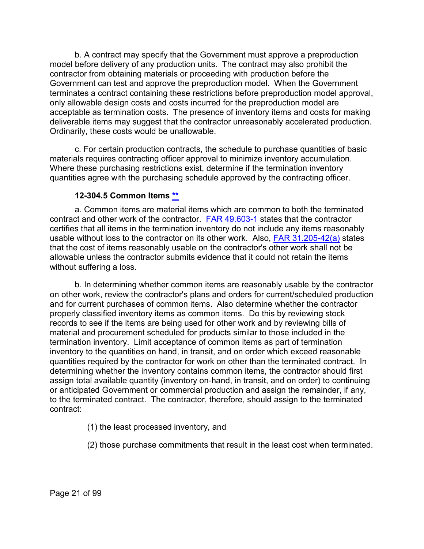b. A contract may specify that the Government must approve a preproduction model before delivery of any production units. The contract may also prohibit the contractor from obtaining materials or proceeding with production before the Government can test and approve the preproduction model. When the Government terminates a contract containing these restrictions before preproduction model approval, only allowable design costs and costs incurred for the preproduction model are acceptable as termination costs. The presence of inventory items and costs for making deliverable items may suggest that the contractor unreasonably accelerated production. Ordinarily, these costs would be unallowable.

c. For certain production contracts, the schedule to purchase quantities of basic materials requires contracting officer approval to minimize inventory accumulation. Where these purchasing restrictions exist, determine if the termination inventory quantities agree with the purchasing schedule approved by the contracting officer.

#### **12-304.5 Common Items [\\*\\*](#page-1-11)**

<span id="page-20-0"></span>a. Common items are material items which are common to both the terminated contract and other work of the contractor. [FAR 49.603-1](http://www.ecfr.gov/cgi-bin/text-idx?SID=5e3c2e1042e67d23410e37a00f9aff36&mc=true&node=se48.1.49_1603_61&rgn=div8) states that the contractor certifies that all items in the termination inventory do not include any items reasonably usable without loss to the contractor on its other work. Also, [FAR 31.205-42\(a\)](http://www.ecfr.gov/cgi-bin/text-idx?SID=5e3c2e1042e67d23410e37a00f9aff36&mc=true&node=se48.1.31_1205_642&rgn=div8) states that the cost of items reasonably usable on the contractor's other work shall not be allowable unless the contractor submits evidence that it could not retain the items without suffering a loss.

b. In determining whether common items are reasonably usable by the contractor on other work, review the contractor's plans and orders for current/scheduled production and for current purchases of common items. Also determine whether the contractor properly classified inventory items as common items. Do this by reviewing stock records to see if the items are being used for other work and by reviewing bills of material and procurement scheduled for products similar to those included in the termination inventory. Limit acceptance of common items as part of termination inventory to the quantities on hand, in transit, and on order which exceed reasonable quantities required by the contractor for work on other than the terminated contract. In determining whether the inventory contains common items, the contractor should first assign total available quantity (inventory on-hand, in transit, and on order) to continuing or anticipated Government or commercial production and assign the remainder, if any, to the terminated contract. The contractor, therefore, should assign to the terminated contract:

- (1) the least processed inventory, and
- (2) those purchase commitments that result in the least cost when terminated.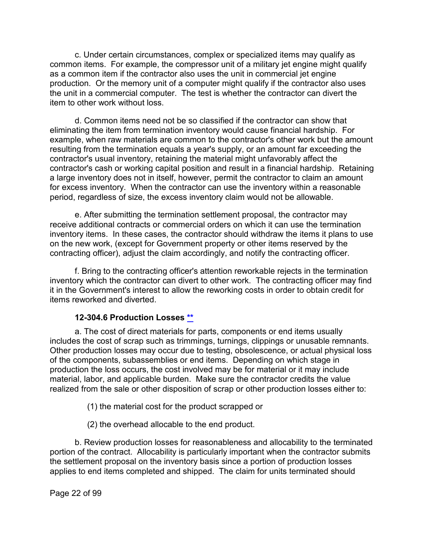c. Under certain circumstances, complex or specialized items may qualify as common items. For example, the compressor unit of a military jet engine might qualify as a common item if the contractor also uses the unit in commercial jet engine production. Or the memory unit of a computer might qualify if the contractor also uses the unit in a commercial computer. The test is whether the contractor can divert the item to other work without loss.

d. Common items need not be so classified if the contractor can show that eliminating the item from termination inventory would cause financial hardship. For example, when raw materials are common to the contractor's other work but the amount resulting from the termination equals a year's supply, or an amount far exceeding the contractor's usual inventory, retaining the material might unfavorably affect the contractor's cash or working capital position and result in a financial hardship. Retaining a large inventory does not in itself, however, permit the contractor to claim an amount for excess inventory. When the contractor can use the inventory within a reasonable period, regardless of size, the excess inventory claim would not be allowable.

e. After submitting the termination settlement proposal, the contractor may receive additional contracts or commercial orders on which it can use the termination inventory items. In these cases, the contractor should withdraw the items it plans to use on the new work, (except for Government property or other items reserved by the contracting officer), adjust the claim accordingly, and notify the contracting officer.

f. Bring to the contracting officer's attention reworkable rejects in the termination inventory which the contractor can divert to other work. The contracting officer may find it in the Government's interest to allow the reworking costs in order to obtain credit for items reworked and diverted.

## **12-304.6 Production Losses [\\*\\*](#page-1-12)**

<span id="page-21-0"></span>a. The cost of direct materials for parts, components or end items usually includes the cost of scrap such as trimmings, turnings, clippings or unusable remnants. Other production losses may occur due to testing, obsolescence, or actual physical loss of the components, subassemblies or end items. Depending on which stage in production the loss occurs, the cost involved may be for material or it may include material, labor, and applicable burden. Make sure the contractor credits the value realized from the sale or other disposition of scrap or other production losses either to:

(1) the material cost for the product scrapped or

(2) the overhead allocable to the end product.

b. Review production losses for reasonableness and allocability to the terminated portion of the contract. Allocability is particularly important when the contractor submits the settlement proposal on the inventory basis since a portion of production losses applies to end items completed and shipped. The claim for units terminated should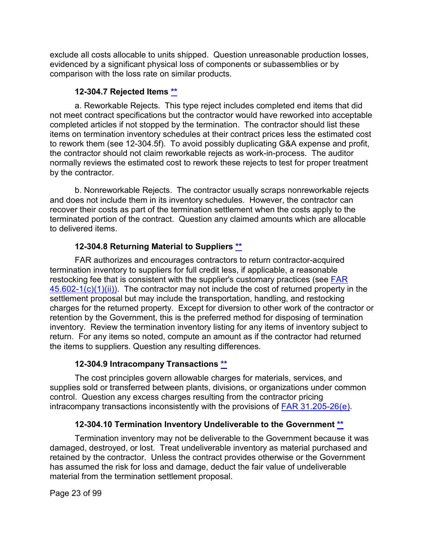exclude all costs allocable to units shipped. Question unreasonable production losses, evidenced by a significant physical loss of components or subassemblies or by comparison with the loss rate on similar products.

## **12-304.7 Rejected Items [\\*\\*](#page-1-13)**

<span id="page-22-0"></span>a. Reworkable Rejects. This type reject includes completed end items that did not meet contract specifications but the contractor would have reworked into acceptable completed articles if not stopped by the termination. The contractor should list these items on termination inventory schedules at their contract prices less the estimated cost to rework them (see 12-304.5f). To avoid possibly duplicating G&A expense and profit, the contractor should not claim reworkable rejects as work-in-process. The auditor normally reviews the estimated cost to rework these rejects to test for proper treatment by the contractor.

b. Nonreworkable Rejects. The contractor usually scraps nonreworkable rejects and does not include them in its inventory schedules. However, the contractor can recover their costs as part of the termination settlement when the costs apply to the terminated portion of the contract. Question any claimed amounts which are allocable to delivered items.

## **12-304.8 Returning Material to Suppliers [\\*\\*](#page-1-14)**

<span id="page-22-1"></span>FAR authorizes and encourages contractors to return contractor-acquired termination inventory to suppliers for full credit less, if applicable, a reasonable restocking fee that is consistent with the supplier's customary practices (see [FAR](http://www.ecfr.gov/cgi-bin/text-idx?SID=5e3c2e1042e67d23410e37a00f9aff36&mc=true&node=se48.1.45_1602_61&rgn=div8)   $45.602-1(c)(1)(ii)$ . The contractor may not include the cost of returned property in the settlement proposal but may include the transportation, handling, and restocking charges for the returned property. Except for diversion to other work of the contractor or retention by the Government, this is the preferred method for disposing of termination inventory. Review the termination inventory listing for any items of inventory subject to return. For any items so noted, compute an amount as if the contractor had returned the items to suppliers. Question any resulting differences.

## **12-304.9 Intracompany Transactions [\\*\\*](#page-1-15)**

<span id="page-22-2"></span>The cost principles govern allowable charges for materials, services, and supplies sold or transferred between plants, divisions, or organizations under common control. Question any excess charges resulting from the contractor pricing intracompany transactions inconsistently with the provisions of [FAR 31.205-26\(e\).](http://www.ecfr.gov/cgi-bin/text-idx?SID=5e3c2e1042e67d23410e37a00f9aff36&mc=true&node=se48.1.31_1205_626&rgn=div8)

## **12-304.10 Termination Inventory Undeliverable to the Government [\\*\\*](#page-1-16)**

<span id="page-22-3"></span>Termination inventory may not be deliverable to the Government because it was damaged, destroyed, or lost. Treat undeliverable inventory as material purchased and retained by the contractor. Unless the contract provides otherwise or the Government has assumed the risk for loss and damage, deduct the fair value of undeliverable material from the termination settlement proposal.

Page 23 of 99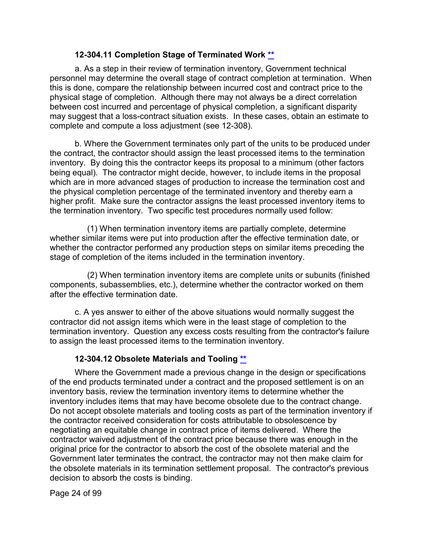#### **12-304.11 Completion Stage of Terminated Work [\\*\\*](#page-1-17)**

<span id="page-23-0"></span>a. As a step in their review of termination inventory, Government technical personnel may determine the overall stage of contract completion at termination. When this is done, compare the relationship between incurred cost and contract price to the physical stage of completion. Although there may not always be a direct correlation between cost incurred and percentage of physical completion, a significant disparity may suggest that a loss-contract situation exists. In these cases, obtain an estimate to complete and compute a loss adjustment (see 12-308).

b. Where the Government terminates only part of the units to be produced under the contract, the contractor should assign the least processed items to the termination inventory. By doing this the contractor keeps its proposal to a minimum (other factors being equal). The contractor might decide, however, to include items in the proposal which are in more advanced stages of production to increase the termination cost and the physical completion percentage of the terminated inventory and thereby earn a higher profit. Make sure the contractor assigns the least processed inventory items to the termination inventory. Two specific test procedures normally used follow:

(1) When termination inventory items are partially complete, determine whether similar items were put into production after the effective termination date, or whether the contractor performed any production steps on similar items preceding the stage of completion of the items included in the termination inventory.

(2) When termination inventory items are complete units or subunits (finished components, subassemblies, etc.), determine whether the contractor worked on them after the effective termination date.

c. A yes answer to either of the above situations would normally suggest the contractor did not assign items which were in the least stage of completion to the termination inventory. Question any excess costs resulting from the contractor's failure to assign the least processed items to the termination inventory.

## **12-304.12 Obsolete Materials and Tooling [\\*\\*](#page-1-18)**

<span id="page-23-1"></span>Where the Government made a previous change in the design or specifications of the end products terminated under a contract and the proposed settlement is on an inventory basis, review the termination inventory items to determine whether the inventory includes items that may have become obsolete due to the contract change. Do not accept obsolete materials and tooling costs as part of the termination inventory if the contractor received consideration for costs attributable to obsolescence by negotiating an equitable change in contract price of items delivered. Where the contractor waived adjustment of the contract price because there was enough in the original price for the contractor to absorb the cost of the obsolete material and the Government later terminates the contract, the contractor may not then make claim for the obsolete materials in its termination settlement proposal. The contractor's previous decision to absorb the costs is binding.

Page 24 of 99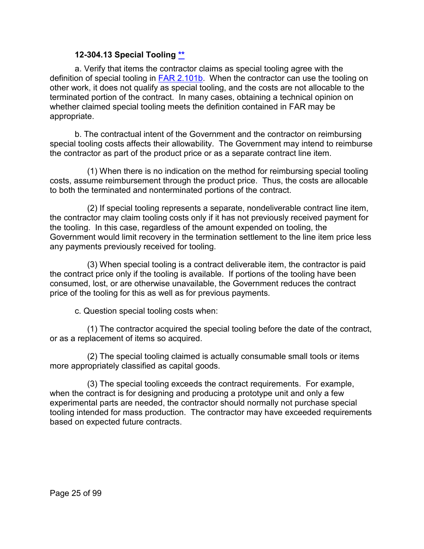#### **12-304.13 Special Tooling [\\*\\*](#page-1-19)**

<span id="page-24-0"></span>a. Verify that items the contractor claims as special tooling agree with the definition of special tooling in [FAR 2.101b.](http://www.ecfr.gov/cgi-bin/text-idx?SID=5e3c2e1042e67d23410e37a00f9aff36&mc=true&node=se48.1.2_1101&rgn=div8) When the contractor can use the tooling on other work, it does not qualify as special tooling, and the costs are not allocable to the terminated portion of the contract. In many cases, obtaining a technical opinion on whether claimed special tooling meets the definition contained in FAR may be appropriate.

b. The contractual intent of the Government and the contractor on reimbursing special tooling costs affects their allowability. The Government may intend to reimburse the contractor as part of the product price or as a separate contract line item.

(1) When there is no indication on the method for reimbursing special tooling costs, assume reimbursement through the product price. Thus, the costs are allocable to both the terminated and nonterminated portions of the contract.

(2) If special tooling represents a separate, nondeliverable contract line item, the contractor may claim tooling costs only if it has not previously received payment for the tooling. In this case, regardless of the amount expended on tooling, the Government would limit recovery in the termination settlement to the line item price less any payments previously received for tooling.

(3) When special tooling is a contract deliverable item, the contractor is paid the contract price only if the tooling is available. If portions of the tooling have been consumed, lost, or are otherwise unavailable, the Government reduces the contract price of the tooling for this as well as for previous payments.

c. Question special tooling costs when:

(1) The contractor acquired the special tooling before the date of the contract, or as a replacement of items so acquired.

(2) The special tooling claimed is actually consumable small tools or items more appropriately classified as capital goods.

(3) The special tooling exceeds the contract requirements. For example, when the contract is for designing and producing a prototype unit and only a few experimental parts are needed, the contractor should normally not purchase special tooling intended for mass production. The contractor may have exceeded requirements based on expected future contracts.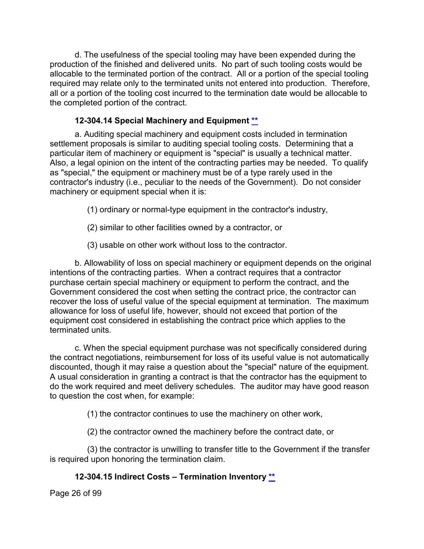d. The usefulness of the special tooling may have been expended during the production of the finished and delivered units. No part of such tooling costs would be allocable to the terminated portion of the contract. All or a portion of the special tooling required may relate only to the terminated units not entered into production. Therefore, all or a portion of the tooling cost incurred to the termination date would be allocable to the completed portion of the contract.

## **12-304.14 Special Machinery and Equipment [\\*\\*](#page-1-20)**

<span id="page-25-0"></span>a. Auditing special machinery and equipment costs included in termination settlement proposals is similar to auditing special tooling costs. Determining that a particular item of machinery or equipment is "special" is usually a technical matter. Also, a legal opinion on the intent of the contracting parties may be needed. To qualify as "special," the equipment or machinery must be of a type rarely used in the contractor's industry (i.e., peculiar to the needs of the Government). Do not consider machinery or equipment special when it is:

(1) ordinary or normal-type equipment in the contractor's industry,

- (2) similar to other facilities owned by a contractor, or
- (3) usable on other work without loss to the contractor.

b. Allowability of loss on special machinery or equipment depends on the original intentions of the contracting parties. When a contract requires that a contractor purchase certain special machinery or equipment to perform the contract, and the Government considered the cost when setting the contract price, the contractor can recover the loss of useful value of the special equipment at termination. The maximum allowance for loss of useful life, however, should not exceed that portion of the equipment cost considered in establishing the contract price which applies to the terminated units.

c. When the special equipment purchase was not specifically considered during the contract negotiations, reimbursement for loss of its useful value is not automatically discounted, though it may raise a question about the "special" nature of the equipment. A usual consideration in granting a contract is that the contractor has the equipment to do the work required and meet delivery schedules. The auditor may have good reason to question the cost when, for example:

(1) the contractor continues to use the machinery on other work,

(2) the contractor owned the machinery before the contract date, or

(3) the contractor is unwilling to transfer title to the Government if the transfer is required upon honoring the termination claim.

## **12-304.15 Indirect Costs – Termination Inventory [\\*\\*](#page-1-21)**

<span id="page-25-1"></span>Page 26 of 99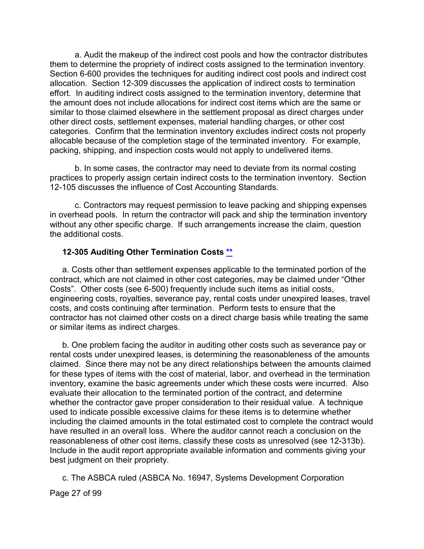a. Audit the makeup of the indirect cost pools and how the contractor distributes them to determine the propriety of indirect costs assigned to the termination inventory. Section 6-600 provides the techniques for auditing indirect cost pools and indirect cost allocation. Section 12-309 discusses the application of indirect costs to termination effort. In auditing indirect costs assigned to the termination inventory, determine that the amount does not include allocations for indirect cost items which are the same or similar to those claimed elsewhere in the settlement proposal as direct charges under other direct costs, settlement expenses, material handling charges, or other cost categories. Confirm that the termination inventory excludes indirect costs not properly allocable because of the completion stage of the terminated inventory. For example, packing, shipping, and inspection costs would not apply to undelivered items.

b. In some cases, the contractor may need to deviate from its normal costing practices to properly assign certain indirect costs to the termination inventory. Section 12-105 discusses the influence of Cost Accounting Standards.

c. Contractors may request permission to leave packing and shipping expenses in overhead pools. In return the contractor will pack and ship the termination inventory without any other specific charge. If such arrangements increase the claim, question the additional costs.

#### <span id="page-26-0"></span>**12-305 Auditing Other Termination Costs [\\*\\*](#page-1-22)**

a. Costs other than settlement expenses applicable to the terminated portion of the contract, which are not claimed in other cost categories, may be claimed under "Other Costs". Other costs (see 6-500) frequently include such items as initial costs, engineering costs, royalties, severance pay, rental costs under unexpired leases, travel costs, and costs continuing after termination. Perform tests to ensure that the contractor has not claimed other costs on a direct charge basis while treating the same or similar items as indirect charges.

b. One problem facing the auditor in auditing other costs such as severance pay or rental costs under unexpired leases, is determining the reasonableness of the amounts claimed. Since there may not be any direct relationships between the amounts claimed for these types of items with the cost of material, labor, and overhead in the termination inventory, examine the basic agreements under which these costs were incurred. Also evaluate their allocation to the terminated portion of the contract, and determine whether the contractor gave proper consideration to their residual value. A technique used to indicate possible excessive claims for these items is to determine whether including the claimed amounts in the total estimated cost to complete the contract would have resulted in an overall loss. Where the auditor cannot reach a conclusion on the reasonableness of other cost items, classify these costs as unresolved (see 12-313b). Include in the audit report appropriate available information and comments giving your best judgment on their propriety.

c. The ASBCA ruled (ASBCA No. 16947, Systems Development Corporation

Page 27 of 99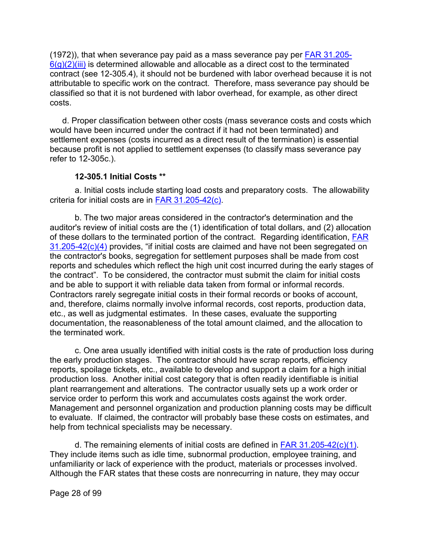$(1972)$ ), that when severance pay paid as a mass severance pay per  $FAR$  31.205- $6(g)(2)(iii)$  is determined allowable and allocable as a direct cost to the terminated contract (see 12-305.4), it should not be burdened with labor overhead because it is not attributable to specific work on the contract. Therefore, mass severance pay should be classified so that it is not burdened with labor overhead, for example, as other direct costs.

d. Proper classification between other costs (mass severance costs and costs which would have been incurred under the contract if it had not been terminated) and settlement expenses (costs incurred as a direct result of the termination) is essential because profit is not applied to settlement expenses (to classify mass severance pay refer to 12-305c.).

#### **12-305.1 Initial Costs [\\*\\*](#page-1-23)**

<span id="page-27-0"></span>a. Initial costs include starting load costs and preparatory costs. The allowability criteria for initial costs are in [FAR 31.205-42\(c\).](http://www.ecfr.gov/cgi-bin/text-idx?SID=5e3c2e1042e67d23410e37a00f9aff36&mc=true&node=se48.1.31_1205_642&rgn=div8)

b. The two major areas considered in the contractor's determination and the auditor's review of initial costs are the (1) identification of total dollars, and (2) allocation of these dollars to the terminated portion of the contract. Regarding identification, [FAR](http://www.ecfr.gov/cgi-bin/text-idx?SID=5e3c2e1042e67d23410e37a00f9aff36&mc=true&node=se48.1.31_1205_642&rgn=div8)  [31.205-42\(c\)\(4\)](http://www.ecfr.gov/cgi-bin/text-idx?SID=5e3c2e1042e67d23410e37a00f9aff36&mc=true&node=se48.1.31_1205_642&rgn=div8) provides, "if initial costs are claimed and have not been segregated on the contractor's books, segregation for settlement purposes shall be made from cost reports and schedules which reflect the high unit cost incurred during the early stages of the contract". To be considered, the contractor must submit the claim for initial costs and be able to support it with reliable data taken from formal or informal records. Contractors rarely segregate initial costs in their formal records or books of account, and, therefore, claims normally involve informal records, cost reports, production data, etc., as well as judgmental estimates. In these cases, evaluate the supporting documentation, the reasonableness of the total amount claimed, and the allocation to the terminated work.

c. One area usually identified with initial costs is the rate of production loss during the early production stages. The contractor should have scrap reports, efficiency reports, spoilage tickets, etc., available to develop and support a claim for a high initial production loss. Another initial cost category that is often readily identifiable is initial plant rearrangement and alterations. The contractor usually sets up a work order or service order to perform this work and accumulates costs against the work order. Management and personnel organization and production planning costs may be difficult to evaluate. If claimed, the contractor will probably base these costs on estimates, and help from technical specialists may be necessary.

d. The remaining elements of initial costs are defined in [FAR 31.205-42\(c\)\(1\).](http://www.ecfr.gov/cgi-bin/text-idx?SID=5e3c2e1042e67d23410e37a00f9aff36&mc=true&node=se48.1.31_1205_642&rgn=div8) They include items such as idle time, subnormal production, employee training, and unfamiliarity or lack of experience with the product, materials or processes involved. Although the FAR states that these costs are nonrecurring in nature, they may occur

Page 28 of 99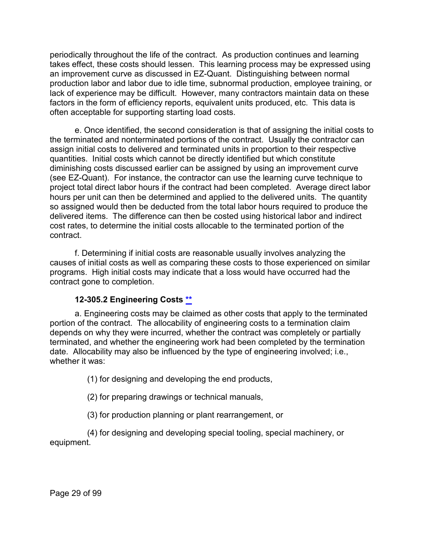periodically throughout the life of the contract. As production continues and learning takes effect, these costs should lessen. This learning process may be expressed using an improvement curve as discussed in EZ-Quant. Distinguishing between normal production labor and labor due to idle time, subnormal production, employee training, or lack of experience may be difficult. However, many contractors maintain data on these factors in the form of efficiency reports, equivalent units produced, etc. This data is often acceptable for supporting starting load costs.

e. Once identified, the second consideration is that of assigning the initial costs to the terminated and nonterminated portions of the contract. Usually the contractor can assign initial costs to delivered and terminated units in proportion to their respective quantities. Initial costs which cannot be directly identified but which constitute diminishing costs discussed earlier can be assigned by using an improvement curve (see EZ-Quant). For instance, the contractor can use the learning curve technique to project total direct labor hours if the contract had been completed. Average direct labor hours per unit can then be determined and applied to the delivered units. The quantity so assigned would then be deducted from the total labor hours required to produce the delivered items. The difference can then be costed using historical labor and indirect cost rates, to determine the initial costs allocable to the terminated portion of the contract.

f. Determining if initial costs are reasonable usually involves analyzing the causes of initial costs as well as comparing these costs to those experienced on similar programs. High initial costs may indicate that a loss would have occurred had the contract gone to completion.

#### **12-305.2 Engineering Costs [\\*\\*](#page-1-24)**

<span id="page-28-0"></span>a. Engineering costs may be claimed as other costs that apply to the terminated portion of the contract. The allocability of engineering costs to a termination claim depends on why they were incurred, whether the contract was completely or partially terminated, and whether the engineering work had been completed by the termination date. Allocability may also be influenced by the type of engineering involved; i.e., whether it was:

(1) for designing and developing the end products,

(2) for preparing drawings or technical manuals,

(3) for production planning or plant rearrangement, or

(4) for designing and developing special tooling, special machinery, or equipment.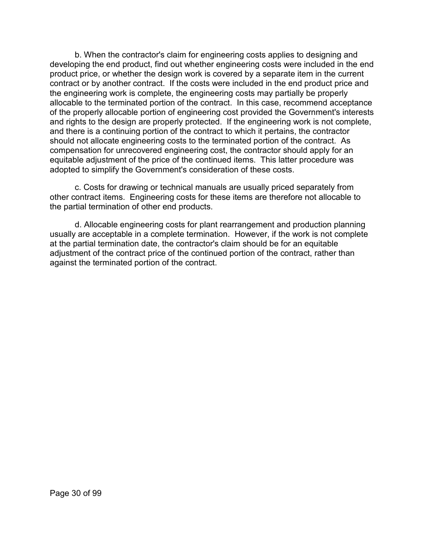b. When the contractor's claim for engineering costs applies to designing and developing the end product, find out whether engineering costs were included in the end product price, or whether the design work is covered by a separate item in the current contract or by another contract. If the costs were included in the end product price and the engineering work is complete, the engineering costs may partially be properly allocable to the terminated portion of the contract. In this case, recommend acceptance of the properly allocable portion of engineering cost provided the Government's interests and rights to the design are properly protected. If the engineering work is not complete, and there is a continuing portion of the contract to which it pertains, the contractor should not allocate engineering costs to the terminated portion of the contract. As compensation for unrecovered engineering cost, the contractor should apply for an equitable adjustment of the price of the continued items. This latter procedure was adopted to simplify the Government's consideration of these costs.

c. Costs for drawing or technical manuals are usually priced separately from other contract items. Engineering costs for these items are therefore not allocable to the partial termination of other end products.

d. Allocable engineering costs for plant rearrangement and production planning usually are acceptable in a complete termination. However, if the work is not complete at the partial termination date, the contractor's claim should be for an equitable adjustment of the contract price of the continued portion of the contract, rather than against the terminated portion of the contract.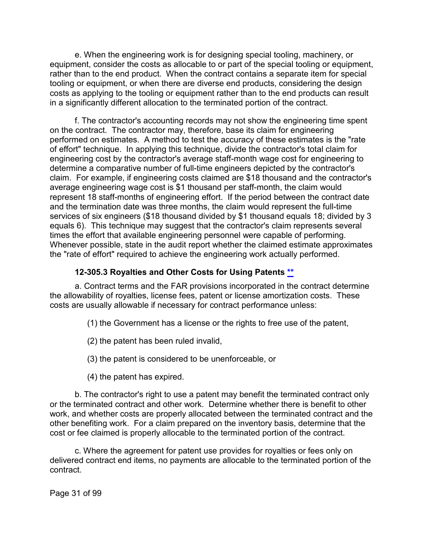e. When the engineering work is for designing special tooling, machinery, or equipment, consider the costs as allocable to or part of the special tooling or equipment, rather than to the end product. When the contract contains a separate item for special tooling or equipment, or when there are diverse end products, considering the design costs as applying to the tooling or equipment rather than to the end products can result in a significantly different allocation to the terminated portion of the contract.

f. The contractor's accounting records may not show the engineering time spent on the contract. The contractor may, therefore, base its claim for engineering performed on estimates. A method to test the accuracy of these estimates is the "rate of effort" technique. In applying this technique, divide the contractor's total claim for engineering cost by the contractor's average staff-month wage cost for engineering to determine a comparative number of full-time engineers depicted by the contractor's claim. For example, if engineering costs claimed are \$18 thousand and the contractor's average engineering wage cost is \$1 thousand per staff-month, the claim would represent 18 staff-months of engineering effort. If the period between the contract date and the termination date was three months, the claim would represent the full-time services of six engineers (\$18 thousand divided by \$1 thousand equals 18; divided by 3 equals 6). This technique may suggest that the contractor's claim represents several times the effort that available engineering personnel were capable of performing. Whenever possible, state in the audit report whether the claimed estimate approximates the "rate of effort" required to achieve the engineering work actually performed.

## **12-305.3 Royalties and Other Costs for Using Patents [\\*\\*](#page-1-25)**

<span id="page-30-0"></span>a. Contract terms and the FAR provisions incorporated in the contract determine the allowability of royalties, license fees, patent or license amortization costs. These costs are usually allowable if necessary for contract performance unless:

- (1) the Government has a license or the rights to free use of the patent,
- (2) the patent has been ruled invalid,
- (3) the patent is considered to be unenforceable, or
- (4) the patent has expired.

b. The contractor's right to use a patent may benefit the terminated contract only or the terminated contract and other work. Determine whether there is benefit to other work, and whether costs are properly allocated between the terminated contract and the other benefiting work. For a claim prepared on the inventory basis, determine that the cost or fee claimed is properly allocable to the terminated portion of the contract.

c. Where the agreement for patent use provides for royalties or fees only on delivered contract end items, no payments are allocable to the terminated portion of the contract.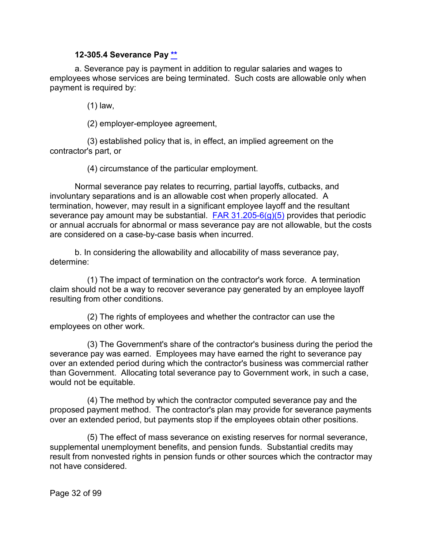#### **12-305.4 Severance Pay [\\*\\*](#page-1-26)**

<span id="page-31-0"></span>a. Severance pay is payment in addition to regular salaries and wages to employees whose services are being terminated. Such costs are allowable only when payment is required by:

(1) law,

(2) employer-employee agreement,

(3) established policy that is, in effect, an implied agreement on the contractor's part, or

(4) circumstance of the particular employment.

Normal severance pay relates to recurring, partial layoffs, cutbacks, and involuntary separations and is an allowable cost when properly allocated. A termination, however, may result in a significant employee layoff and the resultant severance pay amount may be substantial.  $FAR 31.205-6(q)(5)$  provides that periodic or annual accruals for abnormal or mass severance pay are not allowable, but the costs are considered on a case-by-case basis when incurred.

b. In considering the allowability and allocability of mass severance pay, determine:

(1) The impact of termination on the contractor's work force. A termination claim should not be a way to recover severance pay generated by an employee layoff resulting from other conditions.

(2) The rights of employees and whether the contractor can use the employees on other work.

(3) The Government's share of the contractor's business during the period the severance pay was earned. Employees may have earned the right to severance pay over an extended period during which the contractor's business was commercial rather than Government. Allocating total severance pay to Government work, in such a case, would not be equitable.

(4) The method by which the contractor computed severance pay and the proposed payment method. The contractor's plan may provide for severance payments over an extended period, but payments stop if the employees obtain other positions.

(5) The effect of mass severance on existing reserves for normal severance, supplemental unemployment benefits, and pension funds. Substantial credits may result from nonvested rights in pension funds or other sources which the contractor may not have considered.

Page 32 of 99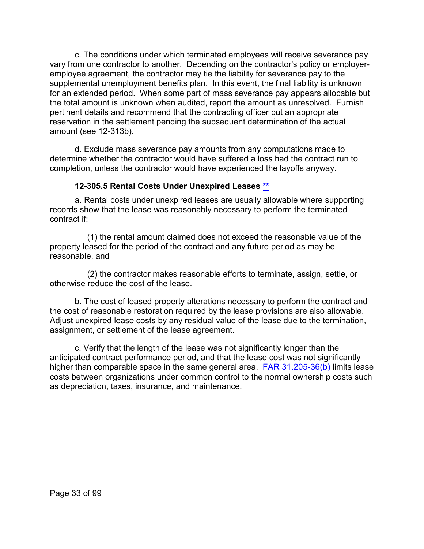c. The conditions under which terminated employees will receive severance pay vary from one contractor to another. Depending on the contractor's policy or employeremployee agreement, the contractor may tie the liability for severance pay to the supplemental unemployment benefits plan. In this event, the final liability is unknown for an extended period. When some part of mass severance pay appears allocable but the total amount is unknown when audited, report the amount as unresolved. Furnish pertinent details and recommend that the contracting officer put an appropriate reservation in the settlement pending the subsequent determination of the actual amount (see 12-313b).

d. Exclude mass severance pay amounts from any computations made to determine whether the contractor would have suffered a loss had the contract run to completion, unless the contractor would have experienced the layoffs anyway.

#### **12-305.5 Rental Costs Under Unexpired Leases [\\*\\*](#page-1-27)**

<span id="page-32-0"></span>a. Rental costs under unexpired leases are usually allowable where supporting records show that the lease was reasonably necessary to perform the terminated contract if:

(1) the rental amount claimed does not exceed the reasonable value of the property leased for the period of the contract and any future period as may be reasonable, and

(2) the contractor makes reasonable efforts to terminate, assign, settle, or otherwise reduce the cost of the lease.

b. The cost of leased property alterations necessary to perform the contract and the cost of reasonable restoration required by the lease provisions are also allowable. Adjust unexpired lease costs by any residual value of the lease due to the termination, assignment, or settlement of the lease agreement.

c. Verify that the length of the lease was not significantly longer than the anticipated contract performance period, and that the lease cost was not significantly higher than comparable space in the same general area. [FAR 31.205-36\(b\)](http://www.ecfr.gov/cgi-bin/text-idx?SID=5e3c2e1042e67d23410e37a00f9aff36&mc=true&node=se48.1.31_1205_636&rgn=div8) limits lease costs between organizations under common control to the normal ownership costs such as depreciation, taxes, insurance, and maintenance.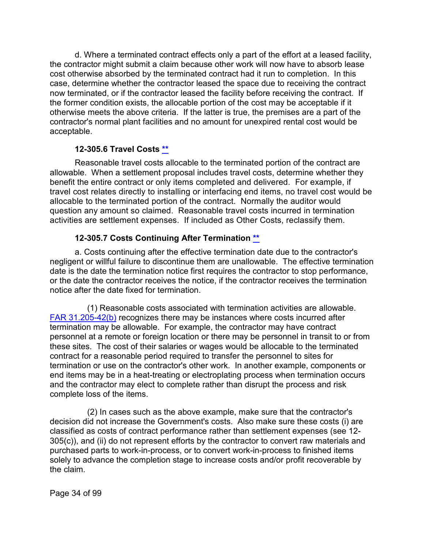d. Where a terminated contract effects only a part of the effort at a leased facility, the contractor might submit a claim because other work will now have to absorb lease cost otherwise absorbed by the terminated contract had it run to completion. In this case, determine whether the contractor leased the space due to receiving the contract now terminated, or if the contractor leased the facility before receiving the contract. If the former condition exists, the allocable portion of the cost may be acceptable if it otherwise meets the above criteria. If the latter is true, the premises are a part of the contractor's normal plant facilities and no amount for unexpired rental cost would be acceptable.

## **12-305.6 Travel Costs [\\*\\*](#page-1-28)**

<span id="page-33-0"></span>Reasonable travel costs allocable to the terminated portion of the contract are allowable. When a settlement proposal includes travel costs, determine whether they benefit the entire contract or only items completed and delivered. For example, if travel cost relates directly to installing or interfacing end items, no travel cost would be allocable to the terminated portion of the contract. Normally the auditor would question any amount so claimed. Reasonable travel costs incurred in termination activities are settlement expenses. If included as Other Costs, reclassify them.

## **12-305.7 Costs Continuing After Termination [\\*\\*](#page-1-29)**

<span id="page-33-1"></span>a. Costs continuing after the effective termination date due to the contractor's negligent or willful failure to discontinue them are unallowable. The effective termination date is the date the termination notice first requires the contractor to stop performance, or the date the contractor receives the notice, if the contractor receives the termination notice after the date fixed for termination.

(1) Reasonable costs associated with termination activities are allowable. [FAR 31.205-42\(b\)](http://www.ecfr.gov/cgi-bin/text-idx?SID=5e3c2e1042e67d23410e37a00f9aff36&mc=true&node=se48.1.31_1205_642&rgn=div8) recognizes there may be instances where costs incurred after termination may be allowable. For example, the contractor may have contract personnel at a remote or foreign location or there may be personnel in transit to or from these sites. The cost of their salaries or wages would be allocable to the terminated contract for a reasonable period required to transfer the personnel to sites for termination or use on the contractor's other work. In another example, components or end items may be in a heat-treating or electroplating process when termination occurs and the contractor may elect to complete rather than disrupt the process and risk complete loss of the items.

(2) In cases such as the above example, make sure that the contractor's decision did not increase the Government's costs. Also make sure these costs (i) are classified as costs of contract performance rather than settlement expenses (see 12- 305(c)), and (ii) do not represent efforts by the contractor to convert raw materials and purchased parts to work-in-process, or to convert work-in-process to finished items solely to advance the completion stage to increase costs and/or profit recoverable by the claim.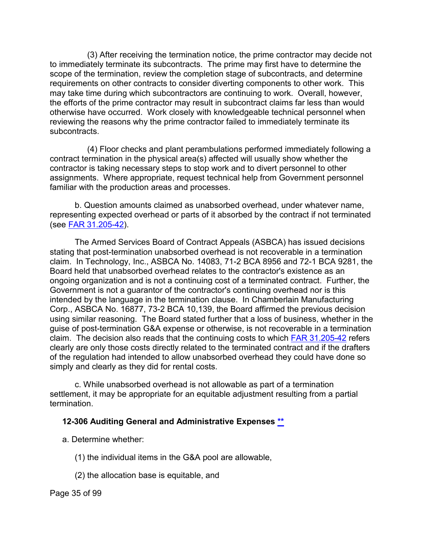(3) After receiving the termination notice, the prime contractor may decide not to immediately terminate its subcontracts. The prime may first have to determine the scope of the termination, review the completion stage of subcontracts, and determine requirements on other contracts to consider diverting components to other work. This may take time during which subcontractors are continuing to work. Overall, however, the efforts of the prime contractor may result in subcontract claims far less than would otherwise have occurred. Work closely with knowledgeable technical personnel when reviewing the reasons why the prime contractor failed to immediately terminate its subcontracts.

(4) Floor checks and plant perambulations performed immediately following a contract termination in the physical area(s) affected will usually show whether the contractor is taking necessary steps to stop work and to divert personnel to other assignments. Where appropriate, request technical help from Government personnel familiar with the production areas and processes.

b. Question amounts claimed as unabsorbed overhead, under whatever name, representing expected overhead or parts of it absorbed by the contract if not terminated (see [FAR 31.205-42\)](http://www.ecfr.gov/cgi-bin/text-idx?SID=5e3c2e1042e67d23410e37a00f9aff36&mc=true&node=se48.1.31_1205_642&rgn=div8).

The Armed Services Board of Contract Appeals (ASBCA) has issued decisions stating that post-termination unabsorbed overhead is not recoverable in a termination claim. In Technology, Inc., ASBCA No. 14083, 71-2 BCA 8956 and 72-1 BCA 9281, the Board held that unabsorbed overhead relates to the contractor's existence as an ongoing organization and is not a continuing cost of a terminated contract. Further, the Government is not a guarantor of the contractor's continuing overhead nor is this intended by the language in the termination clause. In Chamberlain Manufacturing Corp., ASBCA No. 16877, 73-2 BCA 10,139, the Board affirmed the previous decision using similar reasoning. The Board stated further that a loss of business, whether in the guise of post-termination G&A expense or otherwise, is not recoverable in a termination claim. The decision also reads that the continuing costs to which [FAR 31.205-42](http://www.ecfr.gov/cgi-bin/text-idx?SID=5e3c2e1042e67d23410e37a00f9aff36&mc=true&node=se48.1.31_1205_642&rgn=div8) refers clearly are only those costs directly related to the terminated contract and if the drafters of the regulation had intended to allow unabsorbed overhead they could have done so simply and clearly as they did for rental costs.

c. While unabsorbed overhead is not allowable as part of a termination settlement, it may be appropriate for an equitable adjustment resulting from a partial termination.

## <span id="page-34-0"></span>**12-306 Auditing General and Administrative Expenses [\\*\\*](#page-1-30)**

- a. Determine whether:
	- (1) the individual items in the G&A pool are allowable,
	- (2) the allocation base is equitable, and

Page 35 of 99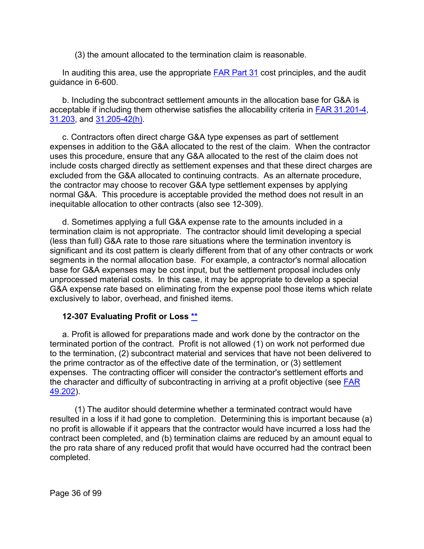(3) the amount allocated to the termination claim is reasonable.

In auditing this area, use the appropriate [FAR Part 31](http://www.ecfr.gov/cgi-bin/text-idx?SID=800af1a052bb4d91c35a26ab038398e8&mc=true&node=pt48.1.31&rgn=div5) cost principles, and the audit guidance in 6-600.

b. Including the subcontract settlement amounts in the allocation base for G&A is acceptable if including them otherwise satisfies the allocability criteria in [FAR 31.201-4,](http://www.ecfr.gov/cgi-bin/text-idx?SID=5e3c2e1042e67d23410e37a00f9aff36&mc=true&node=se48.1.31_1201_64&rgn=div8) [31.203,](http://www.ecfr.gov/cgi-bin/retrieveECFR?gp=&SID=5e3c2e1042e67d23410e37a00f9aff36&mc=true&r=SECTION&n=se48.1.31_1203) and [31.205-42\(h\).](http://www.ecfr.gov/cgi-bin/text-idx?SID=5e3c2e1042e67d23410e37a00f9aff36&mc=true&node=se48.1.31_1205_642&rgn=div8)

c. Contractors often direct charge G&A type expenses as part of settlement expenses in addition to the G&A allocated to the rest of the claim. When the contractor uses this procedure, ensure that any G&A allocated to the rest of the claim does not include costs charged directly as settlement expenses and that these direct charges are excluded from the G&A allocated to continuing contracts. As an alternate procedure, the contractor may choose to recover G&A type settlement expenses by applying normal G&A. This procedure is acceptable provided the method does not result in an inequitable allocation to other contracts (also see 12-309).

d. Sometimes applying a full G&A expense rate to the amounts included in a termination claim is not appropriate. The contractor should limit developing a special (less than full) G&A rate to those rare situations where the termination inventory is significant and its cost pattern is clearly different from that of any other contracts or work segments in the normal allocation base. For example, a contractor's normal allocation base for G&A expenses may be cost input, but the settlement proposal includes only unprocessed material costs. In this case, it may be appropriate to develop a special G&A expense rate based on eliminating from the expense pool those items which relate exclusively to labor, overhead, and finished items.

#### <span id="page-35-0"></span>**12-307 Evaluating Profit or Loss [\\*\\*](#page-1-31)**

a. Profit is allowed for preparations made and work done by the contractor on the terminated portion of the contract. Profit is not allowed (1) on work not performed due to the termination, (2) subcontract material and services that have not been delivered to the prime contractor as of the effective date of the termination, or (3) settlement expenses. The contracting officer will consider the contractor's settlement efforts and the character and difficulty of subcontracting in arriving at a profit objective (see [FAR](http://www.ecfr.gov/cgi-bin/text-idx?SID=5e3c2e1042e67d23410e37a00f9aff36&mc=true&node=se48.1.49_1202&rgn=div8)  [49.202\)](http://www.ecfr.gov/cgi-bin/text-idx?SID=5e3c2e1042e67d23410e37a00f9aff36&mc=true&node=se48.1.49_1202&rgn=div8).

(1) The auditor should determine whether a terminated contract would have resulted in a loss if it had gone to completion. Determining this is important because (a) no profit is allowable if it appears that the contractor would have incurred a loss had the contract been completed, and (b) termination claims are reduced by an amount equal to the pro rata share of any reduced profit that would have occurred had the contract been completed.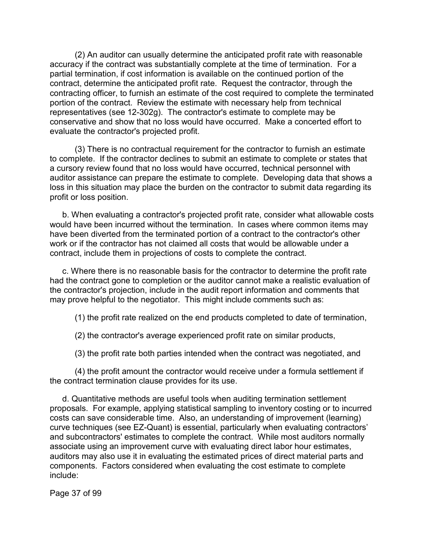(2) An auditor can usually determine the anticipated profit rate with reasonable accuracy if the contract was substantially complete at the time of termination. For a partial termination, if cost information is available on the continued portion of the contract, determine the anticipated profit rate. Request the contractor, through the contracting officer, to furnish an estimate of the cost required to complete the terminated portion of the contract. Review the estimate with necessary help from technical representatives (see 12-302g). The contractor's estimate to complete may be conservative and show that no loss would have occurred. Make a concerted effort to evaluate the contractor's projected profit.

(3) There is no contractual requirement for the contractor to furnish an estimate to complete. If the contractor declines to submit an estimate to complete or states that a cursory review found that no loss would have occurred, technical personnel with auditor assistance can prepare the estimate to complete. Developing data that shows a loss in this situation may place the burden on the contractor to submit data regarding its profit or loss position.

b. When evaluating a contractor's projected profit rate, consider what allowable costs would have been incurred without the termination. In cases where common items may have been diverted from the terminated portion of a contract to the contractor's other work or if the contractor has not claimed all costs that would be allowable under a contract, include them in projections of costs to complete the contract.

c. Where there is no reasonable basis for the contractor to determine the profit rate had the contract gone to completion or the auditor cannot make a realistic evaluation of the contractor's projection, include in the audit report information and comments that may prove helpful to the negotiator. This might include comments such as:

(1) the profit rate realized on the end products completed to date of termination,

(2) the contractor's average experienced profit rate on similar products,

(3) the profit rate both parties intended when the contract was negotiated, and

(4) the profit amount the contractor would receive under a formula settlement if the contract termination clause provides for its use.

d. Quantitative methods are useful tools when auditing termination settlement proposals. For example, applying statistical sampling to inventory costing or to incurred costs can save considerable time. Also, an understanding of improvement (learning) curve techniques (see EZ-Quant) is essential, particularly when evaluating contractors' and subcontractors' estimates to complete the contract. While most auditors normally associate using an improvement curve with evaluating direct labor hour estimates, auditors may also use it in evaluating the estimated prices of direct material parts and components. Factors considered when evaluating the cost estimate to complete include:

Page 37 of 99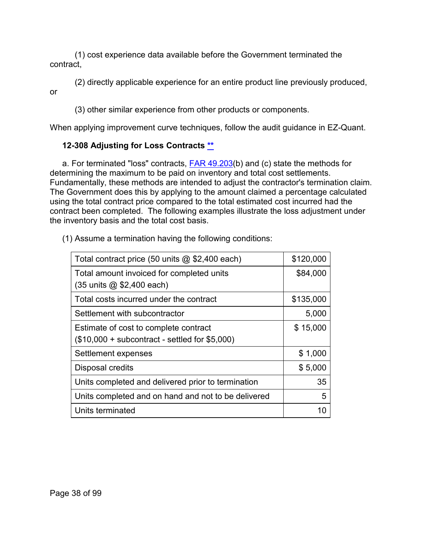(1) cost experience data available before the Government terminated the contract,

(2) directly applicable experience for an entire product line previously produced, or

(3) other similar experience from other products or components.

When applying improvement curve techniques, follow the audit guidance in EZ-Quant.

# **12-308 Adjusting for Loss Contracts [\\*\\*](#page-1-0)**

a. For terminated "loss" contracts, **FAR 49.203(b)** and (c) state the methods for determining the maximum to be paid on inventory and total cost settlements. Fundamentally, these methods are intended to adjust the contractor's termination claim. The Government does this by applying to the amount claimed a percentage calculated using the total contract price compared to the total estimated cost incurred had the contract been completed. The following examples illustrate the loss adjustment under the inventory basis and the total cost basis.

| Total contract price (50 units $@$ \$2,400 each)    | \$120,000 |
|-----------------------------------------------------|-----------|
| Total amount invoiced for completed units           | \$84,000  |
| (35 units @ \$2,400 each)                           |           |
| Total costs incurred under the contract             | \$135,000 |
| Settlement with subcontractor                       | 5,000     |
| Estimate of cost to complete contract               | \$15,000  |
| $($10,000 + subcontract - settled for $5,000)$      |           |
| Settlement expenses                                 | \$1,000   |
| Disposal credits                                    | \$5,000   |
| Units completed and delivered prior to termination  | 35        |
| Units completed and on hand and not to be delivered | 5         |
| Units terminated                                    | 10        |

(1) Assume a termination having the following conditions: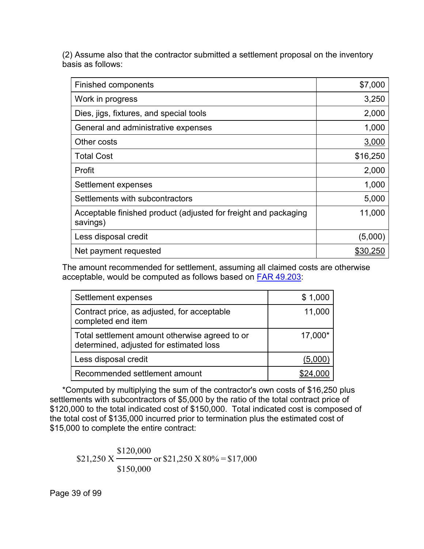(2) Assume also that the contractor submitted a settlement proposal on the inventory basis as follows:

| Finished components                                                         | \$7,000  |
|-----------------------------------------------------------------------------|----------|
| Work in progress                                                            | 3,250    |
| Dies, jigs, fixtures, and special tools                                     | 2,000    |
| General and administrative expenses                                         | 1,000    |
| Other costs                                                                 | 3,000    |
| <b>Total Cost</b>                                                           | \$16,250 |
| Profit                                                                      | 2,000    |
| Settlement expenses                                                         | 1,000    |
| Settlements with subcontractors                                             | 5,000    |
| Acceptable finished product (adjusted for freight and packaging<br>savings) | 11,000   |
| Less disposal credit                                                        | (5,000)  |
| Net payment requested                                                       | \$30,250 |

The amount recommended for settlement, assuming all claimed costs are otherwise acceptable, would be computed as follows based on [FAR 49.203:](http://www.ecfr.gov/cgi-bin/retrieveECFR?gp=&SID=5e3c2e1042e67d23410e37a00f9aff36&mc=true&r=SECTION&n=se48.1.49_1203)

| Settlement expenses                                                                       | \$1,000 |
|-------------------------------------------------------------------------------------------|---------|
| Contract price, as adjusted, for acceptable<br>completed end item                         | 11,000  |
| Total settlement amount otherwise agreed to or<br>determined, adjusted for estimated loss | 17,000* |
| Less disposal credit                                                                      | (5,000) |
| Recommended settlement amount                                                             |         |

\*Computed by multiplying the sum of the contractor's own costs of \$16,250 plus settlements with subcontractors of \$5,000 by the ratio of the total contract price of \$120,000 to the total indicated cost of \$150,000. Total indicated cost is composed of the total cost of \$135,000 incurred prior to termination plus the estimated cost of \$15,000 to complete the entire contract:

or  $$21,250 \text{ X } 80\% = $17,000$ \$150,000 \$120,000 \$21,250 X

Page 39 of 99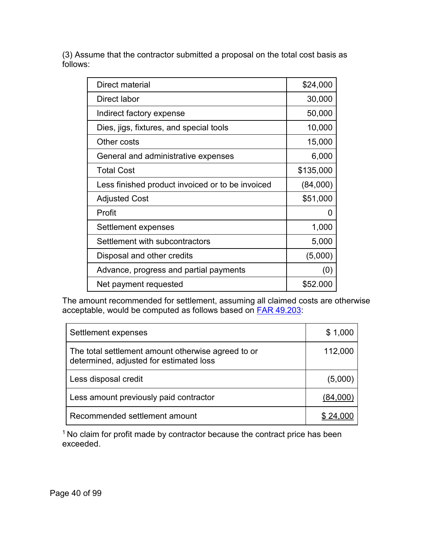(3) Assume that the contractor submitted a proposal on the total cost basis as follows:

| Direct material                                  | \$24,000  |
|--------------------------------------------------|-----------|
| Direct labor                                     | 30,000    |
| Indirect factory expense                         | 50,000    |
| Dies, jigs, fixtures, and special tools          | 10,000    |
| Other costs                                      | 15,000    |
| General and administrative expenses              | 6,000     |
| <b>Total Cost</b>                                | \$135,000 |
| Less finished product invoiced or to be invoiced | (84,000)  |
| <b>Adjusted Cost</b>                             | \$51,000  |
| Profit                                           | 0         |
| Settlement expenses                              | 1,000     |
| Settlement with subcontractors                   | 5,000     |
| Disposal and other credits                       | (5,000)   |
| Advance, progress and partial payments           | (0)       |
| Net payment requested                            | \$52.000  |

The amount recommended for settlement, assuming all claimed costs are otherwise acceptable, would be computed as follows based on <u>FAR 49.203</u>:

| Settlement expenses                                                                           | \$1,000  |
|-----------------------------------------------------------------------------------------------|----------|
| The total settlement amount otherwise agreed to or<br>determined, adjusted for estimated loss | 112,000  |
| Less disposal credit                                                                          | (5,000)  |
| Less amount previously paid contractor                                                        | (84,000) |
| Recommended settlement amount                                                                 |          |

<sup>1</sup> No claim for profit made by contractor because the contract price has been exceeded.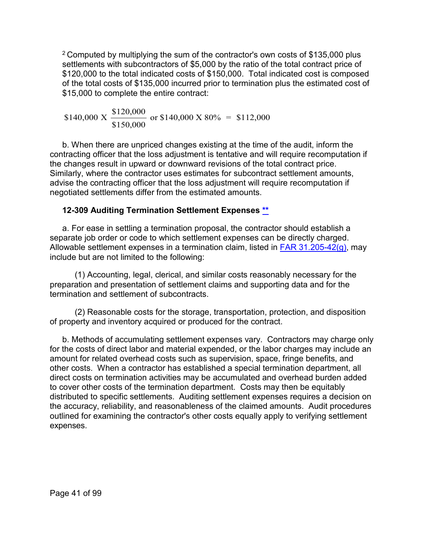<sup>2</sup> Computed by multiplying the sum of the contractor's own costs of \$135,000 plus settlements with subcontractors of \$5,000 by the ratio of the total contract price of \$120,000 to the total indicated costs of \$150,000. Total indicated cost is composed of the total costs of \$135,000 incurred prior to termination plus the estimated cost of \$15,000 to complete the entire contract:

 $$140,000 \text{ X} \frac{$120,000}{}$  $\frac{$120,000}{$150,000}$  or \$140,000 X 80% = \$112,000

b. When there are unpriced changes existing at the time of the audit, inform the contracting officer that the loss adjustment is tentative and will require recomputation if the changes result in upward or downward revisions of the total contract price. Similarly, where the contractor uses estimates for subcontract settlement amounts, advise the contracting officer that the loss adjustment will require recomputation if negotiated settlements differ from the estimated amounts.

#### **12-309 Auditing Termination Settlement Expenses [\\*\\*](#page-1-1)**

a. For ease in settling a termination proposal, the contractor should establish a separate job order or code to which settlement expenses can be directly charged. Allowable settlement expenses in a termination claim, listed in FAR 31.205-42 $(q)$ , may include but are not limited to the following:

(1) Accounting, legal, clerical, and similar costs reasonably necessary for the preparation and presentation of settlement claims and supporting data and for the termination and settlement of subcontracts.

(2) Reasonable costs for the storage, transportation, protection, and disposition of property and inventory acquired or produced for the contract.

b. Methods of accumulating settlement expenses vary. Contractors may charge only for the costs of direct labor and material expended, or the labor charges may include an amount for related overhead costs such as supervision, space, fringe benefits, and other costs. When a contractor has established a special termination department, all direct costs on termination activities may be accumulated and overhead burden added to cover other costs of the termination department. Costs may then be equitably distributed to specific settlements. Auditing settlement expenses requires a decision on the accuracy, reliability, and reasonableness of the claimed amounts. Audit procedures outlined for examining the contractor's other costs equally apply to verifying settlement expenses.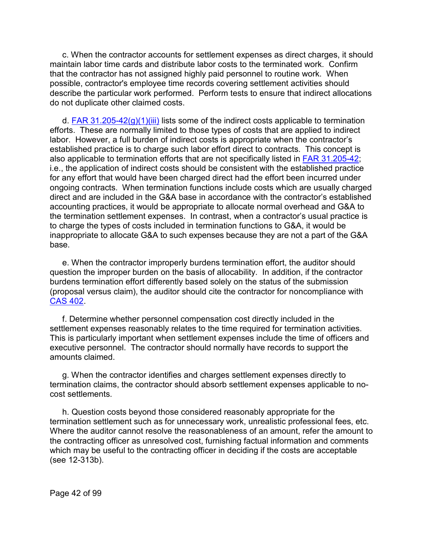c. When the contractor accounts for settlement expenses as direct charges, it should maintain labor time cards and distribute labor costs to the terminated work. Confirm that the contractor has not assigned highly paid personnel to routine work. When possible, contractor's employee time records covering settlement activities should describe the particular work performed. Perform tests to ensure that indirect allocations do not duplicate other claimed costs.

d. [FAR 31.205-42\(g\)\(1\)\(iii\)](http://www.ecfr.gov/cgi-bin/text-idx?SID=4672869a9935d916e10ee56561753d65&mc=true&node=se48.1.31_1205_642&rgn=div8) lists some of the indirect costs applicable to termination efforts. These are normally limited to those types of costs that are applied to indirect labor. However, a full burden of indirect costs is appropriate when the contractor's established practice is to charge such labor effort direct to contracts. This concept is also applicable to termination efforts that are not specifically listed in [FAR 31.205-42;](http://www.ecfr.gov/cgi-bin/text-idx?SID=4672869a9935d916e10ee56561753d65&mc=true&node=se48.1.31_1205_642&rgn=div8) i.e., the application of indirect costs should be consistent with the established practice for any effort that would have been charged direct had the effort been incurred under ongoing contracts. When termination functions include costs which are usually charged direct and are included in the G&A base in accordance with the contractor's established accounting practices, it would be appropriate to allocate normal overhead and G&A to the termination settlement expenses. In contrast, when a contractor's usual practice is to charge the types of costs included in termination functions to G&A, it would be inappropriate to allocate G&A to such expenses because they are not a part of the G&A base.

e. When the contractor improperly burdens termination effort, the auditor should question the improper burden on the basis of allocability. In addition, if the contractor burdens termination effort differently based solely on the status of the submission (proposal versus claim), the auditor should cite the contractor for noncompliance with [CAS 402.](http://www.ecfr.gov/cgi-bin/text-idx?SID=e17d0708ed4bab1e70166bc42c7a6fea&mc=true&tpl=/ecfrbrowse/Title48/48cfr9904_main_02.tpl)

f. Determine whether personnel compensation cost directly included in the settlement expenses reasonably relates to the time required for termination activities. This is particularly important when settlement expenses include the time of officers and executive personnel. The contractor should normally have records to support the amounts claimed.

g. When the contractor identifies and charges settlement expenses directly to termination claims, the contractor should absorb settlement expenses applicable to nocost settlements.

h. Question costs beyond those considered reasonably appropriate for the termination settlement such as for unnecessary work, unrealistic professional fees, etc. Where the auditor cannot resolve the reasonableness of an amount, refer the amount to the contracting officer as unresolved cost, furnishing factual information and comments which may be useful to the contracting officer in deciding if the costs are acceptable (see 12-313b).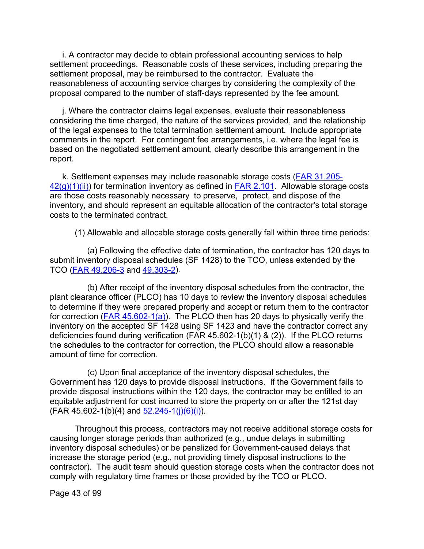i. A contractor may decide to obtain professional accounting services to help settlement proceedings. Reasonable costs of these services, including preparing the settlement proposal, may be reimbursed to the contractor. Evaluate the reasonableness of accounting service charges by considering the complexity of the proposal compared to the number of staff-days represented by the fee amount.

j. Where the contractor claims legal expenses, evaluate their reasonableness considering the time charged, the nature of the services provided, and the relationship of the legal expenses to the total termination settlement amount. Include appropriate comments in the report. For contingent fee arrangements, i.e. where the legal fee is based on the negotiated settlement amount, clearly describe this arrangement in the report.

k. Settlement expenses may include reasonable storage costs [\(FAR 31.205-](https://www.ecfr.gov/cgi-bin/text-idx?SID=1b0047c7d558caf8fd95c4bbd9111b36&mc=true&node=se48.1.31_1205_642&rgn=div8)  $42(g)(1)(ii)$  for termination inventory as defined in **FAR 2.101.** Allowable storage costs are those costs reasonably necessary to preserve, protect, and dispose of the inventory, and should represent an equitable allocation of the contractor's total storage costs to the terminated contract.

(1) Allowable and allocable storage costs generally fall within three time periods:

(a) Following the effective date of termination, the contractor has 120 days to submit inventory disposal schedules (SF 1428) to the TCO, unless extended by the TCO [\(FAR 49.206-3](https://www.ecfr.gov/cgi-bin/text-idx?SID=1b0047c7d558caf8fd95c4bbd9111b36&mc=true&node=se48.1.49_1206_63&rgn=div8) and [49.303-2\)](https://www.ecfr.gov/cgi-bin/text-idx?SID=1b0047c7d558caf8fd95c4bbd9111b36&mc=true&node=se48.1.49_1303_62&rgn=div8).

(b) After receipt of the inventory disposal schedules from the contractor, the plant clearance officer (PLCO) has 10 days to review the inventory disposal schedules to determine if they were prepared properly and accept or return them to the contractor for correction ( $FAR 45.602-1(a)$ ). The PLCO then has 20 days to physically verify the inventory on the accepted SF 1428 using SF 1423 and have the contractor correct any deficiencies found during verification (FAR 45.602-1(b)(1) & (2)). If the PLCO returns the schedules to the contractor for correction, the PLCO should allow a reasonable amount of time for correction.

(c) Upon final acceptance of the inventory disposal schedules, the Government has 120 days to provide disposal instructions. If the Government fails to provide disposal instructions within the 120 days, the contractor may be entitled to an equitable adjustment for cost incurred to store the property on or after the 121st day  $(FAR 45.602-1(b)(4)$  and  $52.245-1(i)(6)(i)$ .

Throughout this process, contractors may not receive additional storage costs for causing longer storage periods than authorized (e.g., undue delays in submitting inventory disposal schedules) or be penalized for Government-caused delays that increase the storage period (e.g., not providing timely disposal instructions to the contractor). The audit team should question storage costs when the contractor does not comply with regulatory time frames or those provided by the TCO or PLCO.

Page 43 of 99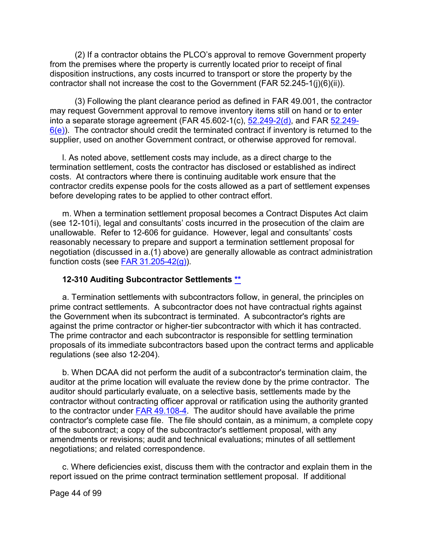(2) If a contractor obtains the PLCO's approval to remove Government property from the premises where the property is currently located prior to receipt of final disposition instructions, any costs incurred to transport or store the property by the contractor shall not increase the cost to the Government (FAR 52.245-1(j)(6)(ii)).

(3) Following the plant clearance period as defined in FAR 49.001, the contractor may request Government approval to remove inventory items still on hand or to enter into a separate storage agreement (FAR 45.602-1(c),  $\frac{52.249-2(d)}{2}$ , and FAR [52.249-](https://www.ecfr.gov/cgi-bin/text-idx?SID=1b0047c7d558caf8fd95c4bbd9111b36&mc=true&node=se48.2.52_1249_66&rgn=div8)  $6(e)$ ). The contractor should credit the terminated contract if inventory is returned to the supplier, used on another Government contract, or otherwise approved for removal.

l. As noted above, settlement costs may include, as a direct charge to the termination settlement, costs the contractor has disclosed or established as indirect costs. At contractors where there is continuing auditable work ensure that the contractor credits expense pools for the costs allowed as a part of settlement expenses before developing rates to be applied to other contract effort.

m. When a termination settlement proposal becomes a Contract Disputes Act claim (see 12-101i), legal and consultants' costs incurred in the prosecution of the claim are unallowable. Refer to 12-606 for guidance. However, legal and consultants' costs reasonably necessary to prepare and support a termination settlement proposal for negotiation (discussed in a.(1) above) are generally allowable as contract administration function costs (see FAR  $31.205-42(g)$ ).

#### **12-310 Auditing Subcontractor Settlements [\\*\\*](#page-2-0)**

a. Termination settlements with subcontractors follow, in general, the principles on prime contract settlements. A subcontractor does not have contractual rights against the Government when its subcontract is terminated. A subcontractor's rights are against the prime contractor or higher-tier subcontractor with which it has contracted. The prime contractor and each subcontractor is responsible for settling termination proposals of its immediate subcontractors based upon the contract terms and applicable regulations (see also 12-204).

b. When DCAA did not perform the audit of a subcontractor's termination claim, the auditor at the prime location will evaluate the review done by the prime contractor. The auditor should particularly evaluate, on a selective basis, settlements made by the contractor without contracting officer approval or ratification using the authority granted to the contractor under [FAR 49.108-4.](http://www.ecfr.gov/cgi-bin/text-idx?SID=4672869a9935d916e10ee56561753d65&mc=true&node=se48.1.49_1108_64&rgn=div8) The auditor should have available the prime contractor's complete case file. The file should contain, as a minimum, a complete copy of the subcontract; a copy of the subcontractor's settlement proposal, with any amendments or revisions; audit and technical evaluations; minutes of all settlement negotiations; and related correspondence.

c. Where deficiencies exist, discuss them with the contractor and explain them in the report issued on the prime contract termination settlement proposal. If additional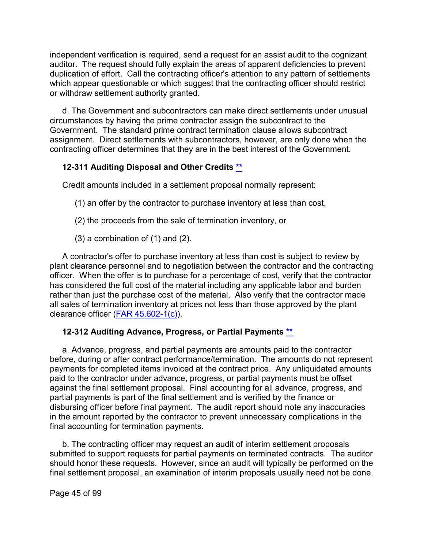independent verification is required, send a request for an assist audit to the cognizant auditor. The request should fully explain the areas of apparent deficiencies to prevent duplication of effort. Call the contracting officer's attention to any pattern of settlements which appear questionable or which suggest that the contracting officer should restrict or withdraw settlement authority granted.

d. The Government and subcontractors can make direct settlements under unusual circumstances by having the prime contractor assign the subcontract to the Government. The standard prime contract termination clause allows subcontract assignment. Direct settlements with subcontractors, however, are only done when the contracting officer determines that they are in the best interest of the Government.

# **12-311 Auditing Disposal and Other Credits [\\*\\*](#page-2-1)**

Credit amounts included in a settlement proposal normally represent:

- (1) an offer by the contractor to purchase inventory at less than cost,
- (2) the proceeds from the sale of termination inventory, or
- $(3)$  a combination of  $(1)$  and  $(2)$ .

A contractor's offer to purchase inventory at less than cost is subject to review by plant clearance personnel and to negotiation between the contractor and the contracting officer. When the offer is to purchase for a percentage of cost, verify that the contractor has considered the full cost of the material including any applicable labor and burden rather than just the purchase cost of the material. Also verify that the contractor made all sales of termination inventory at prices not less than those approved by the plant clearance officer [\(FAR 45.602-1\(c\)\)](http://www.ecfr.gov/cgi-bin/text-idx?SID=4672869a9935d916e10ee56561753d65&mc=true&node=se48.1.45_1602_61&rgn=div8).

### **12-312 Auditing Advance, Progress, or Partial Payments [\\*\\*](#page-2-2)**

a. Advance, progress, and partial payments are amounts paid to the contractor before, during or after contract performance/termination. The amounts do not represent payments for completed items invoiced at the contract price. Any unliquidated amounts paid to the contractor under advance, progress, or partial payments must be offset against the final settlement proposal. Final accounting for all advance, progress, and partial payments is part of the final settlement and is verified by the finance or disbursing officer before final payment. The audit report should note any inaccuracies in the amount reported by the contractor to prevent unnecessary complications in the final accounting for termination payments.

b. The contracting officer may request an audit of interim settlement proposals submitted to support requests for partial payments on terminated contracts. The auditor should honor these requests. However, since an audit will typically be performed on the final settlement proposal, an examination of interim proposals usually need not be done.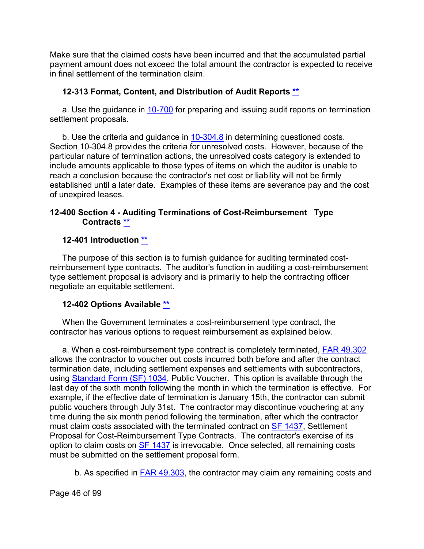Make sure that the claimed costs have been incurred and that the accumulated partial payment amount does not exceed the total amount the contractor is expected to receive in final settlement of the termination claim.

### **12-313 Format, Content, and Distribution of Audit Reports [\\*\\*](#page-2-3)**

a. Use the guidance in [10-700](https://viper.dcaa.mil/guidance/cam/3147/preparation-and-distribution-of-audit-reports#Sec10700) for preparing and issuing audit reports on termination settlement proposals.

b. Use the criteria and guidance in [10-304.8](https://viper.dcaa.mil/guidance/cam/3147/preparation-and-distribution-of-audit-reports#Sec103048) in determining questioned costs. Section 10-304.8 provides the criteria for unresolved costs. However, because of the particular nature of termination actions, the unresolved costs category is extended to include amounts applicable to those types of items on which the auditor is unable to reach a conclusion because the contractor's net cost or liability will not be firmly established until a later date. Examples of these items are severance pay and the cost of unexpired leases.

#### **12-400 Section 4 - Auditing Terminations of Cost-Reimbursement Type Contracts [\\*\\*](#page-2-4)**

#### **12-401 Introduction [\\*\\*](#page-2-5)**

The purpose of this section is to furnish guidance for auditing terminated costreimbursement type contracts. The auditor's function in auditing a cost-reimbursement type settlement proposal is advisory and is primarily to help the contracting officer negotiate an equitable settlement.

#### **12-402 Options Available [\\*\\*](#page-2-6)**

When the Government terminates a cost-reimbursement type contract, the contractor has various options to request reimbursement as explained below.

<span id="page-45-0"></span>a. When a cost-reimbursement type contract is completely terminated, **FAR 49.302** allows the contractor to voucher out costs incurred both before and after the contract termination date, including settlement expenses and settlements with subcontractors, using [Standard Form \(SF\)](https://www.gsa.gov/forms-library/public-voucher-purchases-and-services-other-personal) 1034, Public Voucher. This option is available through the last day of the sixth month following the month in which the termination is effective. For example, if the effective date of termination is January 15th, the contractor can submit public vouchers through July 31st. The contractor may discontinue vouchering at any time during the six month period following the termination, after which the contractor must claim costs associated with the terminated contract on [SF 1437,](https://www.gsa.gov/forms-library/settlement-proposal-cost-reimbursement-type-contracts) Settlement Proposal for Cost-Reimbursement Type Contracts. The contractor's exercise of its option to claim costs on **SF 1437** is irrevocable. Once selected, all remaining costs must be submitted on the settlement proposal form.

b. As specified in [FAR 49.303,](https://www.ecfr.gov/current/title-48/chapter-1/subchapter-G/part-49/subpart-49.3/section-49.303) the contractor may claim any remaining costs and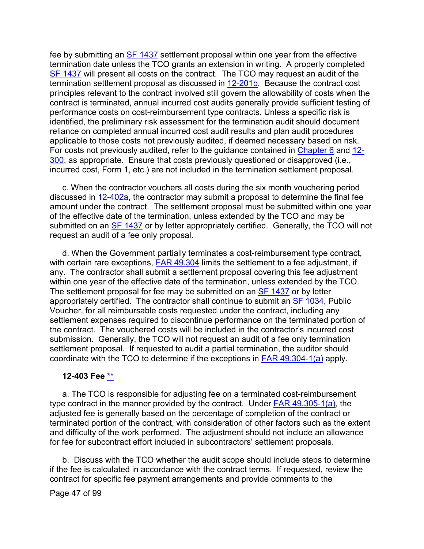fee by submitting an [SF 1437](https://www.gsa.gov/forms-library/settlement-proposal-cost-reimbursement-type-contracts) settlement proposal within one year from the effective termination date unless the TCO grants an extension in writing. A properly completed [SF 1437](https://www.gsa.gov/forms-library/settlement-proposal-cost-reimbursement-type-contracts) will present all costs on the contract. The TCO may request an audit of the termination settlement proposal as discussed in [12-201b.](https://intranet.dcaa.mil/sites/VIPER/Pages/CAM/12%20-%20Auditing-Contract-Termination,-Delay-Disruption,-and-Other-Price-Adjustment-Proposals-or-Claims.aspx#Sec12201) Because the contract cost principles relevant to the contract involved still govern the allowability of costs when the contract is terminated, annual incurred cost audits generally provide sufficient testing of performance costs on cost-reimbursement type contracts. Unless a specific risk is identified, the preliminary risk assessment for the termination audit should document reliance on completed annual incurred cost audit results and plan audit procedures applicable to those costs not previously audited, if deemed necessary based on risk. For costs not previously audited, refer to the guidance contained in [Chapter 6](https://viper.dcaa.mil/guidance/cam/3136/incurred-cost-audit-procedures#Sec) and [12-](https://intranet.dcaa.mil/sites/VIPER/Pages/CAM/12%20-%20Auditing-Contract-Termination,-Delay-Disruption,-and-Other-Price-Adjustment-Proposals-or-Claims.aspx#Sec12300) [300,](https://intranet.dcaa.mil/sites/VIPER/Pages/CAM/12%20-%20Auditing-Contract-Termination,-Delay-Disruption,-and-Other-Price-Adjustment-Proposals-or-Claims.aspx#Sec12300) as appropriate. Ensure that costs previously questioned or disapproved (i.e., incurred cost, Form 1, etc.) are not included in the termination settlement proposal.

c. When the contractor vouchers all costs during the six month vouchering period discussed in [12-402a,](#page-45-0) the contractor may submit a proposal to determine the final fee amount under the contract. The settlement proposal must be submitted within one year of the effective date of the termination, unless extended by the TCO and may be submitted on an [SF 1437](https://www.gsa.gov/forms-library/settlement-proposal-cost-reimbursement-type-contracts) or by letter appropriately certified. Generally, the TCO will not request an audit of a fee only proposal.

d. When the Government partially terminates a cost-reimbursement type contract, with certain rare exceptions,  $FAR$  49.304 limits the settlement to a fee adjustment, if any. The contractor shall submit a settlement proposal covering this fee adjustment within one year of the effective date of the termination, unless extended by the TCO. The settlement proposal for fee may be submitted on an **SF 1437** or by letter appropriately certified. The contractor shall continue to submit an [SF 1034,](http://www.gsa.gov/portal/forms/download/115462) Public Voucher, for all reimbursable costs requested under the contract, including any settlement expenses required to discontinue performance on the terminated portion of the contract. The vouchered costs will be included in the contractor's incurred cost submission. Generally, the TCO will not request an audit of a fee only termination settlement proposal. If requested to audit a partial termination, the auditor should coordinate with the TCO to determine if the exceptions in [FAR 49.304-1\(a\)](https://www.ecfr.gov/current/title-48/chapter-1/subchapter-G/part-49/subpart-49.3#p-49.304-1(a)) apply.

#### **12-403 Fee [\\*\\*](#page-2-7)**

a. The TCO is responsible for adjusting fee on a terminated cost-reimbursement type contract in the manner provided by the contract. Under [FAR 49.305-1\(a\),](https://www.ecfr.gov/current/title-48/chapter-1/subchapter-G/part-49/subpart-49.3/section-49.305-1#p-49.305-1(a)) the adjusted fee is generally based on the percentage of completion of the contract or terminated portion of the contract, with consideration of other factors such as the extent and difficulty of the work performed. The adjustment should not include an allowance for fee for subcontract effort included in subcontractors' settlement proposals.

b. Discuss with the TCO whether the audit scope should include steps to determine if the fee is calculated in accordance with the contract terms. If requested, review the contract for specific fee payment arrangements and provide comments to the

Page 47 of 99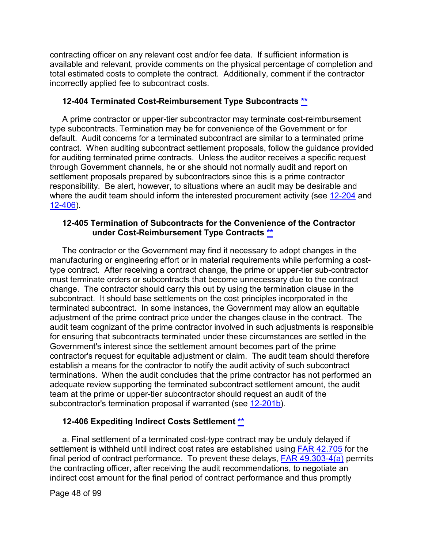contracting officer on any relevant cost and/or fee data. If sufficient information is available and relevant, provide comments on the physical percentage of completion and total estimated costs to complete the contract. Additionally, comment if the contractor incorrectly applied fee to subcontract costs.

#### **12-404 Terminated Cost-Reimbursement Type Subcontracts [\\*\\*](#page-2-8)**

A prime contractor or upper-tier subcontractor may terminate cost-reimbursement type subcontracts. Termination may be for convenience of the Government or for default. Audit concerns for a terminated subcontract are similar to a terminated prime contract. When auditing subcontract settlement proposals, follow the guidance provided for auditing terminated prime contracts. Unless the auditor receives a specific request through Government channels, he or she should not normally audit and report on settlement proposals prepared by subcontractors since this is a prime contractor responsibility. Be alert, however, to situations where an audit may be desirable and where the audit team should inform the interested procurement activity (see [12-204](https://intranet.dcaa.mil/sites/VIPER/Pages/CAM/12%20-%20Auditing-Contract-Termination,-Delay-Disruption,-and-Other-Price-Adjustment-Proposals-or-Claims.aspx#Sec12204) and [12-406\)](#page-49-0).

#### **12-405 Termination of Subcontracts for the Convenience of the Contractor under Cost-Reimbursement Type Contracts [\\*\\*](#page-2-9)**

The contractor or the Government may find it necessary to adopt changes in the manufacturing or engineering effort or in material requirements while performing a costtype contract. After receiving a contract change, the prime or upper-tier sub-contractor must terminate orders or subcontracts that become unnecessary due to the contract change. The contractor should carry this out by using the termination clause in the subcontract. It should base settlements on the cost principles incorporated in the terminated subcontract. In some instances, the Government may allow an equitable adjustment of the prime contract price under the changes clause in the contract. The audit team cognizant of the prime contractor involved in such adjustments is responsible for ensuring that subcontracts terminated under these circumstances are settled in the Government's interest since the settlement amount becomes part of the prime contractor's request for equitable adjustment or claim. The audit team should therefore establish a means for the contractor to notify the audit activity of such subcontract terminations. When the audit concludes that the prime contractor has not performed an adequate review supporting the terminated subcontract settlement amount, the audit team at the prime or upper-tier subcontractor should request an audit of the subcontractor's termination proposal if warranted (see [12-201b\)](https://intranet.dcaa.mil/sites/VIPER/Pages/CAM/12%20-%20Auditing-Contract-Termination,-Delay-Disruption,-and-Other-Price-Adjustment-Proposals-or-Claims.aspx#Sec12201).

### **12-406 Expediting Indirect Costs Settlement [\\*\\*](#page-2-10)**

a. Final settlement of a terminated cost-type contract may be unduly delayed if settlement is withheld until indirect cost rates are established using [FAR 42.705](http://www.ecfr.gov/cgi-bin/text-idx?SID=793739b18c9b295f5764f4bb60808d2d&mc=true&node=se48.1.42_1705&rgn=div8) for the final period of contract performance. To prevent these delays, [FAR 49.303-4\(a\)](http://www.ecfr.gov/cgi-bin/text-idx?SID=793739b18c9b295f5764f4bb60808d2d&mc=true&node=se48.1.49_1303_64&rgn=div8) permits the contracting officer, after receiving the audit recommendations, to negotiate an indirect cost amount for the final period of contract performance and thus promptly

Page 48 of 99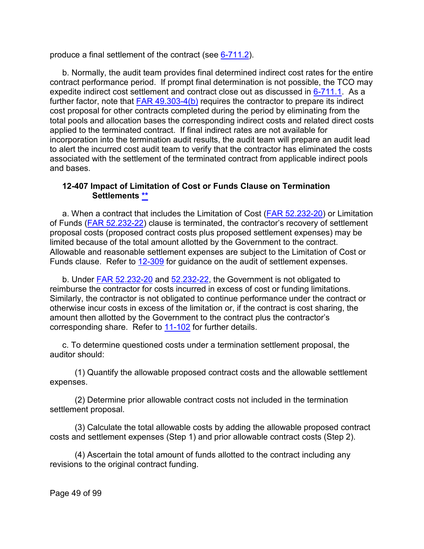produce a final settlement of the contract (see [6-711.2\)](https://intranet.dcaa.mil/sites/VIPER/Pages/CAM/6%20-%20Incurred-Cost-Audit-Procedures.aspx#Sec67112).

b. Normally, the audit team provides final determined indirect cost rates for the entire contract performance period. If prompt final determination is not possible, the TCO may expedite indirect cost settlement and contract close out as discussed in [6-711.1.](https://intranet.dcaa.mil/sites/VIPER/Pages/CAM/6%20-%20Incurred-Cost-Audit-Procedures.aspx#Sec67111) As a further factor, note that [FAR 49.303-4\(b\)](http://www.ecfr.gov/cgi-bin/text-idx?SID=793739b18c9b295f5764f4bb60808d2d&mc=true&node=se48.1.49_1303_64&rgn=div8) requires the contractor to prepare its indirect cost proposal for other contracts completed during the period by eliminating from the total pools and allocation bases the corresponding indirect costs and related direct costs applied to the terminated contract. If final indirect rates are not available for incorporation into the termination audit results, the audit team will prepare an audit lead to alert the incurred cost audit team to verify that the contractor has eliminated the costs associated with the settlement of the terminated contract from applicable indirect pools and bases.

#### **12-407 Impact of Limitation of Cost or Funds Clause on Termination Settlements [\\*\\*](#page-2-11)**

a. When a contract that includes the Limitation of Cost [\(FAR 52.232-20\)](http://www.ecfr.gov/cgi-bin/text-idx?SID=793739b18c9b295f5764f4bb60808d2d&mc=true&node=se48.2.52_1232_620&rgn=div8) or Limitation of Funds [\(FAR 52.232-22\)](http://www.ecfr.gov/cgi-bin/retrieveECFR?gp=&SID=793739b18c9b295f5764f4bb60808d2d&mc=true&r=SECTION&n=se48.2.52_1232_622) clause is terminated, the contractor's recovery of settlement proposal costs (proposed contract costs plus proposed settlement expenses) may be limited because of the total amount allotted by the Government to the contract. Allowable and reasonable settlement expenses are subject to the Limitation of Cost or Funds clause. Refer to [12-309](https://intranet.dcaa.mil/sites/VIPER/Pages/CAM/12%20-%20Auditing-Contract-Termination,-Delay-Disruption,-and-Other-Price-Adjustment-Proposals-or-Claims.aspx#Sec12309) for guidance on the audit of settlement expenses.

b. Under [FAR 52.232-20](https://www.ecfr.gov/current/title-48/chapter-1/subchapter-H/part-52/subpart-52.2/section-52.232-20) and [52.232-22,](https://www.ecfr.gov/current/title-48/chapter-1/subchapter-H/part-52/subpart-52.2/section-52.232-22) the Government is not obligated to reimburse the contractor for costs incurred in excess of cost or funding limitations. Similarly, the contractor is not obligated to continue performance under the contract or otherwise incur costs in excess of the limitation or, if the contract is cost sharing, the amount then allotted by the Government to the contract plus the contractor's corresponding share. Refer to [11-102](https://intranet.dcaa.mil/sites/VIPER/Pages/CAM/Audits-of-Contractor-Compliance-with-Contract-Financial-Management-Requirements.aspx#Sec11102) for further details.

c. To determine questioned costs under a termination settlement proposal, the auditor should:

(1) Quantify the allowable proposed contract costs and the allowable settlement expenses.

(2) Determine prior allowable contract costs not included in the termination settlement proposal.

(3) Calculate the total allowable costs by adding the allowable proposed contract costs and settlement expenses (Step 1) and prior allowable contract costs (Step 2).

(4) Ascertain the total amount of funds allotted to the contract including any revisions to the original contract funding.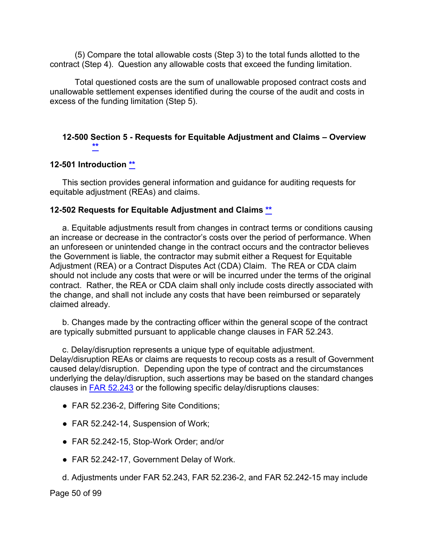(5) Compare the total allowable costs (Step 3) to the total funds allotted to the contract (Step 4). Question any allowable costs that exceed the funding limitation.

Total questioned costs are the sum of unallowable proposed contract costs and unallowable settlement expenses identified during the course of the audit and costs in excess of the funding limitation (Step 5).

### <span id="page-49-0"></span>**12-500 Section 5 - Requests for Equitable Adjustment and Claims – Overview [\\*\\*](#page-2-12)**

#### **12-501 Introduction [\\*\\*](#page-2-13)**

This section provides general information and guidance for auditing requests for equitable adjustment (REAs) and claims.

#### **12-502 Requests for Equitable Adjustment and Claims [\\*\\*](#page-2-14)**

a. Equitable adjustments result from changes in contract terms or conditions causing an increase or decrease in the contractor's costs over the period of performance. When an unforeseen or unintended change in the contract occurs and the contractor believes the Government is liable, the contractor may submit either a Request for Equitable Adjustment (REA) or a Contract Disputes Act (CDA) Claim. The REA or CDA claim should not include any costs that were or will be incurred under the terms of the original contract. Rather, the REA or CDA claim shall only include costs directly associated with the change, and shall not include any costs that have been reimbursed or separately claimed already.

b. Changes made by the contracting officer within the general scope of the contract are typically submitted pursuant to applicable change clauses in FAR 52.243.

c. Delay/disruption represents a unique type of equitable adjustment. Delay/disruption REAs or claims are requests to recoup costs as a result of Government caused delay/disruption. Depending upon the type of contract and the circumstances underlying the delay/disruption, such assertions may be based on the standard changes clauses in [FAR 52.243](http://www.ecfr.gov/cgi-bin/text-idx?SID=793739b18c9b295f5764f4bb60808d2d&mc=true&node=se48.2.52_1243_61&rgn=div8) or the following specific delay/disruptions clauses:

- FAR 52.236-2, Differing Site Conditions;
- FAR 52.242-14, Suspension of Work;
- FAR 52.242-15, Stop-Work Order; and/or
- FAR 52.242-17, Government Delay of Work.
- d. Adjustments under FAR 52.243, FAR 52.236-2, and FAR 52.242-15 may include

Page 50 of 99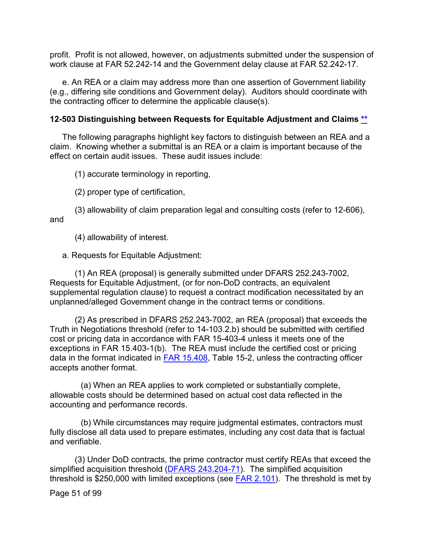profit. Profit is not allowed, however, on adjustments submitted under the suspension of work clause at FAR 52.242-14 and the Government delay clause at FAR 52.242-17.

e. An REA or a claim may address more than one assertion of Government liability (e.g., differing site conditions and Government delay). Auditors should coordinate with the contracting officer to determine the applicable clause(s).

#### **12-503 Distinguishing between Requests for Equitable Adjustment and Claims [\\*\\*](#page-2-15)**

The following paragraphs highlight key factors to distinguish between an REA and a claim. Knowing whether a submittal is an REA or a claim is important because of the effect on certain audit issues. These audit issues include:

(1) accurate terminology in reporting,

(2) proper type of certification,

(3) allowability of claim preparation legal and consulting costs (refer to 12-606), and

(4) allowability of interest.

a. Requests for Equitable Adjustment:

(1) An REA (proposal) is generally submitted under DFARS 252.243-7002, Requests for Equitable Adjustment, (or for non-DoD contracts, an equivalent supplemental regulation clause) to request a contract modification necessitated by an unplanned/alleged Government change in the contract terms or conditions.

(2) As prescribed in DFARS 252.243-7002, an REA (proposal) that exceeds the Truth in Negotiations threshold (refer to 14-103.2.b) should be submitted with certified cost or pricing data in accordance with FAR 15-403-4 unless it meets one of the exceptions in FAR 15.403-1(b). The REA must include the certified cost or pricing data in the format indicated in [FAR 15.408,](http://www.ecfr.gov/cgi-bin/text-idx?SID=793739b18c9b295f5764f4bb60808d2d&mc=true&node=se48.1.15_1408&rgn=div8) Table 15-2, unless the contracting officer accepts another format.

 (a) When an REA applies to work completed or substantially complete, allowable costs should be determined based on actual cost data reflected in the accounting and performance records.

 (b) While circumstances may require judgmental estimates, contractors must fully disclose all data used to prepare estimates, including any cost data that is factual and verifiable.

(3) Under DoD contracts, the prime contractor must certify REAs that exceed the simplified acquisition threshold [\(DFARS 243.204-71\)](http://www.ecfr.gov/cgi-bin/text-idx?SID=c77ff554baab649cdddbba5426a93d3b&mc=true&node=se48.3.243_1204_671&rgn=div8). The simplified acquisition threshold is \$250,000 with limited exceptions (see [FAR 2.101\)](http://www.ecfr.gov/cgi-bin/text-idx?SID=c77ff554baab649cdddbba5426a93d3b&mc=true&node=se48.1.2_1101&rgn=div8). The threshold is met by

Page 51 of 99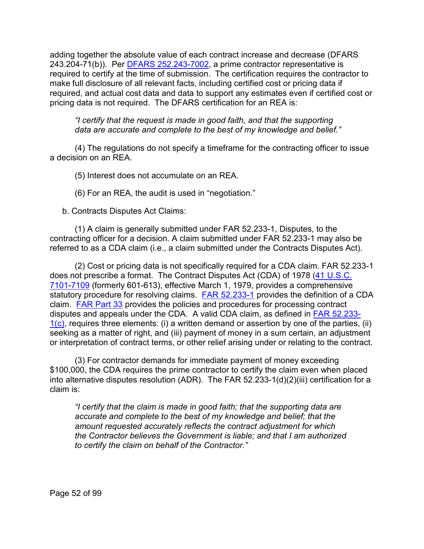adding together the absolute value of each contract increase and decrease (DFARS  $243.204 - 71(b)$ ). Per DFARS  $252.243 - 7002$ , a prime contractor representative is required to certify at the time of submission. The certification requires the contractor to make full disclosure of all relevant facts, including certified cost or pricing data if required, and actual cost data and data to support any estimates even if certified cost or pricing data is not required. The DFARS certification for an REA is:

*"I certify that the request is made in good faith, and that the supporting data are accurate and complete to the best of my knowledge and belief."*

(4) The regulations do not specify a timeframe for the contracting officer to issue a decision on an REA.

(5) Interest does not accumulate on an REA.

(6) For an REA, the audit is used in "negotiation."

b. Contracts Disputes Act Claims:

(1) A claim is generally submitted under FAR 52.233-1, Disputes, to the contracting officer for a decision. A claim submitted under FAR 52.233-1 may also be referred to as a CDA claim (i.e., a claim submitted under the Contracts Disputes Act).

(2) Cost or pricing data is not specifically required for a CDA claim. FAR 52.233-1 does not prescribe a format. The Contract Disputes Act (CDA) of 1978 [\(41 U.S.C.](http://uscode.house.gov/view.xhtml?path=/prelim@title41/subtitle3/chapter71&edition=prelim) [7101-7109](http://uscode.house.gov/view.xhtml?path=/prelim@title41/subtitle3/chapter71&edition=prelim) (formerly 601-613), effective March 1, 1979, provides a comprehensive statutory procedure for resolving claims. [FAR 52.233-1](http://www.ecfr.gov/cgi-bin/text-idx?SID=89b08d3a0a0d0df7af1a6d1bc6a8c46e&mc=true&node=se48.2.52_1233_61&rgn=div8) provides the definition of a CDA claim. [FAR Part 33](http://www.ecfr.gov/cgi-bin/text-idx?SID=8eb2d30b0c522060fe073e98f72f585f&mc=true&node=pt48.1.33&rgn=div5) provides the policies and procedures for processing contract disputes and appeals under the CDA. A valid CDA claim, as defined in [FAR 52.233-](http://www.ecfr.gov/cgi-bin/text-idx?SID=8eb2d30b0c522060fe073e98f72f585f&mc=true&node=se48.2.52_1233_61&rgn=div8)  $1(c)$  $1(c)$ , requires three elements: (i) a written demand or assertion by one of the parties, (ii) seeking as a matter of right, and (iii) payment of money in a sum certain, an adjustment or interpretation of contract terms, or other relief arising under or relating to the contract.

(3) For contractor demands for immediate payment of money exceeding \$100,000, the CDA requires the prime contractor to certify the claim even when placed into alternative disputes resolution (ADR). The FAR 52.233-1(d)(2)(iii) certification for a claim is:

*"I certify that the claim is made in good faith; that the supporting data are accurate and complete to the best of my knowledge and belief; that the amount requested accurately reflects the contract adjustment for which the Contractor believes the Government is liable; and that I am authorized to certify the claim on behalf of the Contractor."*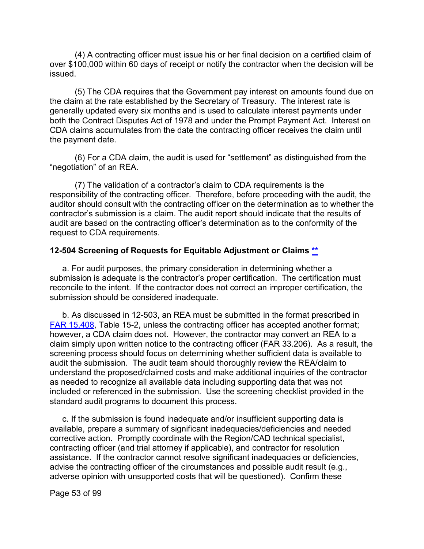(4) A contracting officer must issue his or her final decision on a certified claim of over \$100,000 within 60 days of receipt or notify the contractor when the decision will be issued.

(5) The CDA requires that the Government pay interest on amounts found due on the claim at the rate established by the Secretary of Treasury. The interest rate is generally updated every six months and is used to calculate interest payments under both the Contract Disputes Act of 1978 and under the Prompt Payment Act. Interest on CDA claims accumulates from the date the contracting officer receives the claim until the payment date.

(6) For a CDA claim, the audit is used for "settlement" as distinguished from the "negotiation" of an REA.

(7) The validation of a contractor's claim to CDA requirements is the responsibility of the contracting officer. Therefore, before proceeding with the audit, the auditor should consult with the contracting officer on the determination as to whether the contractor's submission is a claim. The audit report should indicate that the results of audit are based on the contracting officer's determination as to the conformity of the request to CDA requirements.

#### **12-504 Screening of Requests for Equitable Adjustment or Claims [\\*\\*](#page-2-15)**

a. For audit purposes, the primary consideration in determining whether a submission is adequate is the contractor's proper certification. The certification must reconcile to the intent. If the contractor does not correct an improper certification, the submission should be considered inadequate.

b. As discussed in 12-503, an REA must be submitted in the format prescribed in [FAR 15.408,](http://www.ecfr.gov/cgi-bin/text-idx?SID=793739b18c9b295f5764f4bb60808d2d&mc=true&node=se48.1.15_1408&rgn=div8) Table 15-2, unless the contracting officer has accepted another format; however, a CDA claim does not. However, the contractor may convert an REA to a claim simply upon written notice to the contracting officer (FAR 33.206). As a result, the screening process should focus on determining whether sufficient data is available to audit the submission. The audit team should thoroughly review the REA/claim to understand the proposed/claimed costs and make additional inquiries of the contractor as needed to recognize all available data including supporting data that was not included or referenced in the submission. Use the screening checklist provided in the standard audit programs to document this process.

c. If the submission is found inadequate and/or insufficient supporting data is available, prepare a summary of significant inadequacies/deficiencies and needed corrective action. Promptly coordinate with the Region/CAD technical specialist, contracting officer (and trial attorney if applicable), and contractor for resolution assistance. If the contractor cannot resolve significant inadequacies or deficiencies, advise the contracting officer of the circumstances and possible audit result (e.g., adverse opinion with unsupported costs that will be questioned). Confirm these

Page 53 of 99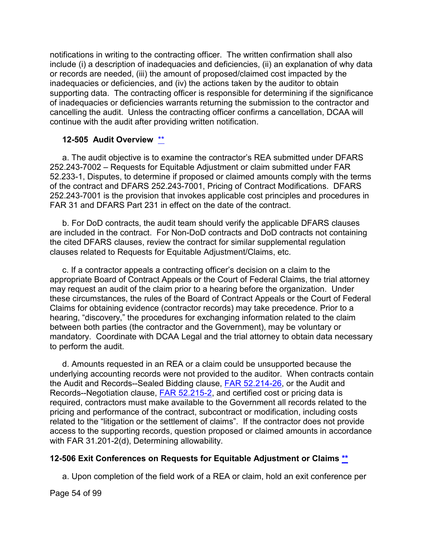notifications in writing to the contracting officer. The written confirmation shall also include (i) a description of inadequacies and deficiencies, (ii) an explanation of why data or records are needed, (iii) the amount of proposed/claimed cost impacted by the inadequacies or deficiencies, and (iv) the actions taken by the auditor to obtain supporting data. The contracting officer is responsible for determining if the significance of inadequacies or deficiencies warrants returning the submission to the contractor and cancelling the audit. Unless the contracting officer confirms a cancellation, DCAA will continue with the audit after providing written notification.

#### **12-505 Audit Overview** [\\*\\*](#page-2-16)

a. The audit objective is to examine the contractor's REA submitted under DFARS 252.243-7002 – Requests for Equitable Adjustment or claim submitted under FAR 52.233-1, Disputes, to determine if proposed or claimed amounts comply with the terms of the contract and DFARS 252.243-7001, Pricing of Contract Modifications. DFARS 252.243-7001 is the provision that invokes applicable cost principles and procedures in FAR 31 and DFARS Part 231 in effect on the date of the contract.

b. For DoD contracts, the audit team should verify the applicable DFARS clauses are included in the contract. For Non-DoD contracts and DoD contracts not containing the cited DFARS clauses, review the contract for similar supplemental regulation clauses related to Requests for Equitable Adjustment/Claims, etc.

c. If a contractor appeals a contracting officer's decision on a claim to the appropriate Board of Contract Appeals or the Court of Federal Claims, the trial attorney may request an audit of the claim prior to a hearing before the organization. Under these circumstances, the rules of the Board of Contract Appeals or the Court of Federal Claims for obtaining evidence (contractor records) may take precedence. Prior to a hearing, "discovery," the procedures for exchanging information related to the claim between both parties (the contractor and the Government), may be voluntary or mandatory. Coordinate with DCAA Legal and the trial attorney to obtain data necessary to perform the audit.

d. Amounts requested in an REA or a claim could be unsupported because the underlying accounting records were not provided to the auditor. When contracts contain the Audit and Records--Sealed Bidding clause, [FAR 52.214-26,](http://www.ecfr.gov/cgi-bin/text-idx?SID=89b08d3a0a0d0df7af1a6d1bc6a8c46e&mc=true&node=se48.2.52_1214_626&rgn=div8) or the Audit and Records--Negotiation clause, [FAR 52.215-2,](http://www.ecfr.gov/cgi-bin/text-idx?SID=89b08d3a0a0d0df7af1a6d1bc6a8c46e&mc=true&node=se48.2.52_1215_62&rgn=div8) and certified cost or pricing data is required, contractors must make available to the Government all records related to the pricing and performance of the contract, subcontract or modification, including costs related to the "litigation or the settlement of claims". If the contractor does not provide access to the supporting records, question proposed or claimed amounts in accordance with FAR 31.201-2(d), Determining allowability.

#### **12-506 Exit Conferences on Requests for Equitable Adjustment or Claims [\\*\\*](#page-2-17)**

a. Upon completion of the field work of a REA or claim, hold an exit conference per

Page 54 of 99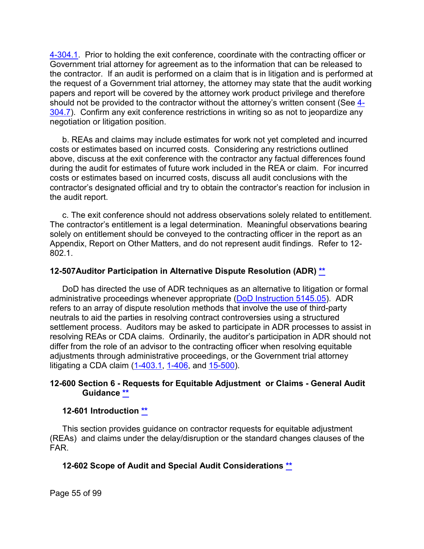[4-304.1.](https://viper.dcaa.mil/guidance/cam/3130/general-audit-requirements#Sec43041) Prior to holding the exit conference, coordinate with the contracting officer or Government trial attorney for agreement as to the information that can be released to the contractor. If an audit is performed on a claim that is in litigation and is performed at the request of a Government trial attorney, the attorney may state that the audit working papers and report will be covered by the attorney work product privilege and therefore should not be provided to the contractor without the attorney's written consent (See  $\frac{4}{5}$ [304.7\)](https://viper.dcaa.mil/guidance/cam/3130/general-audit-requirements#Sec43047). Confirm any exit conference restrictions in writing so as not to jeopardize any negotiation or litigation position.

b. REAs and claims may include estimates for work not yet completed and incurred costs or estimates based on incurred costs. Considering any restrictions outlined above, discuss at the exit conference with the contractor any factual differences found during the audit for estimates of future work included in the REA or claim. For incurred costs or estimates based on incurred costs, discuss all audit conclusions with the contractor's designated official and try to obtain the contractor's reaction for inclusion in the audit report.

c. The exit conference should not address observations solely related to entitlement. The contractor's entitlement is a legal determination. Meaningful observations bearing solely on entitlement should be conveyed to the contracting officer in the report as an Appendix, Report on Other Matters, and do not represent audit findings. Refer to 12- 802.1.

#### **12-507Auditor Participation in Alternative Dispute Resolution (ADR) [\\*\\*](#page-49-0)**

DoD has directed the use of ADR techniques as an alternative to litigation or formal administrative proceedings whenever appropriate [\(DoD Instruction 5145.05\)](https://www.esd.whs.mil/Portals/54/Documents/DD/issuances/dodi/514505p.pdf). ADR refers to an array of dispute resolution methods that involve the use of third-party neutrals to aid the parties in resolving contract controversies using a structured settlement process. Auditors may be asked to participate in ADR processes to assist in resolving REAs or CDA claims. Ordinarily, the auditor's participation in ADR should not differ from the role of an advisor to the contracting officer when resolving equitable adjustments through administrative proceedings, or the Government trial attorney litigating a CDA claim [\(1-403.1,](https://viper.dcaa.mil/guidance/cam/3127/introduction-to-contract-audit#Sec14031) [1-406,](https://viper.dcaa.mil/guidance/cam/3127/introduction-to-contract-audit#Sec1406) and [15-500\)](https://viper.dcaa.mil/guidance/cam/3161/other-dcaa-functions#Sec15500).

#### **12-600 Section 6 - Requests for Equitable Adjustment or Claims - General Audit Guidance [\\*\\*](#page-2-18)**

#### **12-601 Introduction [\\*\\*](#page-2-19)**

This section provides guidance on contractor requests for equitable adjustment (REAs) and claims under the delay/disruption or the standard changes clauses of the FAR.

### **12-602 Scope of Audit and Special Audit Considerations [\\*\\*](#page-2-20)**

Page 55 of 99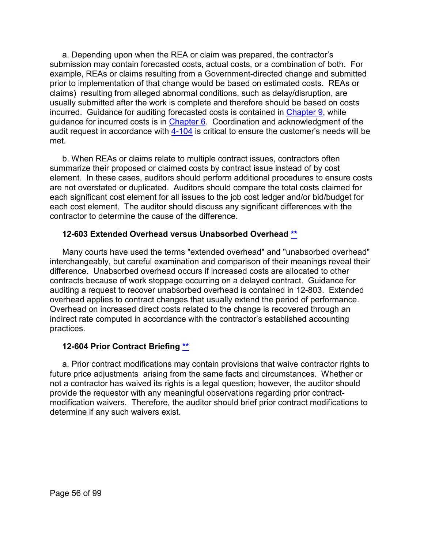a. Depending upon when the REA or claim was prepared, the contractor's submission may contain forecasted costs, actual costs, or a combination of both. For example, REAs or claims resulting from a Government-directed change and submitted prior to implementation of that change would be based on estimated costs. REAs or claims) resulting from alleged abnormal conditions, such as delay/disruption, are usually submitted after the work is complete and therefore should be based on costs incurred. Guidance for auditing forecasted costs is contained in [Chapter 9,](https://viper.dcaa.mil/guidance/cam/3144/audits-of-cost-estimating-and-pricing-proposals#Sec) while guidance for incurred costs is in [Chapter 6.](https://viper.dcaa.mil/guidance/cam/3136/incurred-cost-audit-procedures#Sec) Coordination and acknowledgment of the audit request in accordance with  $\frac{4-104}{10}$  is critical to ensure the customer's needs will be met.

b. When REAs or claims relate to multiple contract issues, contractors often summarize their proposed or claimed costs by contract issue instead of by cost element. In these cases, auditors should perform additional procedures to ensure costs are not overstated or duplicated. Auditors should compare the total costs claimed for each significant cost element for all issues to the job cost ledger and/or bid/budget for each cost element. The auditor should discuss any significant differences with the contractor to determine the cause of the difference.

### **12-603 Extended Overhead versus Unabsorbed Overhead [\\*\\*](#page-2-21)**

Many courts have used the terms "extended overhead" and "unabsorbed overhead" interchangeably, but careful examination and comparison of their meanings reveal their difference. Unabsorbed overhead occurs if increased costs are allocated to other contracts because of work stoppage occurring on a delayed contract. Guidance for auditing a request to recover unabsorbed overhead is contained in 12-803. Extended overhead applies to contract changes that usually extend the period of performance. Overhead on increased direct costs related to the change is recovered through an indirect rate computed in accordance with the contractor's established accounting practices.

### **12-604 Prior Contract Briefing [\\*\\*](#page-2-22)**

a. Prior contract modifications may contain provisions that waive contractor rights to future price adjustments arising from the same facts and circumstances. Whether or not a contractor has waived its rights is a legal question; however, the auditor should provide the requestor with any meaningful observations regarding prior contractmodification waivers. Therefore, the auditor should brief prior contract modifications to determine if any such waivers exist.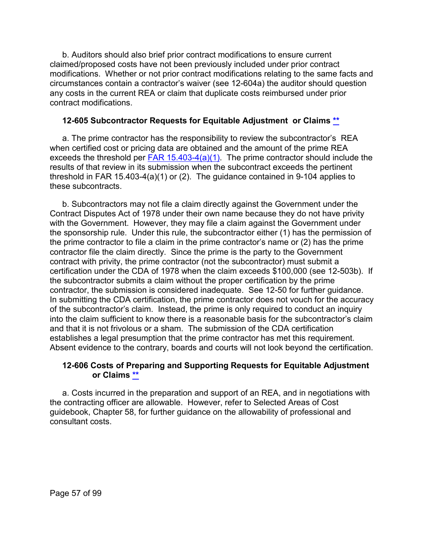b. Auditors should also brief prior contract modifications to ensure current claimed/proposed costs have not been previously included under prior contract modifications. Whether or not prior contract modifications relating to the same facts and circumstances contain a contractor's waiver (see 12-604a) the auditor should question any costs in the current REA or claim that duplicate costs reimbursed under prior contract modifications.

#### **12-605 Subcontractor Requests for Equitable Adjustment or Claims [\\*\\*](#page-2-23)**

a. The prime contractor has the responsibility to review the subcontractor's REA when certified cost or pricing data are obtained and the amount of the prime REA exceeds the threshold per  $FAR$  15.403-4(a)(1). The prime contractor should include the results of that review in its submission when the subcontract exceeds the pertinent threshold in FAR 15.403-4(a)(1) or (2). The guidance contained in 9-104 applies to these subcontracts.

b. Subcontractors may not file a claim directly against the Government under the Contract Disputes Act of 1978 under their own name because they do not have privity with the Government. However, they may file a claim against the Government under the sponsorship rule. Under this rule, the subcontractor either (1) has the permission of the prime contractor to file a claim in the prime contractor's name or (2) has the prime contractor file the claim directly. Since the prime is the party to the Government contract with privity, the prime contractor (not the subcontractor) must submit a certification under the CDA of 1978 when the claim exceeds \$100,000 (see 12-503b). If the subcontractor submits a claim without the proper certification by the prime contractor, the submission is considered inadequate. See 12-50 for further guidance. In submitting the CDA certification, the prime contractor does not vouch for the accuracy of the subcontractor's claim. Instead, the prime is only required to conduct an inquiry into the claim sufficient to know there is a reasonable basis for the subcontractor's claim and that it is not frivolous or a sham. The submission of the CDA certification establishes a legal presumption that the prime contractor has met this requirement. Absent evidence to the contrary, boards and courts will not look beyond the certification.

#### **12-606 Costs of Preparing and Supporting Requests for Equitable Adjustment or Claims [\\*\\*](#page-3-0)**

a. Costs incurred in the preparation and support of an REA, and in negotiations with the contracting officer are allowable. However, refer to Selected Areas of Cost guidebook, Chapter 58, for further guidance on the allowability of professional and consultant costs.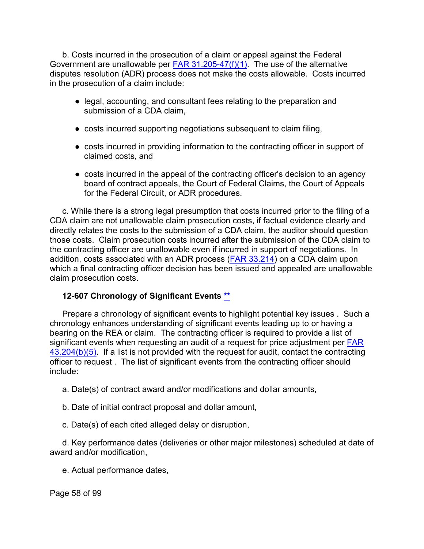b. Costs incurred in the prosecution of a claim or appeal against the Federal Government are unallowable per [FAR 31.205-47\(f\)\(1\).](http://www.ecfr.gov/cgi-bin/text-idx?SID=c77ff554baab649cdddbba5426a93d3b&mc=true&node=se48.1.31_1205_647&rgn=div8) The use of the alternative disputes resolution (ADR) process does not make the costs allowable. Costs incurred in the prosecution of a claim include:

- legal, accounting, and consultant fees relating to the preparation and submission of a CDA claim,
- costs incurred supporting negotiations subsequent to claim filing,
- costs incurred in providing information to the contracting officer in support of claimed costs, and
- costs incurred in the appeal of the contracting officer's decision to an agency board of contract appeals, the Court of Federal Claims, the Court of Appeals for the Federal Circuit, or ADR procedures.

c. While there is a strong legal presumption that costs incurred prior to the filing of a CDA claim are not unallowable claim prosecution costs, if factual evidence clearly and directly relates the costs to the submission of a CDA claim, the auditor should question those costs. Claim prosecution costs incurred after the submission of the CDA claim to the contracting officer are unallowable even if incurred in support of negotiations. In addition, costs associated with an ADR process (**FAR 33.214**) on a CDA claim upon which a final contracting officer decision has been issued and appealed are unallowable claim prosecution costs.

### **12-607 Chronology of Significant Events [\\*\\*](#page-3-1)**

Prepare a chronology of significant events to highlight potential key issues . Such a chronology enhances understanding of significant events leading up to or having a bearing on the REA or claim. The contracting officer is required to provide a list of significant events when requesting an audit of a request for price adjustment per FAR  $43.204(b)(5)$ . If a list is not provided with the request for audit, contact the contracting officer to request . The list of significant events from the contracting officer should include:

- a. Date(s) of contract award and/or modifications and dollar amounts,
- b. Date of initial contract proposal and dollar amount,
- c. Date(s) of each cited alleged delay or disruption,

d. Key performance dates (deliveries or other major milestones) scheduled at date of award and/or modification,

e. Actual performance dates,

Page 58 of 99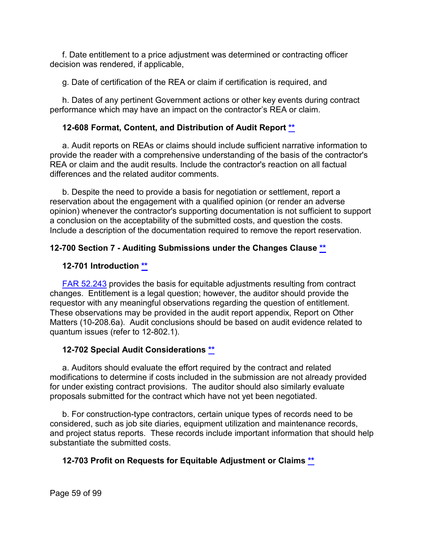f. Date entitlement to a price adjustment was determined or contracting officer decision was rendered, if applicable,

g. Date of certification of the REA or claim if certification is required, and

h. Dates of any pertinent Government actions or other key events during contract performance which may have an impact on the contractor's REA or claim.

## **12-608 Format, Content, and Distribution of Audit Report [\\*\\*](#page-3-2)**

a. Audit reports on REAs or claims should include sufficient narrative information to provide the reader with a comprehensive understanding of the basis of the contractor's REA or claim and the audit results. Include the contractor's reaction on all factual differences and the related auditor comments.

b. Despite the need to provide a basis for negotiation or settlement, report a reservation about the engagement with a qualified opinion (or render an adverse opinion) whenever the contractor's supporting documentation is not sufficient to support a conclusion on the acceptability of the submitted costs, and question the costs. Include a description of the documentation required to remove the report reservation.

## **12-700 Section 7 - Auditing Submissions under the Changes Clause [\\*\\*](#page-3-3)**

### **12-701 Introduction [\\*\\*](#page-3-4)**

[FAR 52.243](http://www.ecfr.gov/cgi-bin/text-idx?SID=62e3bd5f9ea050aa3affca2441282513&mc=true&node=se48.2.52_1243_61&rgn=div8) provides the basis for equitable adjustments resulting from contract changes. Entitlement is a legal question; however, the auditor should provide the requestor with any meaningful observations regarding the question of entitlement. These observations may be provided in the audit report appendix, Report on Other Matters (10-208.6a). Audit conclusions should be based on audit evidence related to quantum issues (refer to 12-802.1).

### **12-702 Special Audit Considerations [\\*\\*](#page-3-5)**

a. Auditors should evaluate the effort required by the contract and related modifications to determine if costs included in the submission are not already provided for under existing contract provisions. The auditor should also similarly evaluate proposals submitted for the contract which have not yet been negotiated.

b. For construction-type contractors, certain unique types of records need to be considered, such as job site diaries, equipment utilization and maintenance records, and project status reports. These records include important information that should help substantiate the submitted costs.

# **12-703 Profit on Requests for Equitable Adjustment or Claims [\\*\\*](#page-3-6)**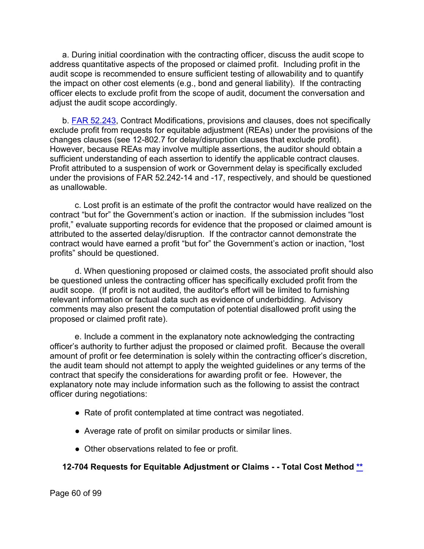a. During initial coordination with the contracting officer, discuss the audit scope to address quantitative aspects of the proposed or claimed profit. Including profit in the audit scope is recommended to ensure sufficient testing of allowability and to quantify the impact on other cost elements (e.g., bond and general liability). If the contracting officer elects to exclude profit from the scope of audit, document the conversation and adjust the audit scope accordingly.

b. [FAR 52.243,](http://www.ecfr.gov/cgi-bin/text-idx?SID=62e3bd5f9ea050aa3affca2441282513&mc=true&node=se48.2.52_1243_61&rgn=div8) Contract Modifications, provisions and clauses, does not specifically exclude profit from requests for equitable adjustment (REAs) under the provisions of the changes clauses (see 12-802.7 for delay/disruption clauses that exclude profit). However, because REAs may involve multiple assertions, the auditor should obtain a sufficient understanding of each assertion to identify the applicable contract clauses. Profit attributed to a suspension of work or Government delay is specifically excluded under the provisions of FAR 52.242-14 and -17, respectively, and should be questioned as unallowable.

c. Lost profit is an estimate of the profit the contractor would have realized on the contract "but for" the Government's action or inaction. If the submission includes "lost profit," evaluate supporting records for evidence that the proposed or claimed amount is attributed to the asserted delay/disruption. If the contractor cannot demonstrate the contract would have earned a profit "but for" the Government's action or inaction, "lost profits" should be questioned.

d. When questioning proposed or claimed costs, the associated profit should also be questioned unless the contracting officer has specifically excluded profit from the audit scope. (If profit is not audited, the auditor's effort will be limited to furnishing relevant information or factual data such as evidence of underbidding. Advisory comments may also present the computation of potential disallowed profit using the proposed or claimed profit rate).

e. Include a comment in the explanatory note acknowledging the contracting officer's authority to further adjust the proposed or claimed profit. Because the overall amount of profit or fee determination is solely within the contracting officer's discretion, the audit team should not attempt to apply the weighted guidelines or any terms of the contract that specify the considerations for awarding profit or fee. However, the explanatory note may include information such as the following to assist the contract officer during negotiations:

- Rate of profit contemplated at time contract was negotiated.
- Average rate of profit on similar products or similar lines.
- Other observations related to fee or profit.

### **12-704 Requests for Equitable Adjustment or Claims - - Total Cost Method [\\*\\*](#page-3-7)**

Page 60 of 99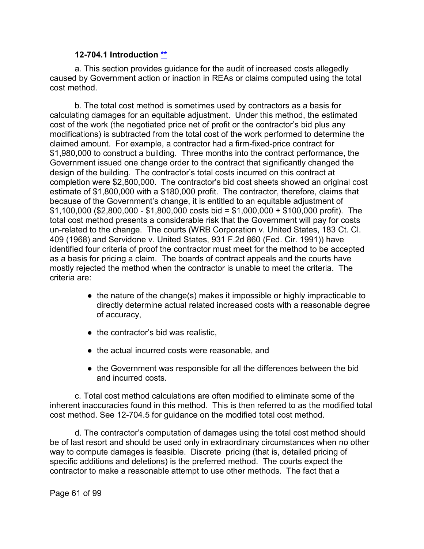#### **12-704.1 Introduction [\\*\\*](#page-3-8)**

a. This section provides guidance for the audit of increased costs allegedly caused by Government action or inaction in REAs or claims computed using the total cost method.

b. The total cost method is sometimes used by contractors as a basis for calculating damages for an equitable adjustment. Under this method, the estimated cost of the work (the negotiated price net of profit or the contractor's bid plus any modifications) is subtracted from the total cost of the work performed to determine the claimed amount. For example, a contractor had a firm-fixed-price contract for \$1,980,000 to construct a building. Three months into the contract performance, the Government issued one change order to the contract that significantly changed the design of the building. The contractor's total costs incurred on this contract at completion were \$2,800,000. The contractor's bid cost sheets showed an original cost estimate of \$1,800,000 with a \$180,000 profit. The contractor, therefore, claims that because of the Government's change, it is entitled to an equitable adjustment of  $$1,100,000$  (\$2,800,000 - \$1,800,000 costs bid = \$1,000,000 + \$100,000 profit). The total cost method presents a considerable risk that the Government will pay for costs un-related to the change. The courts (WRB Corporation v. United States, 183 Ct. Cl. 409 (1968) and Servidone v. United States, 931 F.2d 860 (Fed. Cir. 1991)) have identified four criteria of proof the contractor must meet for the method to be accepted as a basis for pricing a claim. The boards of contract appeals and the courts have mostly rejected the method when the contractor is unable to meet the criteria. The criteria are:

- the nature of the change(s) makes it impossible or highly impracticable to directly determine actual related increased costs with a reasonable degree of accuracy,
- the contractor's bid was realistic,
- the actual incurred costs were reasonable, and
- the Government was responsible for all the differences between the bid and incurred costs.

c. Total cost method calculations are often modified to eliminate some of the inherent inaccuracies found in this method. This is then referred to as the modified total cost method. See 12-704.5 for guidance on the modified total cost method.

d. The contractor's computation of damages using the total cost method should be of last resort and should be used only in extraordinary circumstances when no other way to compute damages is feasible. Discrete pricing (that is, detailed pricing of specific additions and deletions) is the preferred method. The courts expect the contractor to make a reasonable attempt to use other methods. The fact that a

Page 61 of 99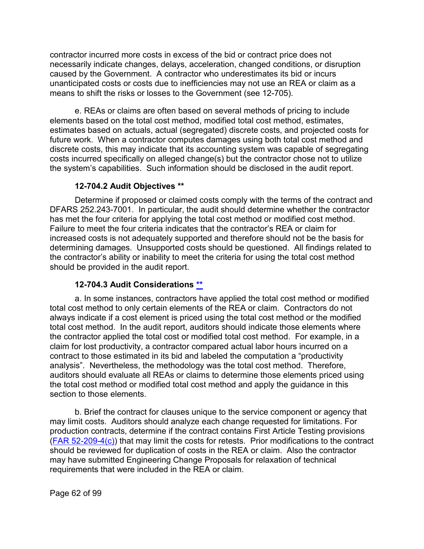contractor incurred more costs in excess of the bid or contract price does not necessarily indicate changes, delays, acceleration, changed conditions, or disruption caused by the Government. A contractor who underestimates its bid or incurs unanticipated costs or costs due to inefficiencies may not use an REA or claim as a means to shift the risks or losses to the Government (see 12-705).

e. REAs or claims are often based on several methods of pricing to include elements based on the total cost method, modified total cost method, estimates, estimates based on actuals, actual (segregated) discrete costs, and projected costs for future work. When a contractor computes damages using both total cost method and discrete costs, this may indicate that its accounting system was capable of segregating costs incurred specifically on alleged change(s) but the contractor chose not to utilize the system's capabilities. Such information should be disclosed in the audit report.

#### **12-704.2 Audit Objectives [\\*\\*](#page-3-9)**

Determine if proposed or claimed costs comply with the terms of the contract and DFARS 252.243-7001. In particular, the audit should determine whether the contractor has met the four criteria for applying the total cost method or modified cost method. Failure to meet the four criteria indicates that the contractor's REA or claim for increased costs is not adequately supported and therefore should not be the basis for determining damages. Unsupported costs should be questioned. All findings related to the contractor's ability or inability to meet the criteria for using the total cost method should be provided in the audit report.

### **12-704.3 Audit Considerations [\\*\\*](#page-3-10)**

a. In some instances, contractors have applied the total cost method or modified total cost method to only certain elements of the REA or claim. Contractors do not always indicate if a cost element is priced using the total cost method or the modified total cost method. In the audit report, auditors should indicate those elements where the contractor applied the total cost or modified total cost method. For example, in a claim for lost productivity, a contractor compared actual labor hours incurred on a contract to those estimated in its bid and labeled the computation a "productivity analysis". Nevertheless, the methodology was the total cost method. Therefore, auditors should evaluate all REAs or claims to determine those elements priced using the total cost method or modified total cost method and apply the guidance in this section to those elements.

b. Brief the contract for clauses unique to the service component or agency that may limit costs. Auditors should analyze each change requested for limitations. For production contracts, determine if the contract contains First Article Testing provisions  $(FAR 52-209-4(c))$  that may limit the costs for retests. Prior modifications to the contract should be reviewed for duplication of costs in the REA or claim. Also the contractor may have submitted Engineering Change Proposals for relaxation of technical requirements that were included in the REA or claim.

Page 62 of 99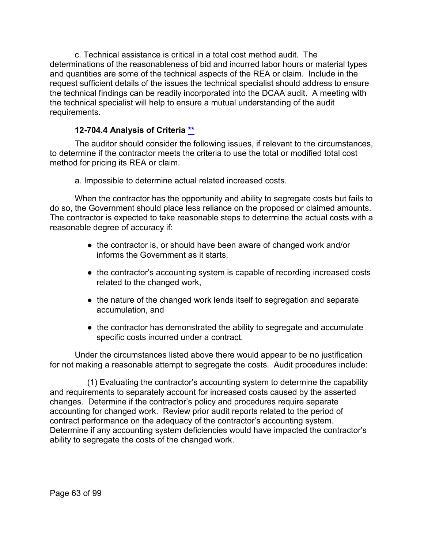c. Technical assistance is critical in a total cost method audit. The determinations of the reasonableness of bid and incurred labor hours or material types and quantities are some of the technical aspects of the REA or claim. Include in the request sufficient details of the issues the technical specialist should address to ensure the technical findings can be readily incorporated into the DCAA audit. A meeting with the technical specialist will help to ensure a mutual understanding of the audit requirements.

## **12-704.4 Analysis of Criteria [\\*\\*](#page-3-11)**

The auditor should consider the following issues, if relevant to the circumstances, to determine if the contractor meets the criteria to use the total or modified total cost method for pricing its REA or claim.

a. Impossible to determine actual related increased costs.

When the contractor has the opportunity and ability to segregate costs but fails to do so, the Government should place less reliance on the proposed or claimed amounts. The contractor is expected to take reasonable steps to determine the actual costs with a reasonable degree of accuracy if:

- the contractor is, or should have been aware of changed work and/or informs the Government as it starts,
- the contractor's accounting system is capable of recording increased costs related to the changed work,
- the nature of the changed work lends itself to segregation and separate accumulation, and
- the contractor has demonstrated the ability to segregate and accumulate specific costs incurred under a contract.

Under the circumstances listed above there would appear to be no justification for not making a reasonable attempt to segregate the costs. Audit procedures include:

(1) Evaluating the contractor's accounting system to determine the capability and requirements to separately account for increased costs caused by the asserted changes. Determine if the contractor's policy and procedures require separate accounting for changed work. Review prior audit reports related to the period of contract performance on the adequacy of the contractor's accounting system. Determine if any accounting system deficiencies would have impacted the contractor's ability to segregate the costs of the changed work.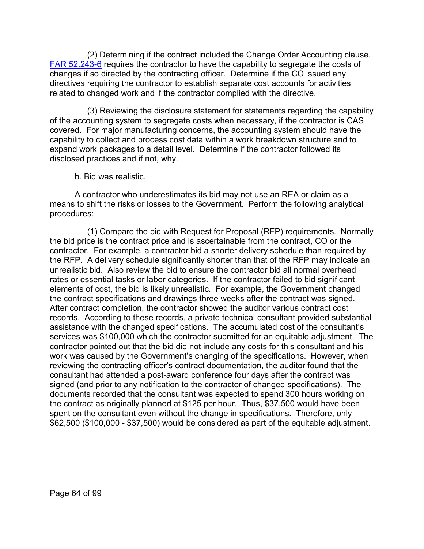(2) Determining if the contract included the Change Order Accounting clause. [FAR 52.243-6](http://www.ecfr.gov/cgi-bin/text-idx?SID=c77ff554baab649cdddbba5426a93d3b&mc=true&node=se48.2.52_1243_66&rgn=div8) requires the contractor to have the capability to segregate the costs of changes if so directed by the contracting officer. Determine if the CO issued any directives requiring the contractor to establish separate cost accounts for activities related to changed work and if the contractor complied with the directive.

(3) Reviewing the disclosure statement for statements regarding the capability of the accounting system to segregate costs when necessary, if the contractor is CAS covered. For major manufacturing concerns, the accounting system should have the capability to collect and process cost data within a work breakdown structure and to expand work packages to a detail level. Determine if the contractor followed its disclosed practices and if not, why.

b. Bid was realistic.

A contractor who underestimates its bid may not use an REA or claim as a means to shift the risks or losses to the Government. Perform the following analytical procedures:

(1) Compare the bid with Request for Proposal (RFP) requirements. Normally the bid price is the contract price and is ascertainable from the contract, CO or the contractor. For example, a contractor bid a shorter delivery schedule than required by the RFP. A delivery schedule significantly shorter than that of the RFP may indicate an unrealistic bid. Also review the bid to ensure the contractor bid all normal overhead rates or essential tasks or labor categories. If the contractor failed to bid significant elements of cost, the bid is likely unrealistic. For example, the Government changed the contract specifications and drawings three weeks after the contract was signed. After contract completion, the contractor showed the auditor various contract cost records. According to these records, a private technical consultant provided substantial assistance with the changed specifications. The accumulated cost of the consultant's services was \$100,000 which the contractor submitted for an equitable adjustment. The contractor pointed out that the bid did not include any costs for this consultant and his work was caused by the Government's changing of the specifications. However, when reviewing the contracting officer's contract documentation, the auditor found that the consultant had attended a post-award conference four days after the contract was signed (and prior to any notification to the contractor of changed specifications). The documents recorded that the consultant was expected to spend 300 hours working on the contract as originally planned at \$125 per hour. Thus, \$37,500 would have been spent on the consultant even without the change in specifications. Therefore, only \$62,500 (\$100,000 - \$37,500) would be considered as part of the equitable adjustment.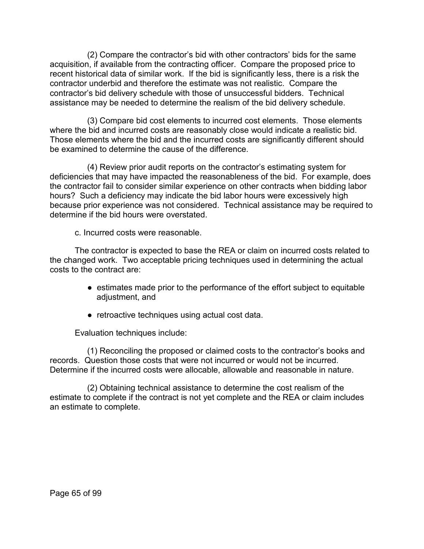(2) Compare the contractor's bid with other contractors' bids for the same acquisition, if available from the contracting officer. Compare the proposed price to recent historical data of similar work. If the bid is significantly less, there is a risk the contractor underbid and therefore the estimate was not realistic. Compare the contractor's bid delivery schedule with those of unsuccessful bidders. Technical assistance may be needed to determine the realism of the bid delivery schedule.

(3) Compare bid cost elements to incurred cost elements. Those elements where the bid and incurred costs are reasonably close would indicate a realistic bid. Those elements where the bid and the incurred costs are significantly different should be examined to determine the cause of the difference.

(4) Review prior audit reports on the contractor's estimating system for deficiencies that may have impacted the reasonableness of the bid. For example, does the contractor fail to consider similar experience on other contracts when bidding labor hours? Such a deficiency may indicate the bid labor hours were excessively high because prior experience was not considered. Technical assistance may be required to determine if the bid hours were overstated.

c. Incurred costs were reasonable.

The contractor is expected to base the REA or claim on incurred costs related to the changed work. Two acceptable pricing techniques used in determining the actual costs to the contract are:

- estimates made prior to the performance of the effort subject to equitable adjustment, and
- retroactive techniques using actual cost data.

Evaluation techniques include:

(1) Reconciling the proposed or claimed costs to the contractor's books and records. Question those costs that were not incurred or would not be incurred. Determine if the incurred costs were allocable, allowable and reasonable in nature.

(2) Obtaining technical assistance to determine the cost realism of the estimate to complete if the contract is not yet complete and the REA or claim includes an estimate to complete.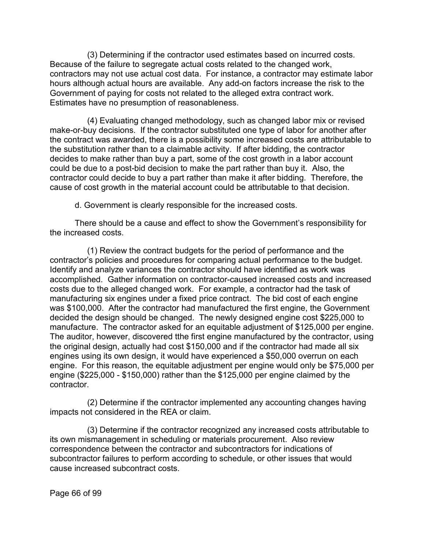(3) Determining if the contractor used estimates based on incurred costs. Because of the failure to segregate actual costs related to the changed work, contractors may not use actual cost data. For instance, a contractor may estimate labor hours although actual hours are available. Any add-on factors increase the risk to the Government of paying for costs not related to the alleged extra contract work. Estimates have no presumption of reasonableness.

(4) Evaluating changed methodology, such as changed labor mix or revised make-or-buy decisions. If the contractor substituted one type of labor for another after the contract was awarded, there is a possibility some increased costs are attributable to the substitution rather than to a claimable activity. If after bidding, the contractor decides to make rather than buy a part, some of the cost growth in a labor account could be due to a post-bid decision to make the part rather than buy it. Also, the contractor could decide to buy a part rather than make it after bidding. Therefore, the cause of cost growth in the material account could be attributable to that decision.

d. Government is clearly responsible for the increased costs.

There should be a cause and effect to show the Government's responsibility for the increased costs.

(1) Review the contract budgets for the period of performance and the contractor's policies and procedures for comparing actual performance to the budget. Identify and analyze variances the contractor should have identified as work was accomplished. Gather information on contractor-caused increased costs and increased costs due to the alleged changed work. For example, a contractor had the task of manufacturing six engines under a fixed price contract. The bid cost of each engine was \$100,000. After the contractor had manufactured the first engine, the Government decided the design should be changed. The newly designed engine cost \$225,000 to manufacture. The contractor asked for an equitable adjustment of \$125,000 per engine. The auditor, however, discovered tthe first engine manufactured by the contractor, using the original design, actually had cost \$150,000 and if the contractor had made all six engines using its own design, it would have experienced a \$50,000 overrun on each engine. For this reason, the equitable adjustment per engine would only be \$75,000 per engine (\$225,000 - \$150,000) rather than the \$125,000 per engine claimed by the contractor.

(2) Determine if the contractor implemented any accounting changes having impacts not considered in the REA or claim.

(3) Determine if the contractor recognized any increased costs attributable to its own mismanagement in scheduling or materials procurement. Also review correspondence between the contractor and subcontractors for indications of subcontractor failures to perform according to schedule, or other issues that would cause increased subcontract costs.

Page 66 of 99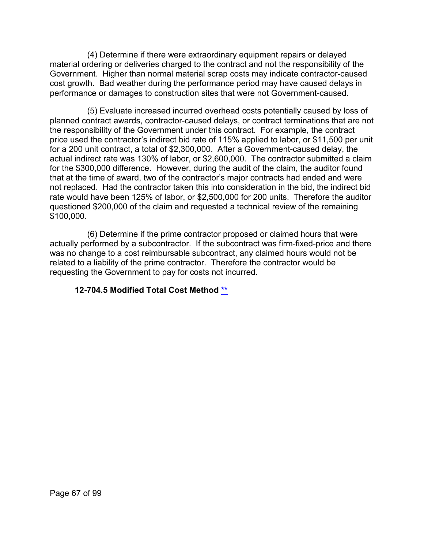(4) Determine if there were extraordinary equipment repairs or delayed material ordering or deliveries charged to the contract and not the responsibility of the Government. Higher than normal material scrap costs may indicate contractor-caused cost growth. Bad weather during the performance period may have caused delays in performance or damages to construction sites that were not Government-caused.

(5) Evaluate increased incurred overhead costs potentially caused by loss of planned contract awards, contractor-caused delays, or contract terminations that are not the responsibility of the Government under this contract. For example, the contract price used the contractor's indirect bid rate of 115% applied to labor, or \$11,500 per unit for a 200 unit contract, a total of \$2,300,000. After a Government-caused delay, the actual indirect rate was 130% of labor, or \$2,600,000. The contractor submitted a claim for the \$300,000 difference. However, during the audit of the claim, the auditor found that at the time of award, two of the contractor's major contracts had ended and were not replaced. Had the contractor taken this into consideration in the bid, the indirect bid rate would have been 125% of labor, or \$2,500,000 for 200 units. Therefore the auditor questioned \$200,000 of the claim and requested a technical review of the remaining \$100,000.

(6) Determine if the prime contractor proposed or claimed hours that were actually performed by a subcontractor. If the subcontract was firm-fixed-price and there was no change to a cost reimbursable subcontract, any claimed hours would not be related to a liability of the prime contractor. Therefore the contractor would be requesting the Government to pay for costs not incurred.

### **12-704.5 Modified Total Cost Method [\\*\\*](#page-3-12)**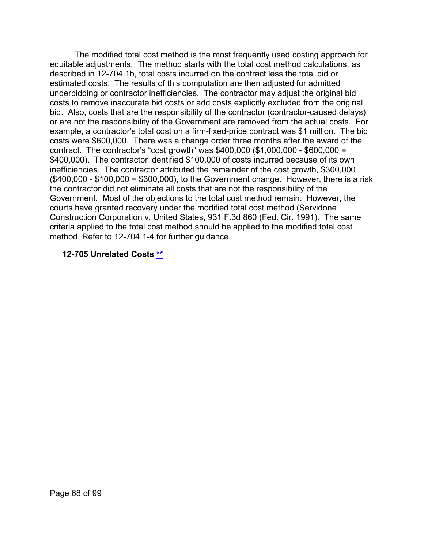The modified total cost method is the most frequently used costing approach for equitable adjustments. The method starts with the total cost method calculations, as described in 12-704.1b, total costs incurred on the contract less the total bid or estimated costs. The results of this computation are then adjusted for admitted underbidding or contractor inefficiencies. The contractor may adjust the original bid costs to remove inaccurate bid costs or add costs explicitly excluded from the original bid. Also, costs that are the responsibility of the contractor (contractor-caused delays) or are not the responsibility of the Government are removed from the actual costs. For example, a contractor's total cost on a firm-fixed-price contract was \$1 million. The bid costs were \$600,000. There was a change order three months after the award of the contract. The contractor's "cost growth" was \$400,000 (\$1,000,000 - \$600,000 = \$400,000). The contractor identified \$100,000 of costs incurred because of its own inefficiencies. The contractor attributed the remainder of the cost growth, \$300,000 (\$400,000 - \$100,000 = \$300,000), to the Government change. However, there is a risk the contractor did not eliminate all costs that are not the responsibility of the Government. Most of the objections to the total cost method remain. However, the courts have granted recovery under the modified total cost method (Servidone Construction Corporation v. United States, 931 F.3d 860 (Fed. Cir. 1991). The same criteria applied to the total cost method should be applied to the modified total cost method. Refer to 12-704.1-4 for further guidance.

#### **12-705 Unrelated Costs [\\*\\*](#page-3-13)**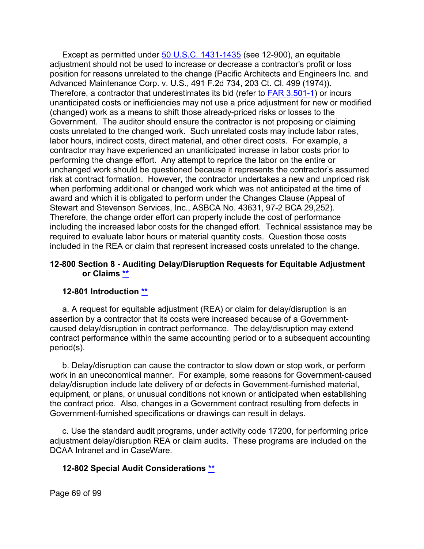Except as permitted under [50 U.S.C. 1431-1435](http://uscode.house.gov/view.xhtml?req=granuleid%3AUSC-prelim-title50-chapter29&edition=prelim) (see 12-900), an equitable adjustment should not be used to increase or decrease a contractor's profit or loss position for reasons unrelated to the change (Pacific Architects and Engineers Inc. and Advanced Maintenance Corp. v. U.S., 491 F.2d 734, 203 Ct. Cl. 499 (1974)). Therefore, a contractor that underestimates its bid (refer to [FAR 3.501-1\)](http://www.ecfr.gov/cgi-bin/text-idx?SID=c77ff554baab649cdddbba5426a93d3b&mc=true&node=se48.1.3_1501_61&rgn=div8) or incurs unanticipated costs or inefficiencies may not use a price adjustment for new or modified (changed) work as a means to shift those already-priced risks or losses to the Government. The auditor should ensure the contractor is not proposing or claiming costs unrelated to the changed work. Such unrelated costs may include labor rates, labor hours, indirect costs, direct material, and other direct costs. For example, a contractor may have experienced an unanticipated increase in labor costs prior to performing the change effort. Any attempt to reprice the labor on the entire or unchanged work should be questioned because it represents the contractor's assumed risk at contract formation. However, the contractor undertakes a new and unpriced risk when performing additional or changed work which was not anticipated at the time of award and which it is obligated to perform under the Changes Clause (Appeal of Stewart and Stevenson Services, Inc., ASBCA No. 43631, 97-2 BCA 29,252). Therefore, the change order effort can properly include the cost of performance including the increased labor costs for the changed effort. Technical assistance may be required to evaluate labor hours or material quantity costs. Question those costs included in the REA or claim that represent increased costs unrelated to the change.

#### **12-800 Section 8 - Auditing Delay/Disruption Requests for Equitable Adjustment or Claims [\\*\\*](#page-3-14)**

#### **12-801 Introduction [\\*\\*](#page-3-15)**

a. A request for equitable adjustment (REA) or claim for delay/disruption is an assertion by a contractor that its costs were increased because of a Governmentcaused delay/disruption in contract performance. The delay/disruption may extend contract performance within the same accounting period or to a subsequent accounting period(s).

b. Delay/disruption can cause the contractor to slow down or stop work, or perform work in an uneconomical manner. For example, some reasons for Government-caused delay/disruption include late delivery of or defects in Government-furnished material, equipment, or plans, or unusual conditions not known or anticipated when establishing the contract price. Also, changes in a Government contract resulting from defects in Government-furnished specifications or drawings can result in delays.

c. Use the standard audit programs, under activity code 17200, for performing price adjustment delay/disruption REA or claim audits. These programs are included on the DCAA Intranet and in CaseWare.

### **12-802 Special Audit Considerations [\\*\\*](#page-3-16)**

Page 69 of 99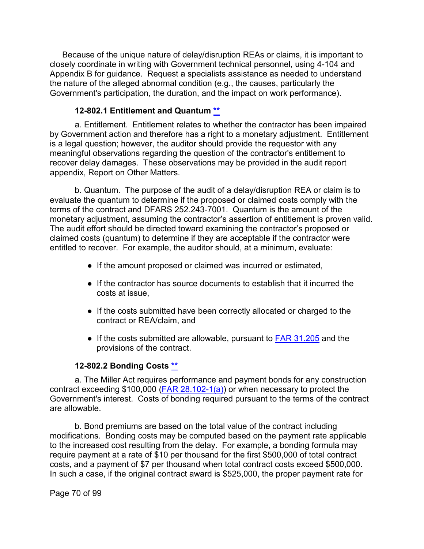Because of the unique nature of delay/disruption REAs or claims, it is important to closely coordinate in writing with Government technical personnel, using 4-104 and Appendix B for guidance. Request a specialists assistance as needed to understand the nature of the alleged abnormal condition (e.g., the causes, particularly the Government's participation, the duration, and the impact on work performance).

## **12-802.1 Entitlement and Quantum [\\*\\*](#page-3-17)**

a. Entitlement. Entitlement relates to whether the contractor has been impaired by Government action and therefore has a right to a monetary adjustment. Entitlement is a legal question; however, the auditor should provide the requestor with any meaningful observations regarding the question of the contractor's entitlement to recover delay damages. These observations may be provided in the audit report appendix, Report on Other Matters.

b. Quantum. The purpose of the audit of a delay/disruption REA or claim is to evaluate the quantum to determine if the proposed or claimed costs comply with the terms of the contract and DFARS 252.243-7001. Quantum is the amount of the monetary adjustment, assuming the contractor's assertion of entitlement is proven valid. The audit effort should be directed toward examining the contractor's proposed or claimed costs (quantum) to determine if they are acceptable if the contractor were entitled to recover. For example, the auditor should, at a minimum, evaluate:

- If the amount proposed or claimed was incurred or estimated,
- If the contractor has source documents to establish that it incurred the costs at issue,
- If the costs submitted have been correctly allocated or charged to the contract or REA/claim, and
- If the costs submitted are allowable, pursuant to [FAR 31.205](http://www.ecfr.gov/cgi-bin/text-idx?SID=928d94955aae4aa26c40319e2ffb9e84&mc=true&node=sp48.1.31.31_12&rgn=div6) and the provisions of the contract.

# **12-802.2 Bonding Costs [\\*\\*](#page-3-18)**

a. The Miller Act requires performance and payment bonds for any construction contract exceeding \$100,000 [\(FAR 28.102-1\(a\)\)](http://www.ecfr.gov/cgi-bin/text-idx?SID=c77ff554baab649cdddbba5426a93d3b&mc=true&node=se48.1.28_1102_61&rgn=div8) or when necessary to protect the Government's interest. Costs of bonding required pursuant to the terms of the contract are allowable.

b. Bond premiums are based on the total value of the contract including modifications. Bonding costs may be computed based on the payment rate applicable to the increased cost resulting from the delay. For example, a bonding formula may require payment at a rate of \$10 per thousand for the first \$500,000 of total contract costs, and a payment of \$7 per thousand when total contract costs exceed \$500,000. In such a case, if the original contract award is \$525,000, the proper payment rate for

Page 70 of 99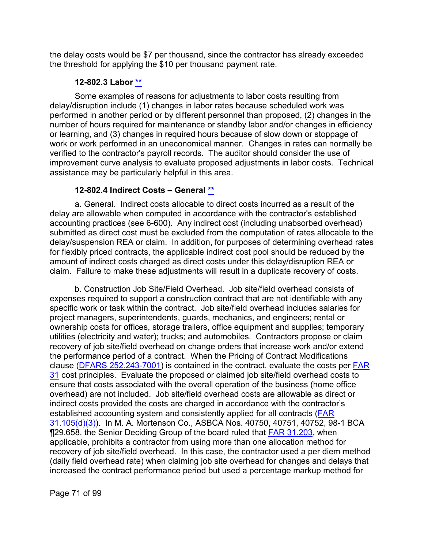the delay costs would be \$7 per thousand, since the contractor has already exceeded the threshold for applying the \$10 per thousand payment rate.

## **12-802.3 Labor [\\*\\*](#page-3-19)**

Some examples of reasons for adjustments to labor costs resulting from delay/disruption include (1) changes in labor rates because scheduled work was performed in another period or by different personnel than proposed, (2) changes in the number of hours required for maintenance or standby labor and/or changes in efficiency or learning, and (3) changes in required hours because of slow down or stoppage of work or work performed in an uneconomical manner. Changes in rates can normally be verified to the contractor's payroll records. The auditor should consider the use of improvement curve analysis to evaluate proposed adjustments in labor costs. Technical assistance may be particularly helpful in this area.

# **12-802.4 Indirect Costs – General [\\*\\*](#page-3-20)**

a. General. Indirect costs allocable to direct costs incurred as a result of the delay are allowable when computed in accordance with the contractor's established accounting practices (see 6-600). Any indirect cost (including unabsorbed overhead) submitted as direct cost must be excluded from the computation of rates allocable to the delay/suspension REA or claim. In addition, for purposes of determining overhead rates for flexibly priced contracts, the applicable indirect cost pool should be reduced by the amount of indirect costs charged as direct costs under this delay/disruption REA or claim. Failure to make these adjustments will result in a duplicate recovery of costs.

b. Construction Job Site/Field Overhead. Job site/field overhead consists of expenses required to support a construction contract that are not identifiable with any specific work or task within the contract. Job site/field overhead includes salaries for project managers, superintendents, guards, mechanics, and engineers; rental or ownership costs for offices, storage trailers, office equipment and supplies; temporary utilities (electricity and water); trucks; and automobiles. Contractors propose or claim recovery of job site/field overhead on change orders that increase work and/or extend the performance period of a contract. When the Pricing of Contract Modifications clause [\(DFARS 252.243-7001\)](http://www.ecfr.gov/cgi-bin/text-idx?SID=c77ff554baab649cdddbba5426a93d3b&mc=true&node=se48.3.252_1243_67001&rgn=div8) is contained in the contract, evaluate the costs per [FAR](http://www.ecfr.gov/cgi-bin/text-idx?SID=447fd71ed9be5be21c79b0353794e22f&mc=true&node=pt48.1.31&rgn=div5)  [31](http://www.ecfr.gov/cgi-bin/text-idx?SID=447fd71ed9be5be21c79b0353794e22f&mc=true&node=pt48.1.31&rgn=div5) cost principles. Evaluate the proposed or claimed job site/field overhead costs to ensure that costs associated with the overall operation of the business (home office overhead) are not included. Job site/field overhead costs are allowable as direct or indirect costs provided the costs are charged in accordance with the contractor's established accounting system and consistently applied for all contracts [\(FAR](http://www.ecfr.gov/cgi-bin/text-idx?SID=c27a0d3a681d0899d5a327018e44633a&mc=true&node=se48.1.31_1105&rgn=div8)  [31.105\(d\)\(3\)\)](http://www.ecfr.gov/cgi-bin/text-idx?SID=c27a0d3a681d0899d5a327018e44633a&mc=true&node=se48.1.31_1105&rgn=div8). In M. A. Mortenson Co., ASBCA Nos. 40750, 40751, 40752, 98-1 BCA ¶29,658, the Senior Deciding Group of the board ruled that [FAR 31.203,](http://www.ecfr.gov/cgi-bin/text-idx?SID=c27a0d3a681d0899d5a327018e44633a&mc=true&node=se48.1.31_1203&rgn=div8) when applicable, prohibits a contractor from using more than one allocation method for recovery of job site/field overhead. In this case, the contractor used a per diem method (daily field overhead rate) when claiming job site overhead for changes and delays that increased the contract performance period but used a percentage markup method for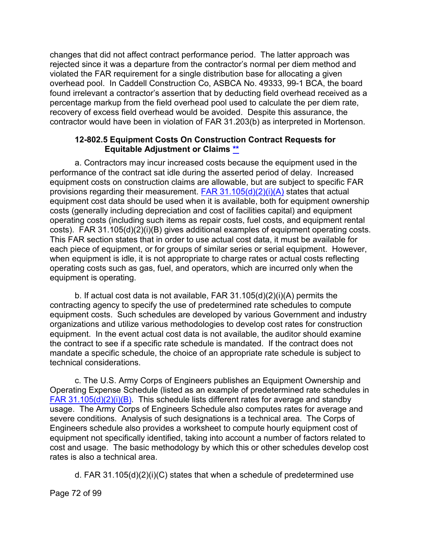changes that did not affect contract performance period. The latter approach was rejected since it was a departure from the contractor's normal per diem method and violated the FAR requirement for a single distribution base for allocating a given overhead pool. In Caddell Construction Co, ASBCA No. 49333, 99-1 BCA, the board found irrelevant a contractor's assertion that by deducting field overhead received as a percentage markup from the field overhead pool used to calculate the per diem rate, recovery of excess field overhead would be avoided. Despite this assurance, the contractor would have been in violation of FAR 31.203(b) as interpreted in Mortenson.

#### **12-802.5 Equipment Costs On Construction Contract Requests for Equitable Adjustment or Claims [\\*\\*](#page-3-21)**

a. Contractors may incur increased costs because the equipment used in the performance of the contract sat idle during the asserted period of delay. Increased equipment costs on construction claims are allowable, but are subject to specific FAR provisions regarding their measurement. FAR  $31.105(d)(2)(i)(A)$  states that actual equipment cost data should be used when it is available, both for equipment ownership costs (generally including depreciation and cost of facilities capital) and equipment operating costs (including such items as repair costs, fuel costs, and equipment rental costs). FAR 31.105(d)(2)(i)(B) gives additional examples of equipment operating costs. This FAR section states that in order to use actual cost data, it must be available for each piece of equipment, or for groups of similar series or serial equipment. However, when equipment is idle, it is not appropriate to charge rates or actual costs reflecting operating costs such as gas, fuel, and operators, which are incurred only when the equipment is operating.

b. If actual cost data is not available, FAR 31.105(d)(2)(i)(A) permits the contracting agency to specify the use of predetermined rate schedules to compute equipment costs. Such schedules are developed by various Government and industry organizations and utilize various methodologies to develop cost rates for construction equipment. In the event actual cost data is not available, the auditor should examine the contract to see if a specific rate schedule is mandated. If the contract does not mandate a specific schedule, the choice of an appropriate rate schedule is subject to technical considerations.

c. The U.S. Army Corps of Engineers publishes an Equipment Ownership and Operating Expense Schedule (listed as an example of predetermined rate schedules in [FAR 31.105\(d\)\(2\)\(i\)\(B\).](http://www.ecfr.gov/cgi-bin/text-idx?SID=c27a0d3a681d0899d5a327018e44633a&mc=true&node=se48.1.31_1105&rgn=div8) This schedule lists different rates for average and standby usage. The Army Corps of Engineers Schedule also computes rates for average and severe conditions. Analysis of such designations is a technical area. The Corps of Engineers schedule also provides a worksheet to compute hourly equipment cost of equipment not specifically identified, taking into account a number of factors related to cost and usage. The basic methodology by which this or other schedules develop cost rates is also a technical area.

d. FAR 31.105(d)(2)(i)(C) states that when a schedule of predetermined use

Page 72 of 99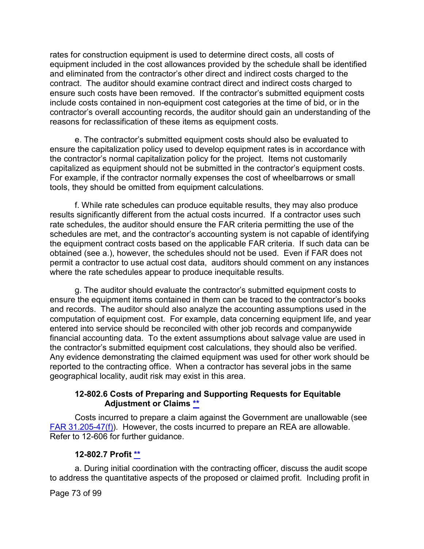rates for construction equipment is used to determine direct costs, all costs of equipment included in the cost allowances provided by the schedule shall be identified and eliminated from the contractor's other direct and indirect costs charged to the contract. The auditor should examine contract direct and indirect costs charged to ensure such costs have been removed. If the contractor's submitted equipment costs include costs contained in non-equipment cost categories at the time of bid, or in the contractor's overall accounting records, the auditor should gain an understanding of the reasons for reclassification of these items as equipment costs.

e. The contractor's submitted equipment costs should also be evaluated to ensure the capitalization policy used to develop equipment rates is in accordance with the contractor's normal capitalization policy for the project. Items not customarily capitalized as equipment should not be submitted in the contractor's equipment costs. For example, if the contractor normally expenses the cost of wheelbarrows or small tools, they should be omitted from equipment calculations.

f. While rate schedules can produce equitable results, they may also produce results significantly different from the actual costs incurred. If a contractor uses such rate schedules, the auditor should ensure the FAR criteria permitting the use of the schedules are met, and the contractor's accounting system is not capable of identifying the equipment contract costs based on the applicable FAR criteria. If such data can be obtained (see a.), however, the schedules should not be used. Even if FAR does not permit a contractor to use actual cost data, auditors should comment on any instances where the rate schedules appear to produce inequitable results.

g. The auditor should evaluate the contractor's submitted equipment costs to ensure the equipment items contained in them can be traced to the contractor's books and records. The auditor should also analyze the accounting assumptions used in the computation of equipment cost. For example, data concerning equipment life, and year entered into service should be reconciled with other job records and companywide financial accounting data. To the extent assumptions about salvage value are used in the contractor's submitted equipment cost calculations, they should also be verified. Any evidence demonstrating the claimed equipment was used for other work should be reported to the contracting office. When a contractor has several jobs in the same geographical locality, audit risk may exist in this area.

#### **12-802.6 Costs of Preparing and Supporting Requests for Equitable Adjustment or Claims [\\*\\*](#page-3-0)**

Costs incurred to prepare a claim against the Government are unallowable (see [FAR 31.205-47\(f\)\)](http://www.ecfr.gov/cgi-bin/text-idx?SID=c27a0d3a681d0899d5a327018e44633a&mc=true&node=se48.1.31_1205_647&rgn=div8). However, the costs incurred to prepare an REA are allowable. Refer to 12-606 for further guidance.

### **12-802.7 Profit [\\*\\*](#page-3-1)**

a. During initial coordination with the contracting officer, discuss the audit scope to address the quantitative aspects of the proposed or claimed profit. Including profit in

Page 73 of 99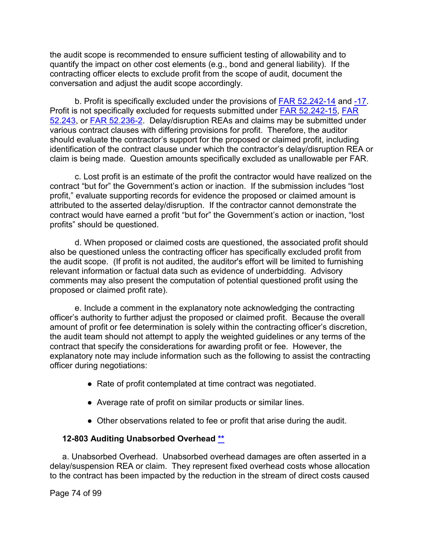the audit scope is recommended to ensure sufficient testing of allowability and to quantify the impact on other cost elements (e.g., bond and general liability). If the contracting officer elects to exclude profit from the scope of audit, document the conversation and adjust the audit scope accordingly.

b. Profit is specifically excluded under the provisions of [FAR 52.242-14](http://www.ecfr.gov/cgi-bin/text-idx?SID=c27a0d3a681d0899d5a327018e44633a&mc=true&node=se48.2.52_1242_614&rgn=div8) and [-17.](http://www.ecfr.gov/cgi-bin/retrieveECFR?gp=&SID=c27a0d3a681d0899d5a327018e44633a&mc=true&r=SECTION&n=se48.2.52_1242_617) Profit is not specifically excluded for requests submitted under [FAR 52.242-15,](http://www.ecfr.gov/cgi-bin/retrieveECFR?gp=&SID=c27a0d3a681d0899d5a327018e44633a&mc=true&r=SECTION&n=se48.2.52_1242_615) [FAR](http://www.ecfr.gov/cgi-bin/text-idx?SID=c27a0d3a681d0899d5a327018e44633a&mc=true&node=se48.2.52_1243_61&rgn=div8)  [52.243,](http://www.ecfr.gov/cgi-bin/text-idx?SID=c27a0d3a681d0899d5a327018e44633a&mc=true&node=se48.2.52_1243_61&rgn=div8) or [FAR 52.236-2.](http://www.ecfr.gov/cgi-bin/text-idx?SID=c27a0d3a681d0899d5a327018e44633a&mc=true&node=se48.2.52_1236_62&rgn=div8) Delay/disruption REAs and claims may be submitted under various contract clauses with differing provisions for profit. Therefore, the auditor should evaluate the contractor's support for the proposed or claimed profit, including identification of the contract clause under which the contractor's delay/disruption REA or claim is being made. Question amounts specifically excluded as unallowable per FAR.

c. Lost profit is an estimate of the profit the contractor would have realized on the contract "but for" the Government's action or inaction. If the submission includes "lost profit," evaluate supporting records for evidence the proposed or claimed amount is attributed to the asserted delay/disruption. If the contractor cannot demonstrate the contract would have earned a profit "but for" the Government's action or inaction, "lost profits" should be questioned.

d. When proposed or claimed costs are questioned, the associated profit should also be questioned unless the contracting officer has specifically excluded profit from the audit scope. (If profit is not audited, the auditor's effort will be limited to furnishing relevant information or factual data such as evidence of underbidding. Advisory comments may also present the computation of potential questioned profit using the proposed or claimed profit rate).

e. Include a comment in the explanatory note acknowledging the contracting officer's authority to further adjust the proposed or claimed profit. Because the overall amount of profit or fee determination is solely within the contracting officer's discretion, the audit team should not attempt to apply the weighted guidelines or any terms of the contract that specify the considerations for awarding profit or fee. However, the explanatory note may include information such as the following to assist the contracting officer during negotiations:

- Rate of profit contemplated at time contract was negotiated.
- Average rate of profit on similar products or similar lines.
- Other observations related to fee or profit that arise during the audit.

### **12-803 Auditing Unabsorbed Overhead [\\*\\*](#page-3-2)**

a. Unabsorbed Overhead. Unabsorbed overhead damages are often asserted in a delay/suspension REA or claim. They represent fixed overhead costs whose allocation to the contract has been impacted by the reduction in the stream of direct costs caused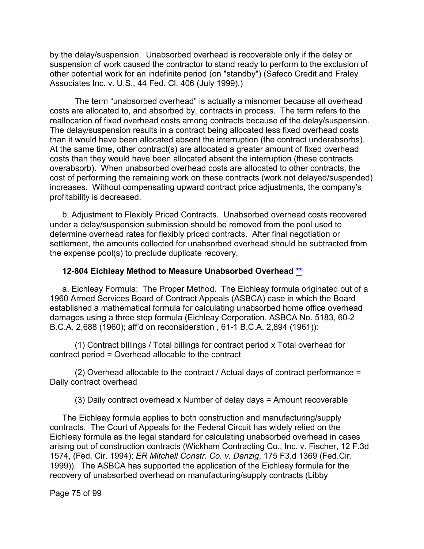by the delay/suspension. Unabsorbed overhead is recoverable only if the delay or suspension of work caused the contractor to stand ready to perform to the exclusion of other potential work for an indefinite period (on "standby") (Safeco Credit and Fraley Associates Inc. v. U.S., 44 Fed. Cl. 406 (July 1999).)

The term "unabsorbed overhead" is actually a misnomer because all overhead costs are allocated to, and absorbed by, contracts in process. The term refers to the reallocation of fixed overhead costs among contracts because of the delay/suspension. The delay/suspension results in a contract being allocated less fixed overhead costs than it would have been allocated absent the interruption (the contract underabsorbs). At the same time, other contract(s) are allocated a greater amount of fixed overhead costs than they would have been allocated absent the interruption (these contracts overabsorb). When unabsorbed overhead costs are allocated to other contracts, the cost of performing the remaining work on these contracts (work not delayed/suspended) increases. Without compensating upward contract price adjustments, the company's profitability is decreased.

b. Adjustment to Flexibly Priced Contracts. Unabsorbed overhead costs recovered under a delay/suspension submission should be removed from the pool used to determine overhead rates for flexibly priced contracts. After final negotiation or settlement, the amounts collected for unabsorbed overhead should be subtracted from the expense pool(s) to preclude duplicate recovery.

#### **12-804 Eichleay Method to Measure Unabsorbed Overhead [\\*\\*](#page-3-3)**

a. Eichleay Formula: The Proper Method. The Eichleay formula originated out of a 1960 Armed Services Board of Contract Appeals (ASBCA) case in which the Board established a mathematical formula for calculating unabsorbed home office overhead damages using a three step formula (Eichleay Corporation, ASBCA No. 5183, 60-2 B.C.A. 2,688 (1960); aff'd on reconsideration , 61-1 B.C.A. 2,894 (1961)):

(1) Contract billings / Total billings for contract period x Total overhead for contract period = Overhead allocable to the contract

(2) Overhead allocable to the contract / Actual days of contract performance = Daily contract overhead

(3) Daily contract overhead x Number of delay days = Amount recoverable

The Eichleay formula applies to both construction and manufacturing/supply contracts. The Court of Appeals for the Federal Circuit has widely relied on the Eichleay formula as the legal standard for calculating unabsorbed overhead in cases arising out of construction contracts (Wickham Contracting Co., Inc. v. Fischer, 12 F.3d 1574, (Fed. Cir. 1994); *ER Mitchell Constr. Co. v. Danzig*, 175 F3.d 1369 (Fed.Cir. 1999)). The ASBCA has supported the application of the Eichleay formula for the recovery of unabsorbed overhead on manufacturing/supply contracts (Libby

Page 75 of 99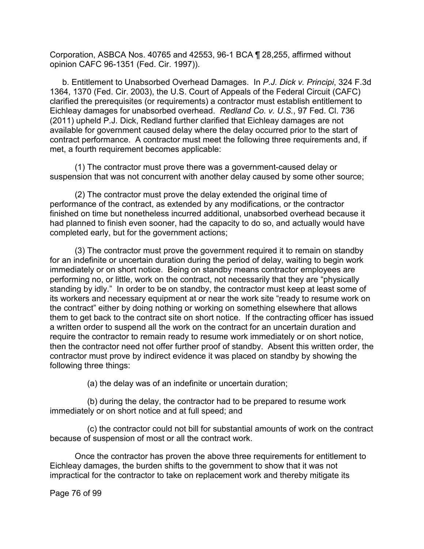Corporation, ASBCA Nos. 40765 and 42553, 96-1 BCA ¶ 28,255, affirmed without opinion CAFC 96-1351 (Fed. Cir. 1997)).

b. Entitlement to Unabsorbed Overhead Damages. In *P.J. Dick v. Principi*, 324 F.3d 1364, 1370 (Fed. Cir. 2003), the U.S. Court of Appeals of the Federal Circuit (CAFC) clarified the prerequisites (or requirements) a contractor must establish entitlement to Eichleay damages for unabsorbed overhead. *Redland Co. v. U.S.*, 97 Fed. Cl. 736 (2011) upheld P.J. Dick, Redland further clarified that Eichleay damages are not available for government caused delay where the delay occurred prior to the start of contract performance. A contractor must meet the following three requirements and, if met, a fourth requirement becomes applicable:

(1) The contractor must prove there was a government-caused delay or suspension that was not concurrent with another delay caused by some other source;

(2) The contractor must prove the delay extended the original time of performance of the contract, as extended by any modifications, or the contractor finished on time but nonetheless incurred additional, unabsorbed overhead because it had planned to finish even sooner, had the capacity to do so, and actually would have completed early, but for the government actions;

(3) The contractor must prove the government required it to remain on standby for an indefinite or uncertain duration during the period of delay, waiting to begin work immediately or on short notice. Being on standby means contractor employees are performing no, or little, work on the contract, not necessarily that they are "physically standing by idly." In order to be on standby, the contractor must keep at least some of its workers and necessary equipment at or near the work site "ready to resume work on the contract" either by doing nothing or working on something elsewhere that allows them to get back to the contract site on short notice. If the contracting officer has issued a written order to suspend all the work on the contract for an uncertain duration and require the contractor to remain ready to resume work immediately or on short notice, then the contractor need not offer further proof of standby. Absent this written order, the contractor must prove by indirect evidence it was placed on standby by showing the following three things:

(a) the delay was of an indefinite or uncertain duration;

(b) during the delay, the contractor had to be prepared to resume work immediately or on short notice and at full speed; and

(c) the contractor could not bill for substantial amounts of work on the contract because of suspension of most or all the contract work.

Once the contractor has proven the above three requirements for entitlement to Eichleay damages, the burden shifts to the government to show that it was not impractical for the contractor to take on replacement work and thereby mitigate its

Page 76 of 99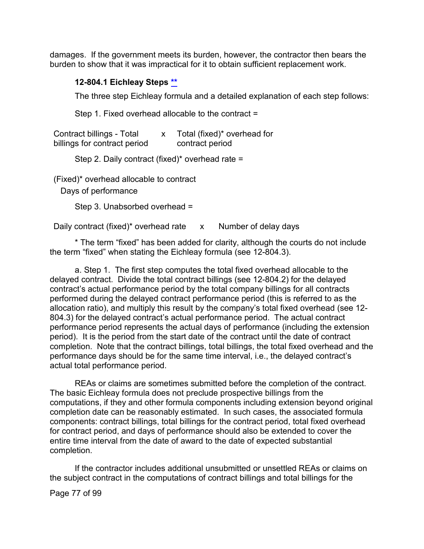damages. If the government meets its burden, however, the contractor then bears the burden to show that it was impractical for it to obtain sufficient replacement work.

#### **12-804.1 Eichleay Steps [\\*\\*](#page-3-4)**

The three step Eichleay formula and a detailed explanation of each step follows:

Step 1. Fixed overhead allocable to the contract =

| Contract billings - Total    | Total (fixed)* overhead for |
|------------------------------|-----------------------------|
| billings for contract period | contract period             |

Step 2. Daily contract (fixed)\* overhead rate =

(Fixed)\* overhead allocable to contract

Days of performance

Step 3. Unabsorbed overhead =

Daily contract (fixed)\* overhead rate x Number of delay days

\* The term "fixed" has been added for clarity, although the courts do not include the term "fixed" when stating the Eichleay formula (see 12-804.3).

a. Step 1. The first step computes the total fixed overhead allocable to the delayed contract. Divide the total contract billings (see 12-804.2) for the delayed contract's actual performance period by the total company billings for all contracts performed during the delayed contract performance period (this is referred to as the allocation ratio), and multiply this result by the company's total fixed overhead (see 12- 804.3) for the delayed contract's actual performance period. The actual contract performance period represents the actual days of performance (including the extension period). It is the period from the start date of the contract until the date of contract completion. Note that the contract billings, total billings, the total fixed overhead and the performance days should be for the same time interval, i.e., the delayed contract's actual total performance period.

REAs or claims are sometimes submitted before the completion of the contract. The basic Eichleay formula does not preclude prospective billings from the computations, if they and other formula components including extension beyond original completion date can be reasonably estimated. In such cases, the associated formula components: contract billings, total billings for the contract period, total fixed overhead for contract period, and days of performance should also be extended to cover the entire time interval from the date of award to the date of expected substantial completion.

If the contractor includes additional unsubmitted or unsettled REAs or claims on the subject contract in the computations of contract billings and total billings for the

Page 77 of 99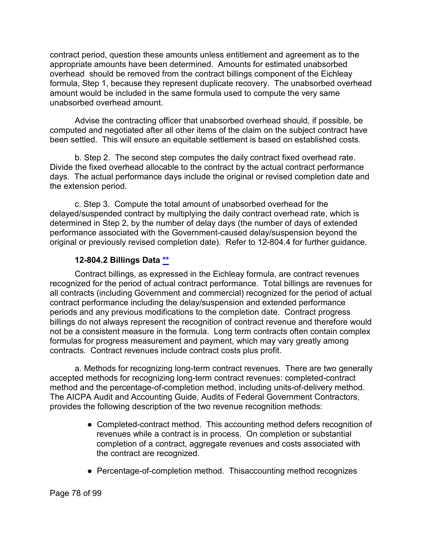contract period, question these amounts unless entitlement and agreement as to the appropriate amounts have been determined. Amounts for estimated unabsorbed overhead should be removed from the contract billings component of the Eichleay formula, Step 1, because they represent duplicate recovery. The unabsorbed overhead amount would be included in the same formula used to compute the very same unabsorbed overhead amount.

Advise the contracting officer that unabsorbed overhead should, if possible, be computed and negotiated after all other items of the claim on the subject contract have been settled. This will ensure an equitable settlement is based on established costs.

b. Step 2. The second step computes the daily contract fixed overhead rate. Divide the fixed overhead allocable to the contract by the actual contract performance days. The actual performance days include the original or revised completion date and the extension period.

c. Step 3. Compute the total amount of unabsorbed overhead for the delayed/suspended contract by multiplying the daily contract overhead rate, which is determined in Step 2, by the number of delay days (the number of days of extended performance associated with the Government-caused delay/suspension beyond the original or previously revised completion date). Refer to 12-804.4 for further guidance.

## **12-804.2 Billings Data [\\*\\*](#page-3-5)**

Contract billings, as expressed in the Eichleay formula, are contract revenues recognized for the period of actual contract performance. Total billings are revenues for all contracts (including Government and commercial) recognized for the period of actual contract performance including the delay/suspension and extended performance periods and any previous modifications to the completion date. Contract progress billings do not always represent the recognition of contract revenue and therefore would not be a consistent measure in the formula. Long term contracts often contain complex formulas for progress measurement and payment, which may vary greatly among contracts. Contract revenues include contract costs plus profit.

a. Methods for recognizing long-term contract revenues. There are two generally accepted methods for recognizing long-term contract revenues: completed-contract method and the percentage-of-completion method, including units-of-delivery method. The AICPA Audit and Accounting Guide, Audits of Federal Government Contractors, provides the following description of the two revenue recognition methods:

- Completed-contract method. This accounting method defers recognition of revenues while a contract is in process. On completion or substantial completion of a contract, aggregate revenues and costs associated with the contract are recognized.
- Percentage-of-completion method. Thisaccounting method recognizes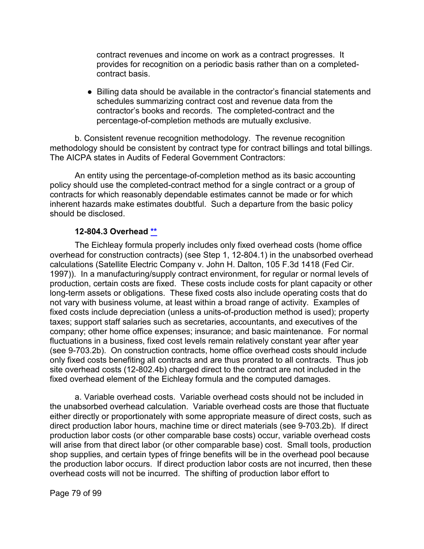contract revenues and income on work as a contract progresses. It provides for recognition on a periodic basis rather than on a completedcontract basis.

● Billing data should be available in the contractor's financial statements and schedules summarizing contract cost and revenue data from the contractor's books and records. The completed-contract and the percentage-of-completion methods are mutually exclusive.

b. Consistent revenue recognition methodology. The revenue recognition methodology should be consistent by contract type for contract billings and total billings. The AICPA states in Audits of Federal Government Contractors:

An entity using the percentage-of-completion method as its basic accounting policy should use the completed-contract method for a single contract or a group of contracts for which reasonably dependable estimates cannot be made or for which inherent hazards make estimates doubtful. Such a departure from the basic policy should be disclosed.

#### **12-804.3 Overhead [\\*\\*](#page-3-6)**

The Eichleay formula properly includes only fixed overhead costs (home office overhead for construction contracts) (see Step 1, 12-804.1) in the unabsorbed overhead calculations (Satellite Electric Company v. John H. Dalton, 105 F.3d 1418 (Fed Cir. 1997)). In a manufacturing/supply contract environment, for regular or normal levels of production, certain costs are fixed. These costs include costs for plant capacity or other long-term assets or obligations. These fixed costs also include operating costs that do not vary with business volume, at least within a broad range of activity. Examples of fixed costs include depreciation (unless a units-of-production method is used); property taxes; support staff salaries such as secretaries, accountants, and executives of the company; other home office expenses; insurance; and basic maintenance. For normal fluctuations in a business, fixed cost levels remain relatively constant year after year (see 9-703.2b). On construction contracts, home office overhead costs should include only fixed costs benefiting all contracts and are thus prorated to all contracts. Thus job site overhead costs (12-802.4b) charged direct to the contract are not included in the fixed overhead element of the Eichleay formula and the computed damages.

a. Variable overhead costs. Variable overhead costs should not be included in the unabsorbed overhead calculation. Variable overhead costs are those that fluctuate either directly or proportionately with some appropriate measure of direct costs, such as direct production labor hours, machine time or direct materials (see 9-703.2b). If direct production labor costs (or other comparable base costs) occur, variable overhead costs will arise from that direct labor (or other comparable base) cost. Small tools, production shop supplies, and certain types of fringe benefits will be in the overhead pool because the production labor occurs. If direct production labor costs are not incurred, then these overhead costs will not be incurred. The shifting of production labor effort to

Page 79 of 99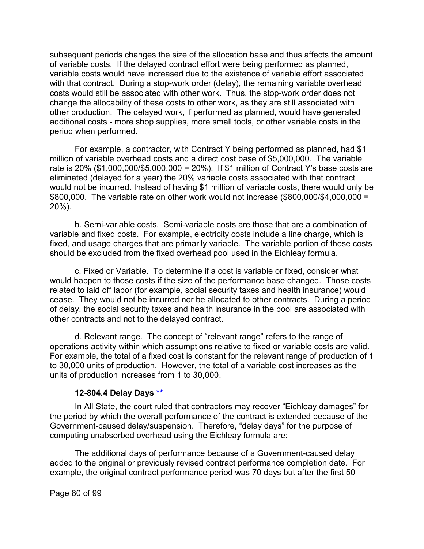subsequent periods changes the size of the allocation base and thus affects the amount of variable costs. If the delayed contract effort were being performed as planned, variable costs would have increased due to the existence of variable effort associated with that contract. During a stop-work order (delay), the remaining variable overhead costs would still be associated with other work. Thus, the stop-work order does not change the allocability of these costs to other work, as they are still associated with other production. The delayed work, if performed as planned, would have generated additional costs - more shop supplies, more small tools, or other variable costs in the period when performed.

For example, a contractor, with Contract Y being performed as planned, had \$1 million of variable overhead costs and a direct cost base of \$5,000,000. The variable rate is 20% (\$1,000,000/\$5,000,000 = 20%). If \$1 million of Contract Y's base costs are eliminated (delayed for a year) the 20% variable costs associated with that contract would not be incurred. Instead of having \$1 million of variable costs, there would only be \$800,000. The variable rate on other work would not increase (\$800,000/\$4,000,000 = 20%).

b. Semi-variable costs. Semi-variable costs are those that are a combination of variable and fixed costs. For example, electricity costs include a line charge, which is fixed, and usage charges that are primarily variable. The variable portion of these costs should be excluded from the fixed overhead pool used in the Eichleay formula.

c. Fixed or Variable. To determine if a cost is variable or fixed, consider what would happen to those costs if the size of the performance base changed. Those costs related to laid off labor (for example, social security taxes and health insurance) would cease. They would not be incurred nor be allocated to other contracts. During a period of delay, the social security taxes and health insurance in the pool are associated with other contracts and not to the delayed contract.

d. Relevant range. The concept of "relevant range" refers to the range of operations activity within which assumptions relative to fixed or variable costs are valid. For example, the total of a fixed cost is constant for the relevant range of production of 1 to 30,000 units of production. However, the total of a variable cost increases as the units of production increases from 1 to 30,000.

### **12-804.4 Delay Days [\\*\\*](#page-3-7)**

In All State, the court ruled that contractors may recover "Eichleay damages" for the period by which the overall performance of the contract is extended because of the Government-caused delay/suspension. Therefore, "delay days" for the purpose of computing unabsorbed overhead using the Eichleay formula are:

The additional days of performance because of a Government-caused delay added to the original or previously revised contract performance completion date. For example, the original contract performance period was 70 days but after the first 50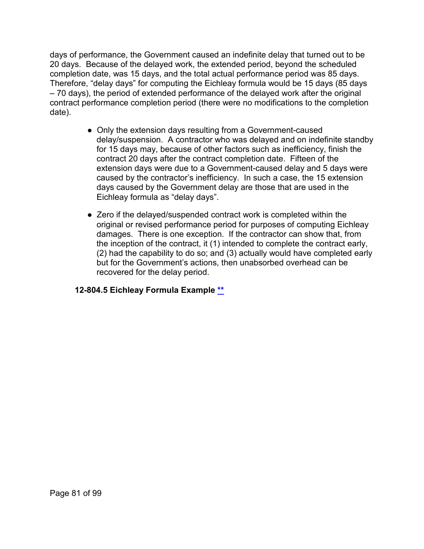days of performance, the Government caused an indefinite delay that turned out to be 20 days. Because of the delayed work, the extended period, beyond the scheduled completion date, was 15 days, and the total actual performance period was 85 days. Therefore, "delay days" for computing the Eichleay formula would be 15 days (85 days – 70 days), the period of extended performance of the delayed work after the original contract performance completion period (there were no modifications to the completion date).

- Only the extension days resulting from a Government-caused delay/suspension. A contractor who was delayed and on indefinite standby for 15 days may, because of other factors such as inefficiency, finish the contract 20 days after the contract completion date. Fifteen of the extension days were due to a Government-caused delay and 5 days were caused by the contractor's inefficiency. In such a case, the 15 extension days caused by the Government delay are those that are used in the Eichleay formula as "delay days".
- Zero if the delayed/suspended contract work is completed within the original or revised performance period for purposes of computing Eichleay damages. There is one exception. If the contractor can show that, from the inception of the contract, it (1) intended to complete the contract early, (2) had the capability to do so; and (3) actually would have completed early but for the Government's actions, then unabsorbed overhead can be recovered for the delay period.

### **12-804.5 Eichleay Formula Example [\\*\\*](#page-4-0)**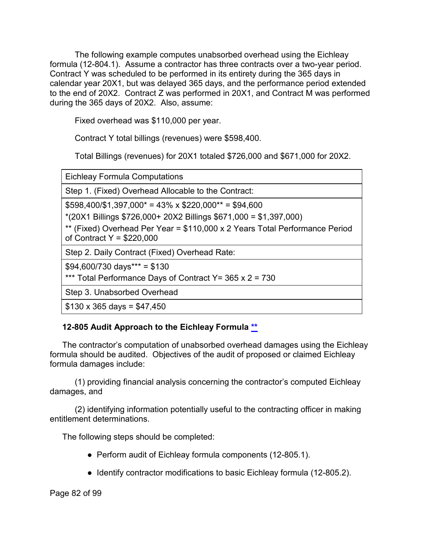The following example computes unabsorbed overhead using the Eichleay formula (12-804.1). Assume a contractor has three contracts over a two-year period. Contract Y was scheduled to be performed in its entirety during the 365 days in calendar year 20X1, but was delayed 365 days, and the performance period extended to the end of 20X2. Contract Z was performed in 20X1, and Contract M was performed during the 365 days of 20X2. Also, assume:

Fixed overhead was \$110,000 per year.

Contract Y total billings (revenues) were \$598,400.

Total Billings (revenues) for 20X1 totaled \$726,000 and \$671,000 for 20X2.

Eichleay Formula Computations

Step 1. (Fixed) Overhead Allocable to the Contract:

 $$598,400/\$1,397,000^* = 43\% \times $220,000^{**} = $94,600$ 

\*(20X1 Billings \$726,000+ 20X2 Billings \$671,000 = \$1,397,000)

\*\* (Fixed) Overhead Per Year = \$110,000 x 2 Years Total Performance Period of Contract  $Y = $220,000$ 

Step 2. Daily Contract (Fixed) Overhead Rate:

 $$94,600/730$  days\*\*\* = \$130

\*\*\* Total Performance Days of Contract Y= 365 x 2 = 730

Step 3. Unabsorbed Overhead

 $$130 \times 365 \text{ days} = $47,450$ 

# **12-805 Audit Approach to the Eichleay Formula [\\*\\*](#page-4-1)**

The contractor's computation of unabsorbed overhead damages using the Eichleay formula should be audited. Objectives of the audit of proposed or claimed Eichleay formula damages include:

(1) providing financial analysis concerning the contractor's computed Eichleay damages, and

(2) identifying information potentially useful to the contracting officer in making entitlement determinations.

The following steps should be completed:

- Perform audit of Eichleay formula components (12-805.1).
- Identify contractor modifications to basic Eichleay formula (12-805.2).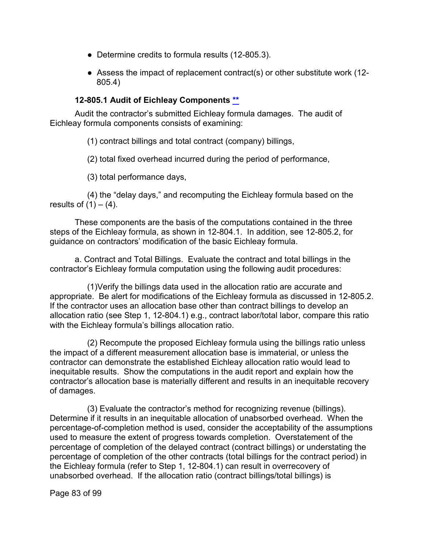- Determine credits to formula results (12-805.3).
- Assess the impact of replacement contract(s) or other substitute work (12-805.4)

## **12-805.1 Audit of Eichleay Components [\\*\\*](#page-4-2)**

Audit the contractor's submitted Eichleay formula damages. The audit of Eichleay formula components consists of examining:

(1) contract billings and total contract (company) billings,

(2) total fixed overhead incurred during the period of performance,

(3) total performance days,

(4) the "delay days," and recomputing the Eichleay formula based on the results of  $(1) - (4)$ .

These components are the basis of the computations contained in the three steps of the Eichleay formula, as shown in 12-804.1. In addition, see 12-805.2, for guidance on contractors' modification of the basic Eichleay formula.

a. Contract and Total Billings. Evaluate the contract and total billings in the contractor's Eichleay formula computation using the following audit procedures:

(1)Verify the billings data used in the allocation ratio are accurate and appropriate. Be alert for modifications of the Eichleay formula as discussed in 12-805.2. If the contractor uses an allocation base other than contract billings to develop an allocation ratio (see Step 1, 12-804.1) e.g., contract labor/total labor, compare this ratio with the Eichleay formula's billings allocation ratio.

(2) Recompute the proposed Eichleay formula using the billings ratio unless the impact of a different measurement allocation base is immaterial, or unless the contractor can demonstrate the established Eichleay allocation ratio would lead to inequitable results. Show the computations in the audit report and explain how the contractor's allocation base is materially different and results in an inequitable recovery of damages.

(3) Evaluate the contractor's method for recognizing revenue (billings). Determine if it results in an inequitable allocation of unabsorbed overhead. When the percentage-of-completion method is used, consider the acceptability of the assumptions used to measure the extent of progress towards completion. Overstatement of the percentage of completion of the delayed contract (contract billings) or understating the percentage of completion of the other contracts (total billings for the contract period) in the Eichleay formula (refer to Step 1, 12-804.1) can result in overrecovery of unabsorbed overhead. If the allocation ratio (contract billings/total billings) is

Page 83 of 99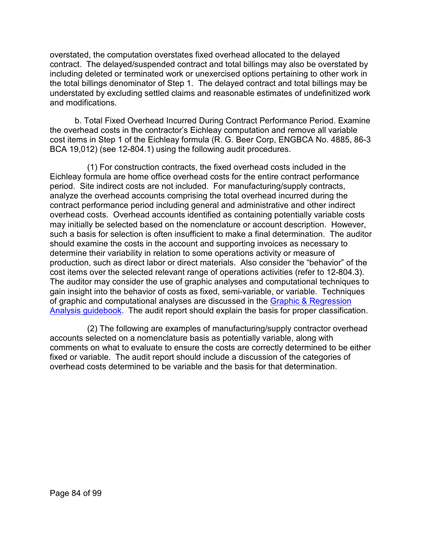overstated, the computation overstates fixed overhead allocated to the delayed contract. The delayed/suspended contract and total billings may also be overstated by including deleted or terminated work or unexercised options pertaining to other work in the total billings denominator of Step 1. The delayed contract and total billings may be understated by excluding settled claims and reasonable estimates of undefinitized work and modifications.

b. Total Fixed Overhead Incurred During Contract Performance Period. Examine the overhead costs in the contractor's Eichleay computation and remove all variable cost items in Step 1 of the Eichleay formula (R. G. Beer Corp, ENGBCA No. 4885, 86-3 BCA 19,012) (see 12-804.1) using the following audit procedures.

(1) For construction contracts, the fixed overhead costs included in the Eichleay formula are home office overhead costs for the entire contract performance period. Site indirect costs are not included. For manufacturing/supply contracts, analyze the overhead accounts comprising the total overhead incurred during the contract performance period including general and administrative and other indirect overhead costs. Overhead accounts identified as containing potentially variable costs may initially be selected based on the nomenclature or account description. However, such a basis for selection is often insufficient to make a final determination. The auditor should examine the costs in the account and supporting invoices as necessary to determine their variability in relation to some operations activity or measure of production, such as direct labor or direct materials. Also consider the "behavior" of the cost items over the selected relevant range of operations activities (refer to 12-804.3). The auditor may consider the use of graphic analyses and computational techniques to gain insight into the behavior of costs as fixed, semi-variable, or variable. Techniques of graphic and computational analyses are discussed in the [Graphic & Regression](https://viper.dcaa.mil/guidance/guidebooks/graphic-and-regression-analysis)  [Analysis guidebook.](https://viper.dcaa.mil/guidance/guidebooks/graphic-and-regression-analysis) The audit report should explain the basis for proper classification.

(2) The following are examples of manufacturing/supply contractor overhead accounts selected on a nomenclature basis as potentially variable, along with comments on what to evaluate to ensure the costs are correctly determined to be either fixed or variable. The audit report should include a discussion of the categories of overhead costs determined to be variable and the basis for that determination.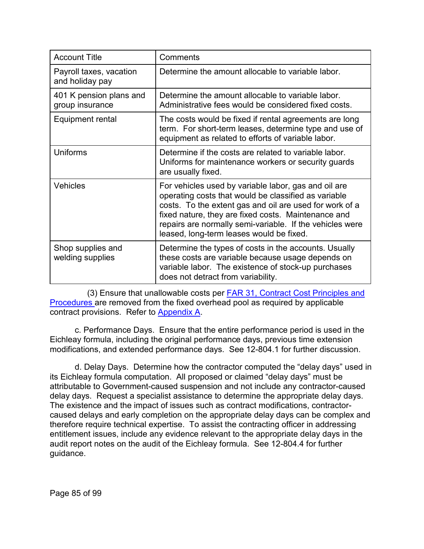| <b>Account Title</b>                       | Comments                                                                                                                                                                                                                                                                                                                               |
|--------------------------------------------|----------------------------------------------------------------------------------------------------------------------------------------------------------------------------------------------------------------------------------------------------------------------------------------------------------------------------------------|
| Payroll taxes, vacation<br>and holiday pay | Determine the amount allocable to variable labor.                                                                                                                                                                                                                                                                                      |
| 401 K pension plans and<br>group insurance | Determine the amount allocable to variable labor.<br>Administrative fees would be considered fixed costs.                                                                                                                                                                                                                              |
| Equipment rental                           | The costs would be fixed if rental agreements are long<br>term. For short-term leases, determine type and use of<br>equipment as related to efforts of variable labor.                                                                                                                                                                 |
| <b>Uniforms</b>                            | Determine if the costs are related to variable labor.<br>Uniforms for maintenance workers or security guards<br>are usually fixed.                                                                                                                                                                                                     |
| <b>Vehicles</b>                            | For vehicles used by variable labor, gas and oil are<br>operating costs that would be classified as variable<br>costs. To the extent gas and oil are used for work of a<br>fixed nature, they are fixed costs. Maintenance and<br>repairs are normally semi-variable. If the vehicles were<br>leased, long-term leases would be fixed. |
| Shop supplies and<br>welding supplies      | Determine the types of costs in the accounts. Usually<br>these costs are variable because usage depends on<br>variable labor. The existence of stock-up purchases<br>does not detract from variability.                                                                                                                                |

(3) Ensure that unallowable costs per [FAR 31,](http://www.ecfr.gov/cgi-bin/text-idx?SID=c27a0d3a681d0899d5a327018e44633a&mc=true&node=pt48.1.31&rgn=div5) Contract Cost Principles and Procedures are removed from the fixed overhead pool as required by applicable contract provisions. Refer to [Appendix A.](https://viper.dcaa.mil/guidance/cam/3162/appendix-a-contract-cost-principles-and-procedures#Sec)

c. Performance Days. Ensure that the entire performance period is used in the Eichleay formula, including the original performance days, previous time extension modifications, and extended performance days. See 12-804.1 for further discussion.

d. Delay Days. Determine how the contractor computed the "delay days" used in its Eichleay formula computation. All proposed or claimed "delay days" must be attributable to Government-caused suspension and not include any contractor-caused delay days. Request a specialist assistance to determine the appropriate delay days. The existence and the impact of issues such as contract modifications, contractorcaused delays and early completion on the appropriate delay days can be complex and therefore require technical expertise. To assist the contracting officer in addressing entitlement issues, include any evidence relevant to the appropriate delay days in the audit report notes on the audit of the Eichleay formula. See 12-804.4 for further guidance.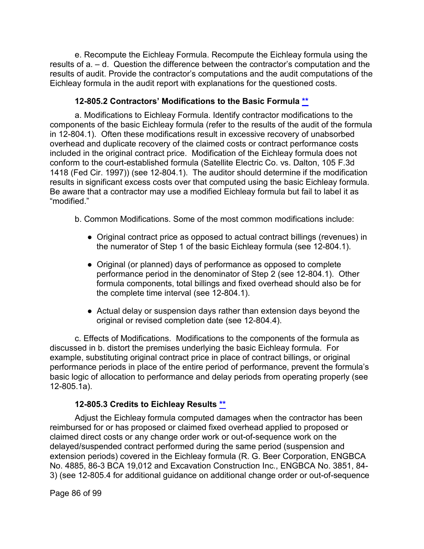e. Recompute the Eichleay Formula. Recompute the Eichleay formula using the results of a. – d. Question the difference between the contractor's computation and the results of audit. Provide the contractor's computations and the audit computations of the Eichleay formula in the audit report with explanations for the questioned costs.

## **12-805.2 Contractors' Modifications to the Basic Formula [\\*\\*](#page-4-3)**

a. Modifications to Eichleay Formula. Identify contractor modifications to the components of the basic Eichleay formula (refer to the results of the audit of the formula in 12-804.1). Often these modifications result in excessive recovery of unabsorbed overhead and duplicate recovery of the claimed costs or contract performance costs included in the original contract price. Modification of the Eichleay formula does not conform to the court-established formula (Satellite Electric Co. vs. Dalton, 105 F.3d 1418 (Fed Cir. 1997)) (see 12-804.1). The auditor should determine if the modification results in significant excess costs over that computed using the basic Eichleay formula. Be aware that a contractor may use a modified Eichleay formula but fail to label it as "modified."

b. Common Modifications. Some of the most common modifications include:

- Original contract price as opposed to actual contract billings (revenues) in the numerator of Step 1 of the basic Eichleay formula (see 12-804.1).
- Original (or planned) days of performance as opposed to complete performance period in the denominator of Step 2 (see 12-804.1). Other formula components, total billings and fixed overhead should also be for the complete time interval (see 12-804.1).
- Actual delay or suspension days rather than extension days beyond the original or revised completion date (see 12-804.4).

c. Effects of Modifications. Modifications to the components of the formula as discussed in b. distort the premises underlying the basic Eichleay formula. For example, substituting original contract price in place of contract billings, or original performance periods in place of the entire period of performance, prevent the formula's basic logic of allocation to performance and delay periods from operating properly (see 12-805.1a).

### **12-805.3 Credits to Eichleay Results [\\*\\*](#page-4-4)**

Adjust the Eichleay formula computed damages when the contractor has been reimbursed for or has proposed or claimed fixed overhead applied to proposed or claimed direct costs or any change order work or out-of-sequence work on the delayed/suspended contract performed during the same period (suspension and extension periods) covered in the Eichleay formula (R. G. Beer Corporation, ENGBCA No. 4885, 86-3 BCA 19,012 and Excavation Construction Inc., ENGBCA No. 3851, 84- 3) (see 12-805.4 for additional guidance on additional change order or out-of-sequence

Page 86 of 99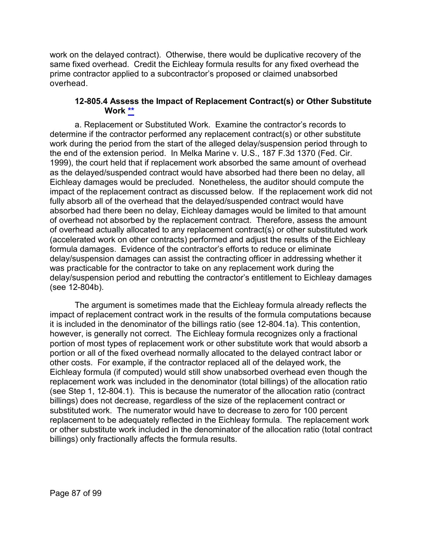work on the delayed contract). Otherwise, there would be duplicative recovery of the same fixed overhead. Credit the Eichleay formula results for any fixed overhead the prime contractor applied to a subcontractor's proposed or claimed unabsorbed overhead.

#### **12-805.4 Assess the Impact of Replacement Contract(s) or Other Substitute Work [\\*\\*](#page-4-5)**

a. Replacement or Substituted Work. Examine the contractor's records to determine if the contractor performed any replacement contract(s) or other substitute work during the period from the start of the alleged delay/suspension period through to the end of the extension period. In Melka Marine v. U.S., 187 F.3d 1370 (Fed. Cir. 1999), the court held that if replacement work absorbed the same amount of overhead as the delayed/suspended contract would have absorbed had there been no delay, all Eichleay damages would be precluded. Nonetheless, the auditor should compute the impact of the replacement contract as discussed below. If the replacement work did not fully absorb all of the overhead that the delayed/suspended contract would have absorbed had there been no delay, Eichleay damages would be limited to that amount of overhead not absorbed by the replacement contract. Therefore, assess the amount of overhead actually allocated to any replacement contract(s) or other substituted work (accelerated work on other contracts) performed and adjust the results of the Eichleay formula damages. Evidence of the contractor's efforts to reduce or eliminate delay/suspension damages can assist the contracting officer in addressing whether it was practicable for the contractor to take on any replacement work during the delay/suspension period and rebutting the contractor's entitlement to Eichleay damages (see 12-804b).

The argument is sometimes made that the Eichleay formula already reflects the impact of replacement contract work in the results of the formula computations because it is included in the denominator of the billings ratio (see 12-804.1a). This contention, however, is generally not correct. The Eichleay formula recognizes only a fractional portion of most types of replacement work or other substitute work that would absorb a portion or all of the fixed overhead normally allocated to the delayed contract labor or other costs. For example, if the contractor replaced all of the delayed work, the Eichleay formula (if computed) would still show unabsorbed overhead even though the replacement work was included in the denominator (total billings) of the allocation ratio (see Step 1, 12-804.1). This is because the numerator of the allocation ratio (contract billings) does not decrease, regardless of the size of the replacement contract or substituted work. The numerator would have to decrease to zero for 100 percent replacement to be adequately reflected in the Eichleay formula. The replacement work or other substitute work included in the denominator of the allocation ratio (total contract billings) only fractionally affects the formula results.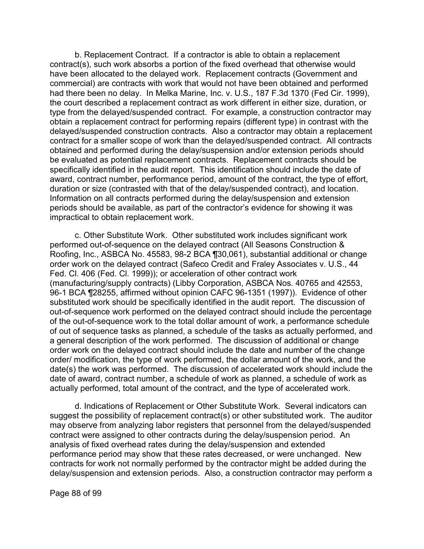b. Replacement Contract. If a contractor is able to obtain a replacement contract(s), such work absorbs a portion of the fixed overhead that otherwise would have been allocated to the delayed work. Replacement contracts (Government and commercial) are contracts with work that would not have been obtained and performed had there been no delay. In Melka Marine, Inc. v. U.S., 187 F.3d 1370 (Fed Cir. 1999), the court described a replacement contract as work different in either size, duration, or type from the delayed/suspended contract. For example, a construction contractor may obtain a replacement contract for performing repairs (different type) in contrast with the delayed/suspended construction contracts. Also a contractor may obtain a replacement contract for a smaller scope of work than the delayed/suspended contract. All contracts obtained and performed during the delay/suspension and/or extension periods should be evaluated as potential replacement contracts. Replacement contracts should be specifically identified in the audit report. This identification should include the date of award, contract number, performance period, amount of the contract, the type of effort, duration or size (contrasted with that of the delay/suspended contract), and location. Information on all contracts performed during the delay/suspension and extension periods should be available, as part of the contractor's evidence for showing it was impractical to obtain replacement work.

c. Other Substitute Work. Other substituted work includes significant work performed out-of-sequence on the delayed contract (All Seasons Construction & Roofing, Inc., ASBCA No. 45583, 98-2 BCA ¶30,061), substantial additional or change order work on the delayed contract (Safeco Credit and Fraley Associates v. U.S., 44 Fed. Cl. 406 (Fed. Cl. 1999)); or acceleration of other contract work (manufacturing/supply contracts) (Libby Corporation, ASBCA Nos. 40765 and 42553, 96-1 BCA ¶28255, affirmed without opinion CAFC 96-1351 (1997)). Evidence of other substituted work should be specifically identified in the audit report. The discussion of out-of-sequence work performed on the delayed contract should include the percentage of the out-of-sequence work to the total dollar amount of work, a performance schedule of out of sequence tasks as planned, a schedule of the tasks as actually performed, and a general description of the work performed. The discussion of additional or change order work on the delayed contract should include the date and number of the change order/ modification, the type of work performed, the dollar amount of the work, and the date(s) the work was performed. The discussion of accelerated work should include the date of award, contract number, a schedule of work as planned, a schedule of work as actually performed, total amount of the contract, and the type of accelerated work.

d. Indications of Replacement or Other Substitute Work. Several indicators can suggest the possibility of replacement contract(s) or other substituted work. The auditor may observe from analyzing labor registers that personnel from the delayed/suspended contract were assigned to other contracts during the delay/suspension period. An analysis of fixed overhead rates during the delay/suspension and extended performance period may show that these rates decreased, or were unchanged. New contracts for work not normally performed by the contractor might be added during the delay/suspension and extension periods. Also, a construction contractor may perform a

Page 88 of 99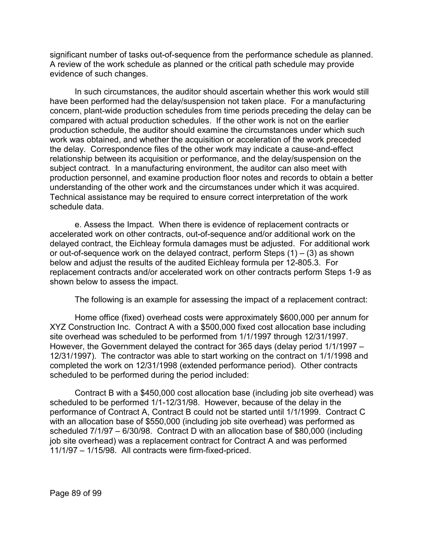significant number of tasks out-of-sequence from the performance schedule as planned. A review of the work schedule as planned or the critical path schedule may provide evidence of such changes.

In such circumstances, the auditor should ascertain whether this work would still have been performed had the delay/suspension not taken place. For a manufacturing concern, plant-wide production schedules from time periods preceding the delay can be compared with actual production schedules. If the other work is not on the earlier production schedule, the auditor should examine the circumstances under which such work was obtained, and whether the acquisition or acceleration of the work preceded the delay. Correspondence files of the other work may indicate a cause-and-effect relationship between its acquisition or performance, and the delay/suspension on the subject contract. In a manufacturing environment, the auditor can also meet with production personnel, and examine production floor notes and records to obtain a better understanding of the other work and the circumstances under which it was acquired. Technical assistance may be required to ensure correct interpretation of the work schedule data.

e. Assess the Impact. When there is evidence of replacement contracts or accelerated work on other contracts, out-of-sequence and/or additional work on the delayed contract, the Eichleay formula damages must be adjusted. For additional work or out-of-sequence work on the delayed contract, perform Steps  $(1) - (3)$  as shown below and adjust the results of the audited Eichleay formula per 12-805.3. For replacement contracts and/or accelerated work on other contracts perform Steps 1-9 as shown below to assess the impact.

The following is an example for assessing the impact of a replacement contract:

Home office (fixed) overhead costs were approximately \$600,000 per annum for XYZ Construction Inc. Contract A with a \$500,000 fixed cost allocation base including site overhead was scheduled to be performed from 1/1/1997 through 12/31/1997. However, the Government delayed the contract for 365 days (delay period 1/1/1997 – 12/31/1997). The contractor was able to start working on the contract on 1/1/1998 and completed the work on 12/31/1998 (extended performance period). Other contracts scheduled to be performed during the period included:

Contract B with a \$450,000 cost allocation base (including job site overhead) was scheduled to be performed 1/1-12/31/98. However, because of the delay in the performance of Contract A, Contract B could not be started until 1/1/1999. Contract C with an allocation base of \$550,000 (including job site overhead) was performed as scheduled 7/1/97 – 6/30/98. Contract D with an allocation base of \$80,000 (including job site overhead) was a replacement contract for Contract A and was performed 11/1/97 – 1/15/98. All contracts were firm-fixed-priced.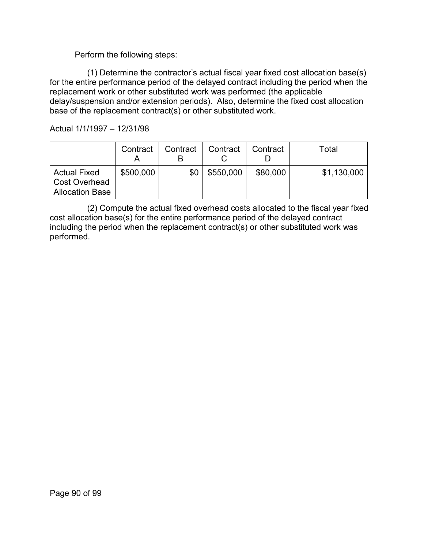### Perform the following steps:

(1) Determine the contractor's actual fiscal year fixed cost allocation base(s) for the entire performance period of the delayed contract including the period when the replacement work or other substituted work was performed (the applicable delay/suspension and/or extension periods). Also, determine the fixed cost allocation base of the replacement contract(s) or other substituted work.

Actual 1/1/1997 – 12/31/98

|                                                                       | Contract  | Contract | Contract  | Contract | Total       |
|-----------------------------------------------------------------------|-----------|----------|-----------|----------|-------------|
| <b>Actual Fixed</b><br><b>Cost Overhead</b><br><b>Allocation Base</b> | \$500,000 | \$0      | \$550,000 | \$80,000 | \$1,130,000 |

(2) Compute the actual fixed overhead costs allocated to the fiscal year fixed cost allocation base(s) for the entire performance period of the delayed contract including the period when the replacement contract(s) or other substituted work was performed.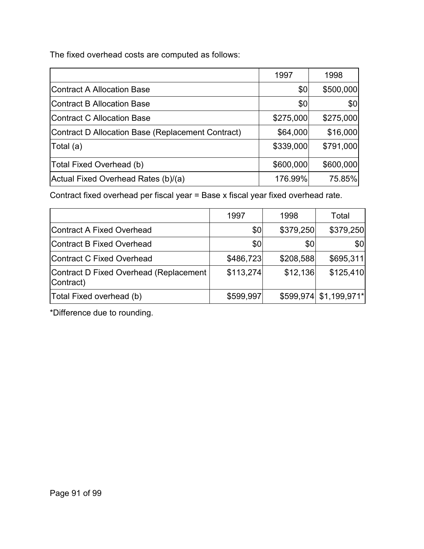The fixed overhead costs are computed as follows:

|                                                   | 1997      | 1998      |
|---------------------------------------------------|-----------|-----------|
| Contract A Allocation Base                        | \$0       | \$500,000 |
| <b>IContract B Allocation Base</b>                | \$0       | \$0       |
| Contract C Allocation Base                        | \$275,000 | \$275,000 |
| Contract D Allocation Base (Replacement Contract) | \$64,000  | \$16,000  |
| $\vert$ Total (a)                                 | \$339,000 | \$791,000 |
| Total Fixed Overhead (b)                          | \$600,000 | \$600,000 |
| Actual Fixed Overhead Rates (b)/(a)               | 176.99%   | 75.85%    |

Contract fixed overhead per fiscal year = Base x fiscal year fixed overhead rate.

|                                                     | 1997      | 1998      | Total                  |
|-----------------------------------------------------|-----------|-----------|------------------------|
| Contract A Fixed Overhead                           | \$0       | \$379,250 | \$379,250              |
| Contract B Fixed Overhead                           | \$0       | \$0       | \$0                    |
| Contract C Fixed Overhead                           | \$486,723 | \$208,588 | \$695,311              |
| Contract D Fixed Overhead (Replacement<br>Contract) | \$113,274 | \$12,136  | \$125,410              |
| Total Fixed overhead (b)                            | \$599,997 |           | \$599,974 \$1,199,971* |

\*Difference due to rounding.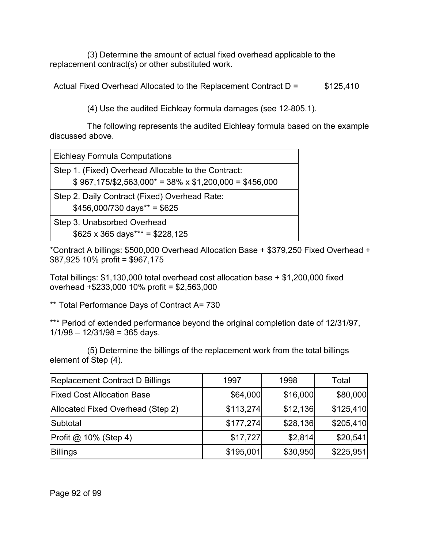(3) Determine the amount of actual fixed overhead applicable to the replacement contract(s) or other substituted work.

Actual Fixed Overhead Allocated to the Replacement Contract D = \$125,410

(4) Use the audited Eichleay formula damages (see 12-805.1).

The following represents the audited Eichleay formula based on the example discussed above.

Eichleay Formula Computations

Step 1. (Fixed) Overhead Allocable to the Contract:

 $$967,175/\$2,563,000^* = 38\% \times \$1,200,000 = \$456,000$ 

Step 2. Daily Contract (Fixed) Overhead Rate:  $$456,000/730 \text{ days}** = $625$ 

Step 3. Unabsorbed Overhead  $$625 \times 365 \text{ days}^{***} = $228,125$ 

\*Contract A billings: \$500,000 Overhead Allocation Base + \$379,250 Fixed Overhead + \$87,925 10% profit = \$967,175

Total billings: \$1,130,000 total overhead cost allocation base + \$1,200,000 fixed overhead +\$233,000 10% profit = \$2,563,000

\*\* Total Performance Days of Contract A= 730

\*\*\* Period of extended performance beyond the original completion date of 12/31/97,  $1/1/98 - 12/31/98 = 365$  days.

(5) Determine the billings of the replacement work from the total billings element of Step (4).

| Replacement Contract D Billings         | 1997      | 1998     | Total     |
|-----------------------------------------|-----------|----------|-----------|
| <b>Fixed Cost Allocation Base</b>       | \$64,000  | \$16,000 | \$80,000  |
| Allocated Fixed Overhead (Step 2)       | \$113,274 | \$12,136 | \$125,410 |
| Subtotal                                | \$177,274 | \$28,136 | \$205,410 |
| $ Profit \textcircled{a} 10\%$ (Step 4) | \$17,727  | \$2,814  | \$20,541  |
| <b>Billings</b>                         | \$195,001 | \$30,950 | \$225,951 |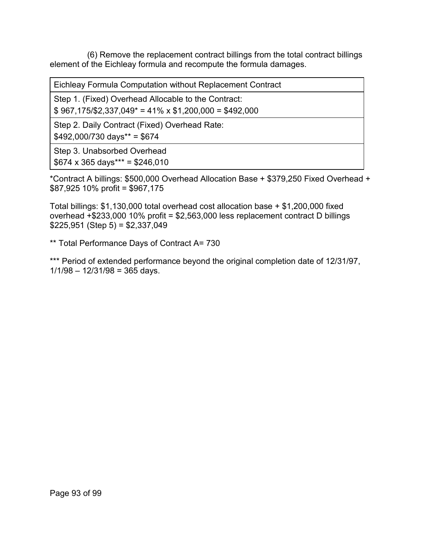(6) Remove the replacement contract billings from the total contract billings element of the Eichleay formula and recompute the formula damages.

Eichleay Formula Computation without Replacement Contract

Step 1. (Fixed) Overhead Allocable to the Contract:

 $$967,175/\$2,337,049^* = 41\% \times $1,200,000 = $492,000$ 

Step 2. Daily Contract (Fixed) Overhead Rate:

 $$492,000/730$  days\*\* = \$674

Step 3. Unabsorbed Overhead  $$674 \times 365 \text{ days}^{***} = $246,010$ 

\*Contract A billings: \$500,000 Overhead Allocation Base + \$379,250 Fixed Overhead + \$87,925 10% profit = \$967,175

Total billings: \$1,130,000 total overhead cost allocation base + \$1,200,000 fixed overhead +\$233,000 10% profit = \$2,563,000 less replacement contract D billings  $$225,951$  (Step 5) =  $$2,337,049$ 

\*\* Total Performance Days of Contract A= 730

\*\*\* Period of extended performance beyond the original completion date of 12/31/97,  $1/1/98 - 12/31/98 = 365$  days.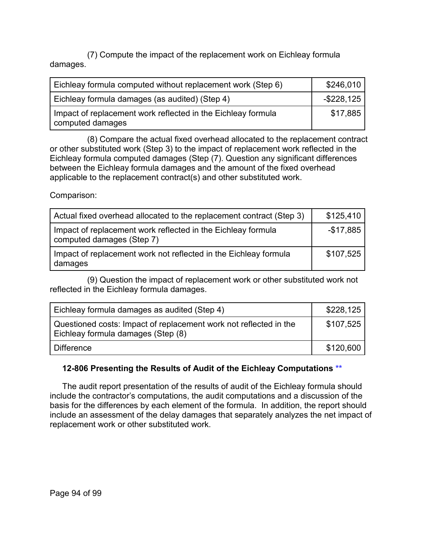(7) Compute the impact of the replacement work on Eichleay formula damages.

| Eichleay formula computed without replacement work (Step 6)                      | \$246,010     |
|----------------------------------------------------------------------------------|---------------|
| Eichleay formula damages (as audited) (Step 4)                                   | $-$ \$228,125 |
| Impact of replacement work reflected in the Eichleay formula<br>computed damages | \$17,885      |

(8) Compare the actual fixed overhead allocated to the replacement contract or other substituted work (Step 3) to the impact of replacement work reflected in the Eichleay formula computed damages (Step (7). Question any significant differences between the Eichleay formula damages and the amount of the fixed overhead applicable to the replacement contract(s) and other substituted work.

Comparison:

| Actual fixed overhead allocated to the replacement contract (Step 3)                      | \$125,410  |
|-------------------------------------------------------------------------------------------|------------|
| Impact of replacement work reflected in the Eichleay formula<br>computed damages (Step 7) | $-$17,885$ |
| Impact of replacement work not reflected in the Eichleay formula<br>damages               | \$107,525  |

(9) Question the impact of replacement work or other substituted work not reflected in the Eichleay formula damages.

| Eichleay formula damages as audited (Step 4)                                                            | \$228,125 |
|---------------------------------------------------------------------------------------------------------|-----------|
| Questioned costs: Impact of replacement work not reflected in the<br>Eichleay formula damages (Step (8) | \$107,525 |
| l Difference                                                                                            | \$120,600 |

# **12-806 Presenting the Results of Audit of the Eichleay Computations [\\*\\*](#page-4-6)**

The audit report presentation of the results of audit of the Eichleay formula should include the contractor's computations, the audit computations and a discussion of the basis for the differences by each element of the formula. In addition, the report should include an assessment of the delay damages that separately analyzes the net impact of replacement work or other substituted work.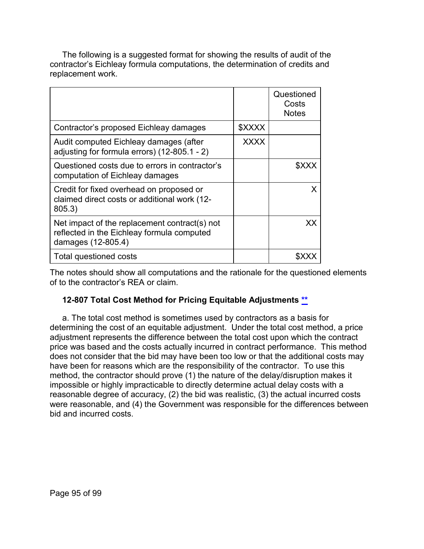The following is a suggested format for showing the results of audit of the contractor's Eichleay formula computations, the determination of credits and replacement work.

|                                                                                                                   |             | Questioned<br>Costs<br><b>Notes</b> |
|-------------------------------------------------------------------------------------------------------------------|-------------|-------------------------------------|
| Contractor's proposed Eichleay damages                                                                            | \$XXXX      |                                     |
| Audit computed Eichleay damages (after<br>adjusting for formula errors) (12-805.1 - 2)                            | <b>XXXX</b> |                                     |
| Questioned costs due to errors in contractor's<br>computation of Eichleay damages                                 |             |                                     |
| Credit for fixed overhead on proposed or<br>claimed direct costs or additional work (12-<br>805.3)                |             | X                                   |
| Net impact of the replacement contract(s) not<br>reflected in the Eichleay formula computed<br>damages (12-805.4) |             | xх                                  |
| Total questioned costs                                                                                            |             |                                     |

The notes should show all computations and the rationale for the questioned elements of to the contractor's REA or claim.

# **12-807 Total Cost Method for Pricing Equitable Adjustments [\\*\\*](#page-4-7)**

a. The total cost method is sometimes used by contractors as a basis for determining the cost of an equitable adjustment. Under the total cost method, a price adjustment represents the difference between the total cost upon which the contract price was based and the costs actually incurred in contract performance. This method does not consider that the bid may have been too low or that the additional costs may have been for reasons which are the responsibility of the contractor. To use this method, the contractor should prove (1) the nature of the delay/disruption makes it impossible or highly impracticable to directly determine actual delay costs with a reasonable degree of accuracy, (2) the bid was realistic, (3) the actual incurred costs were reasonable, and (4) the Government was responsible for the differences between bid and incurred costs.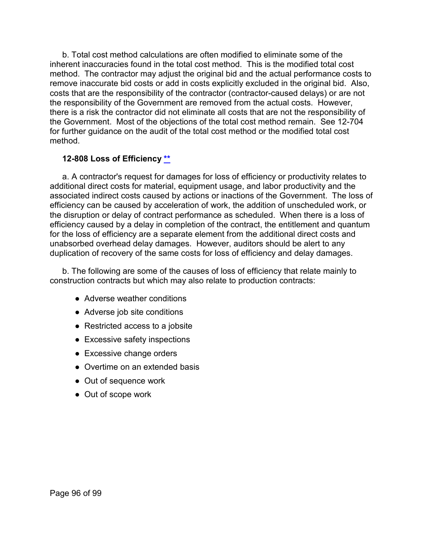b. Total cost method calculations are often modified to eliminate some of the inherent inaccuracies found in the total cost method. This is the modified total cost method. The contractor may adjust the original bid and the actual performance costs to remove inaccurate bid costs or add in costs explicitly excluded in the original bid. Also, costs that are the responsibility of the contractor (contractor-caused delays) or are not the responsibility of the Government are removed from the actual costs. However, there is a risk the contractor did not eliminate all costs that are not the responsibility of the Government. Most of the objections of the total cost method remain. See 12-704 for further guidance on the audit of the total cost method or the modified total cost method.

#### **12-808 Loss of Efficiency [\\*\\*](#page-4-8)**

a. A contractor's request for damages for loss of efficiency or productivity relates to additional direct costs for material, equipment usage, and labor productivity and the associated indirect costs caused by actions or inactions of the Government. The loss of efficiency can be caused by acceleration of work, the addition of unscheduled work, or the disruption or delay of contract performance as scheduled. When there is a loss of efficiency caused by a delay in completion of the contract, the entitlement and quantum for the loss of efficiency are a separate element from the additional direct costs and unabsorbed overhead delay damages. However, auditors should be alert to any duplication of recovery of the same costs for loss of efficiency and delay damages.

b. The following are some of the causes of loss of efficiency that relate mainly to construction contracts but which may also relate to production contracts:

- Adverse weather conditions
- Adverse job site conditions
- Restricted access to a jobsite
- Excessive safety inspections
- Excessive change orders
- Overtime on an extended basis
- Out of sequence work
- Out of scope work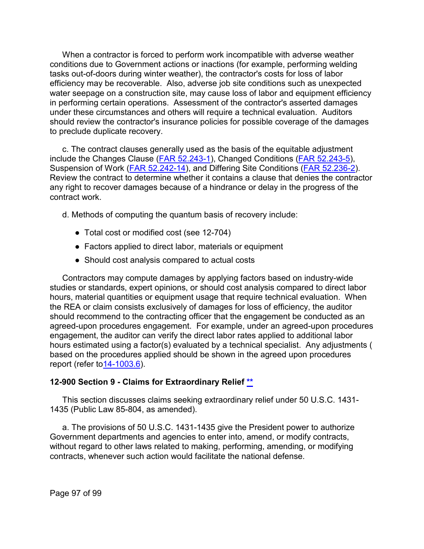When a contractor is forced to perform work incompatible with adverse weather conditions due to Government actions or inactions (for example, performing welding tasks out-of-doors during winter weather), the contractor's costs for loss of labor efficiency may be recoverable. Also, adverse job site conditions such as unexpected water seepage on a construction site, may cause loss of labor and equipment efficiency in performing certain operations. Assessment of the contractor's asserted damages under these circumstances and others will require a technical evaluation. Auditors should review the contractor's insurance policies for possible coverage of the damages to preclude duplicate recovery.

c. The contract clauses generally used as the basis of the equitable adjustment include the Changes Clause [\(FAR 52.243-1\)](http://www.ecfr.gov/cgi-bin/text-idx?SID=c27a0d3a681d0899d5a327018e44633a&mc=true&node=se48.2.52_1243_61&rgn=div8), Changed Conditions [\(FAR 52.243-5\)](http://www.ecfr.gov/cgi-bin/retrieveECFR?gp=&SID=c27a0d3a681d0899d5a327018e44633a&mc=true&r=SECTION&n=se48.2.52_1243_65), Suspension of Work [\(FAR 52.242-14\)](http://www.ecfr.gov/cgi-bin/text-idx?SID=c27a0d3a681d0899d5a327018e44633a&mc=true&node=se48.2.52_1242_614&rgn=div8), and Differing Site Conditions [\(FAR 52.236-2\)](http://www.ecfr.gov/cgi-bin/text-idx?SID=c27a0d3a681d0899d5a327018e44633a&mc=true&node=se48.2.52_1236_62&rgn=div8). Review the contract to determine whether it contains a clause that denies the contractor any right to recover damages because of a hindrance or delay in the progress of the contract work.

d. Methods of computing the quantum basis of recovery include:

- Total cost or modified cost (see 12-704)
- Factors applied to direct labor, materials or equipment
- Should cost analysis compared to actual costs

Contractors may compute damages by applying factors based on industry-wide studies or standards, expert opinions, or should cost analysis compared to direct labor hours, material quantities or equipment usage that require technical evaluation. When the REA or claim consists exclusively of damages for loss of efficiency, the auditor should recommend to the contracting officer that the engagement be conducted as an agreed-upon procedures engagement. For example, under an agreed-upon procedures engagement, the auditor can verify the direct labor rates applied to additional labor hours estimated using a factor(s) evaluated by a technical specialist. Any adjustments ( based on the procedures applied should be shown in the agreed upon procedures report (refer to14-1003.6).

#### **12-900 Section 9 - Claims for Extraordinary Relief \*\***

This section discusses claims seeking extraordinary relief under [50 U.S.C. 1431-](http://uscode.house.gov/view.xhtml?req=granuleid%3AUSC-prelim-title50-chapter29&edition=prelim) [1435](http://uscode.house.gov/view.xhtml?req=granuleid%3AUSC-prelim-title50-chapter29&edition=prelim) (Public Law 85-804, as amended).

a. The provisions of 50 U.S.C. 1431-1435 give the President power to authorize Government departments and agencies to enter into, amend, or modify contracts, without regard to other laws related to making, performing, amending, or modifying contracts, whenever such action would facilitate the national defense.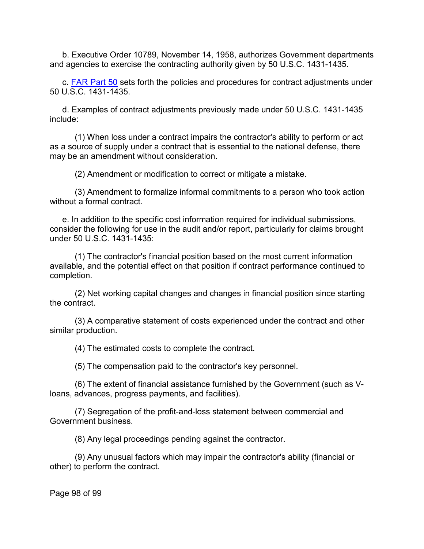b. Executive Order 10789, November 14, 1958, authorizes Government departments and agencies to exercise the contracting authority given by 50 U.S.C. 1431-1435.

c. [FAR Part 50](http://www.ecfr.gov/cgi-bin/text-idx?SID=ef6f3c1b3f044a710b23497f4d8ee1c0&mc=true&node=pt48.1.50&rgn=div5) sets forth the policies and procedures for contract adjustments under 50 U.S.C. 1431-1435.

d. Examples of contract adjustments previously made under 50 U.S.C. 1431-1435 include:

(1) When loss under a contract impairs the contractor's ability to perform or act as a source of supply under a contract that is essential to the national defense, there may be an amendment without consideration.

(2) Amendment or modification to correct or mitigate a mistake.

(3) Amendment to formalize informal commitments to a person who took action without a formal contract.

e. In addition to the specific cost information required for individual submissions, consider the following for use in the audit and/or report, particularly for claims brought under 50 U.S.C. 1431-1435:

(1) The contractor's financial position based on the most current information available, and the potential effect on that position if contract performance continued to completion.

(2) Net working capital changes and changes in financial position since starting the contract.

(3) A comparative statement of costs experienced under the contract and other similar production.

(4) The estimated costs to complete the contract.

(5) The compensation paid to the contractor's key personnel.

(6) The extent of financial assistance furnished by the Government (such as Vloans, advances, progress payments, and facilities).

(7) Segregation of the profit-and-loss statement between commercial and Government business.

(8) Any legal proceedings pending against the contractor.

(9) Any unusual factors which may impair the contractor's ability (financial or other) to perform the contract.

Page 98 of 99